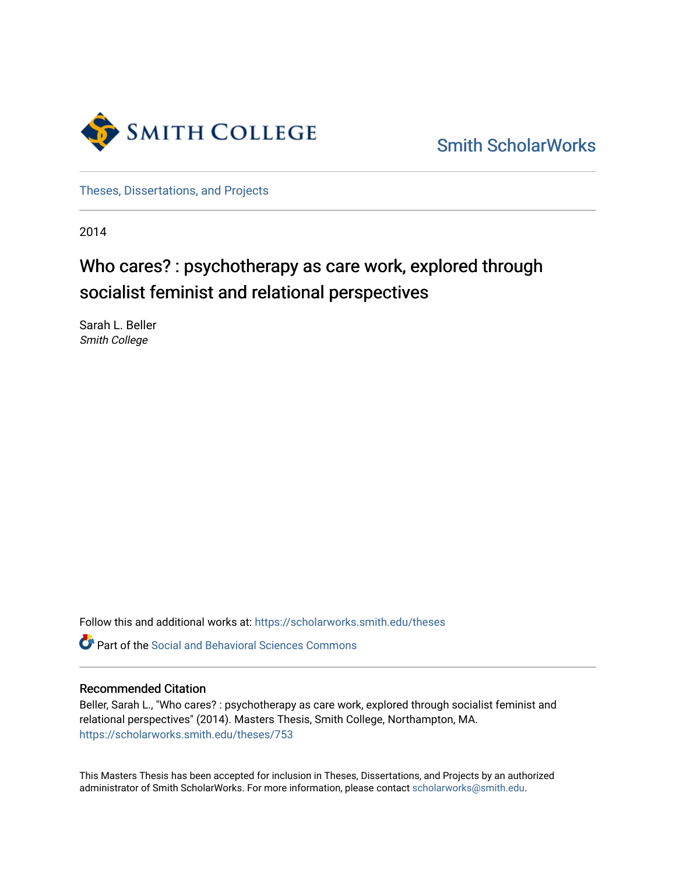

[Smith ScholarWorks](https://scholarworks.smith.edu/) 

[Theses, Dissertations, and Projects](https://scholarworks.smith.edu/theses) 

2014

# Who cares? : psychotherapy as care work, explored through socialist feminist and relational perspectives

Sarah L. Beller Smith College

Follow this and additional works at: [https://scholarworks.smith.edu/theses](https://scholarworks.smith.edu/theses?utm_source=scholarworks.smith.edu%2Ftheses%2F753&utm_medium=PDF&utm_campaign=PDFCoverPages) 

Part of the [Social and Behavioral Sciences Commons](http://network.bepress.com/hgg/discipline/316?utm_source=scholarworks.smith.edu%2Ftheses%2F753&utm_medium=PDF&utm_campaign=PDFCoverPages) 

#### Recommended Citation

Beller, Sarah L., "Who cares? : psychotherapy as care work, explored through socialist feminist and relational perspectives" (2014). Masters Thesis, Smith College, Northampton, MA. [https://scholarworks.smith.edu/theses/753](https://scholarworks.smith.edu/theses/753?utm_source=scholarworks.smith.edu%2Ftheses%2F753&utm_medium=PDF&utm_campaign=PDFCoverPages) 

This Masters Thesis has been accepted for inclusion in Theses, Dissertations, and Projects by an authorized administrator of Smith ScholarWorks. For more information, please contact [scholarworks@smith.edu](mailto:scholarworks@smith.edu).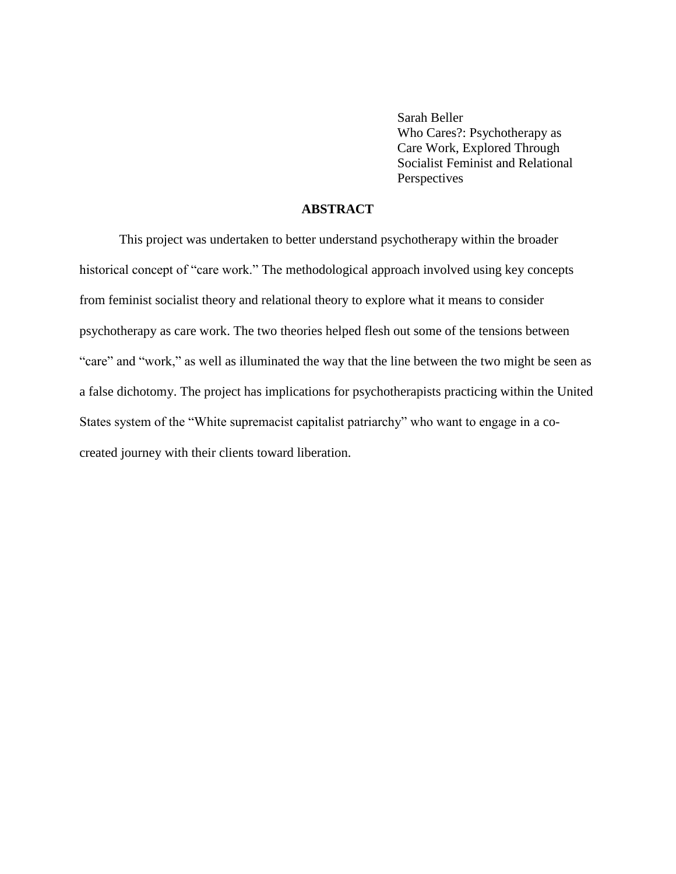Sarah Beller Who Cares?: Psychotherapy as Care Work, Explored Through Socialist Feminist and Relational **Perspectives** 

### **ABSTRACT**

This project was undertaken to better understand psychotherapy within the broader historical concept of "care work." The methodological approach involved using key concepts from feminist socialist theory and relational theory to explore what it means to consider psychotherapy as care work. The two theories helped flesh out some of the tensions between "care" and "work," as well as illuminated the way that the line between the two might be seen as a false dichotomy. The project has implications for psychotherapists practicing within the United States system of the "White supremacist capitalist patriarchy" who want to engage in a cocreated journey with their clients toward liberation.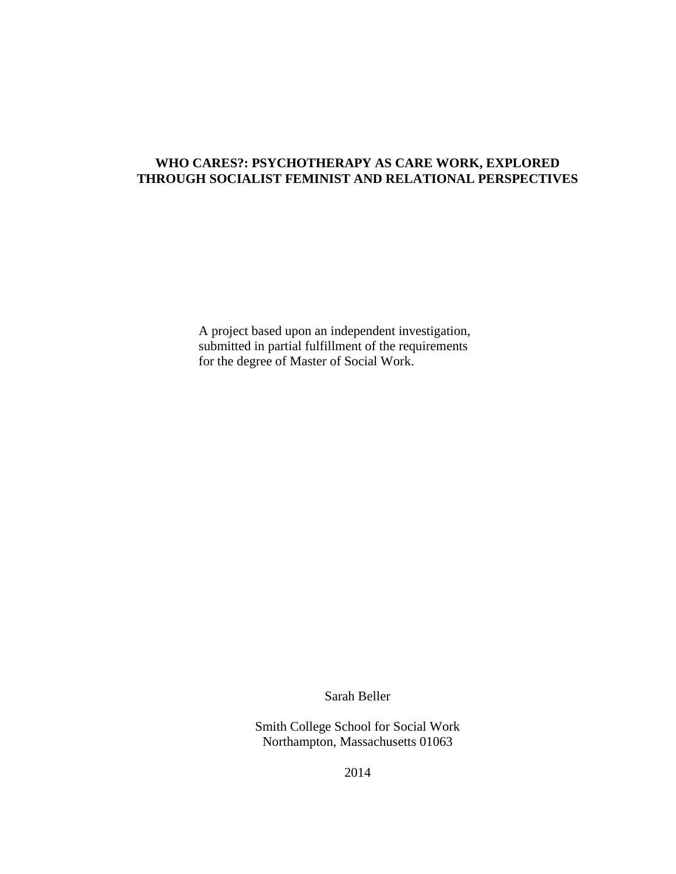### **WHO CARES?: PSYCHOTHERAPY AS CARE WORK, EXPLORED THROUGH SOCIALIST FEMINIST AND RELATIONAL PERSPECTIVES**

A project based upon an independent investigation, submitted in partial fulfillment of the requirements for the degree of Master of Social Work.

Sarah Beller

Smith College School for Social Work Northampton, Massachusetts 01063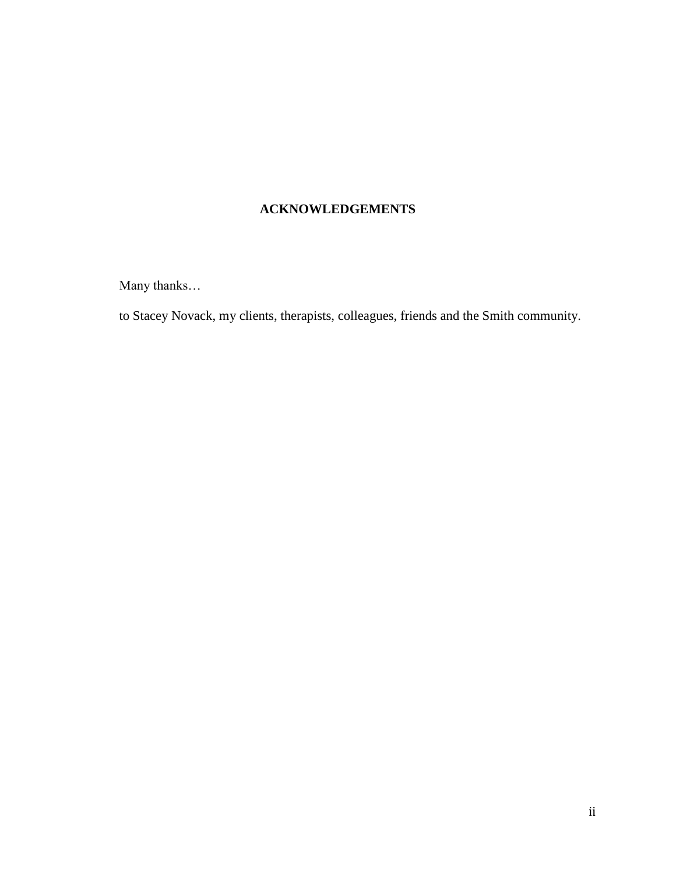# **ACKNOWLEDGEMENTS**

Many thanks…

to Stacey Novack, my clients, therapists, colleagues, friends and the Smith community.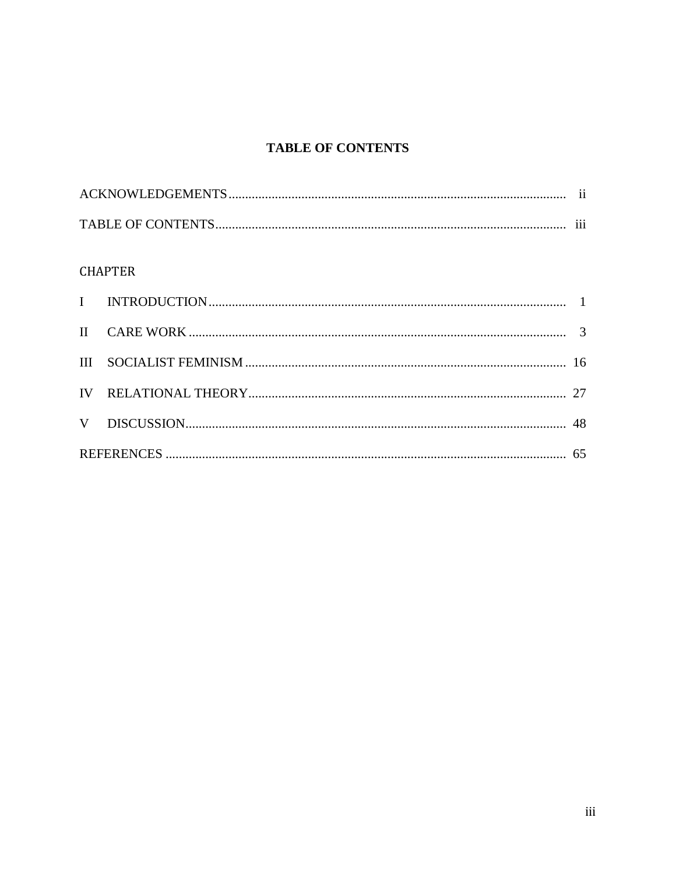# **TABLE OF CONTENTS**

| $\cdots$ |
|----------|

## **CHAPTER**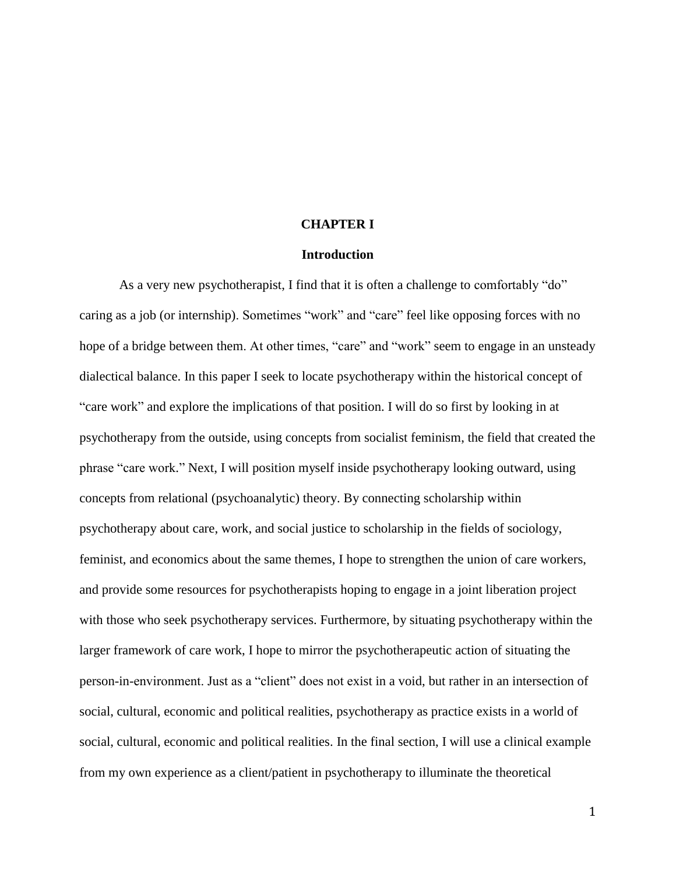#### **CHAPTER I**

#### **Introduction**

As a very new psychotherapist, I find that it is often a challenge to comfortably "do" caring as a job (or internship). Sometimes "work" and "care" feel like opposing forces with no hope of a bridge between them. At other times, "care" and "work" seem to engage in an unsteady dialectical balance. In this paper I seek to locate psychotherapy within the historical concept of "care work" and explore the implications of that position. I will do so first by looking in at psychotherapy from the outside, using concepts from socialist feminism, the field that created the phrase "care work." Next, I will position myself inside psychotherapy looking outward, using concepts from relational (psychoanalytic) theory. By connecting scholarship within psychotherapy about care, work, and social justice to scholarship in the fields of sociology, feminist, and economics about the same themes, I hope to strengthen the union of care workers, and provide some resources for psychotherapists hoping to engage in a joint liberation project with those who seek psychotherapy services. Furthermore, by situating psychotherapy within the larger framework of care work, I hope to mirror the psychotherapeutic action of situating the person-in-environment. Just as a "client" does not exist in a void, but rather in an intersection of social, cultural, economic and political realities, psychotherapy as practice exists in a world of social, cultural, economic and political realities. In the final section, I will use a clinical example from my own experience as a client/patient in psychotherapy to illuminate the theoretical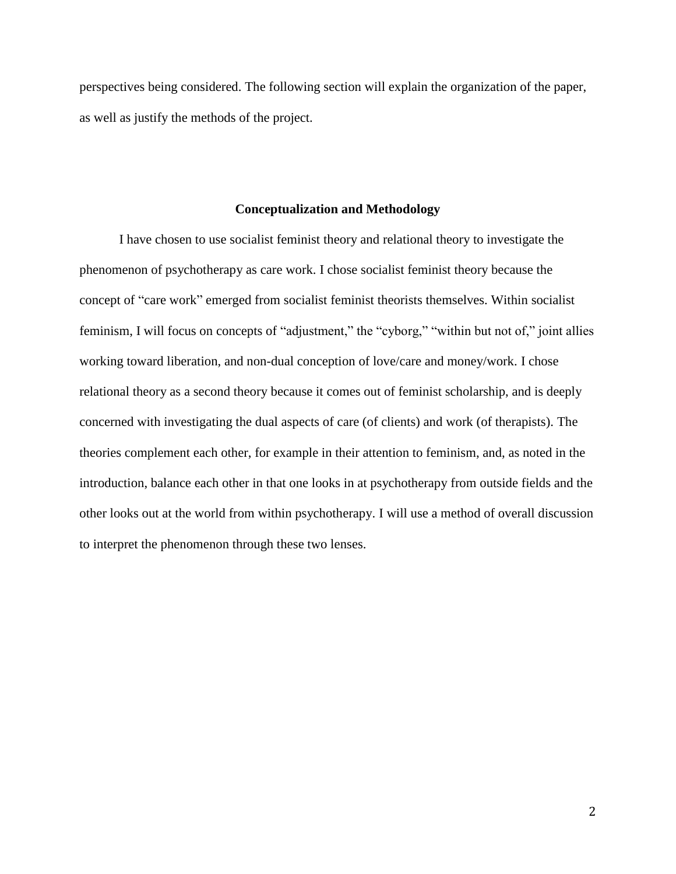perspectives being considered. The following section will explain the organization of the paper, as well as justify the methods of the project.

#### **Conceptualization and Methodology**

I have chosen to use socialist feminist theory and relational theory to investigate the phenomenon of psychotherapy as care work. I chose socialist feminist theory because the concept of "care work" emerged from socialist feminist theorists themselves. Within socialist feminism, I will focus on concepts of "adjustment," the "cyborg," "within but not of," joint allies working toward liberation, and non-dual conception of love/care and money/work. I chose relational theory as a second theory because it comes out of feminist scholarship, and is deeply concerned with investigating the dual aspects of care (of clients) and work (of therapists). The theories complement each other, for example in their attention to feminism, and, as noted in the introduction, balance each other in that one looks in at psychotherapy from outside fields and the other looks out at the world from within psychotherapy. I will use a method of overall discussion to interpret the phenomenon through these two lenses.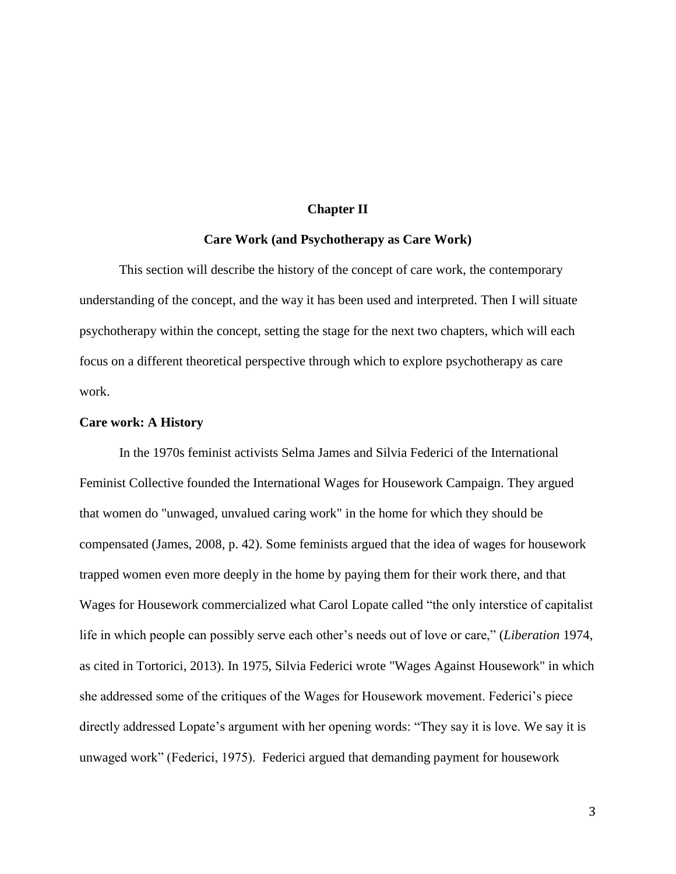#### **Chapter II**

#### **Care Work (and Psychotherapy as Care Work)**

This section will describe the history of the concept of care work, the contemporary understanding of the concept, and the way it has been used and interpreted. Then I will situate psychotherapy within the concept, setting the stage for the next two chapters, which will each focus on a different theoretical perspective through which to explore psychotherapy as care work.

#### **Care work: A History**

In the 1970s feminist activists Selma James and Silvia Federici of the International Feminist Collective founded the International Wages for Housework Campaign. They argued that women do "unwaged, unvalued caring work" in the home for which they should be compensated (James, 2008, p. 42). Some feminists argued that the idea of wages for housework trapped women even more deeply in the home by paying them for their work there, and that Wages for Housework commercialized what Carol Lopate called "the only interstice of capitalist life in which people can possibly serve each other's needs out of love or care," (*Liberation* 1974, as cited in Tortorici, 2013). In 1975, Silvia Federici wrote "Wages Against Housework" in which she addressed some of the critiques of the Wages for Housework movement. Federici's piece directly addressed Lopate's argument with her opening words: "They say it is love. We say it is unwaged work" (Federici, 1975). Federici argued that demanding payment for housework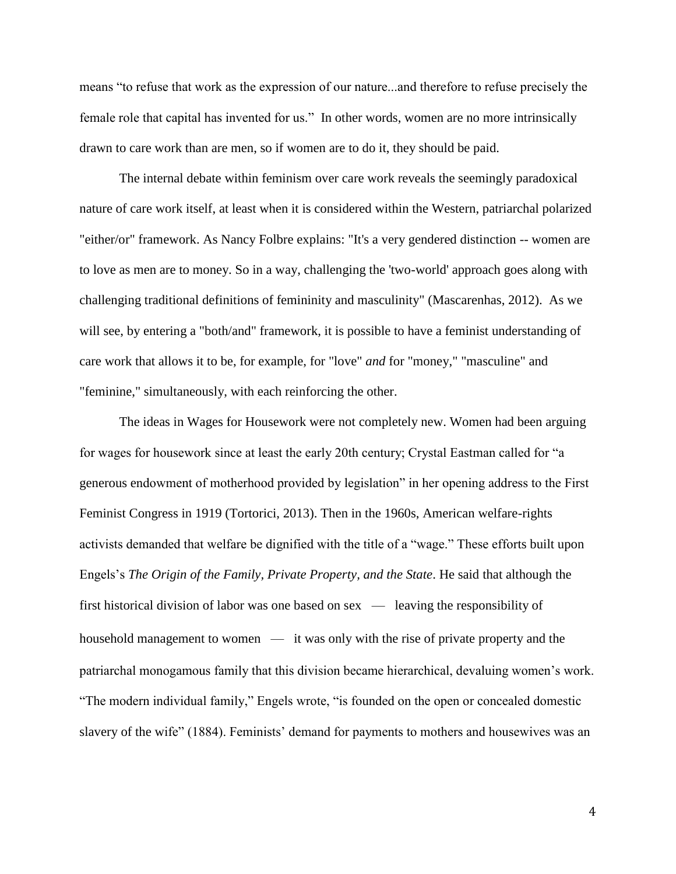means "to refuse that work as the expression of our nature...and therefore to refuse precisely the female role that capital has invented for us." In other words, women are no more intrinsically drawn to care work than are men, so if women are to do it, they should be paid.

The internal debate within feminism over care work reveals the seemingly paradoxical nature of care work itself, at least when it is considered within the Western, patriarchal polarized "either/or" framework. As Nancy Folbre explains: "It's a very gendered distinction -- women are to love as men are to money. So in a way, challenging the 'two-world' approach goes along with challenging traditional definitions of femininity and masculinity" (Mascarenhas, 2012). As we will see, by entering a "both/and" framework, it is possible to have a feminist understanding of care work that allows it to be, for example, for "love" *and* for "money," "masculine" and "feminine," simultaneously, with each reinforcing the other.

The ideas in Wages for Housework were not completely new. Women had been arguing for wages for housework since at least the early 20th century; Crystal Eastman called for "a generous endowment of motherhood provided by legislation" in her opening address to the First Feminist Congress in 1919 (Tortorici, 2013). Then in the 1960s, American welfare-rights activists demanded that welfare be dignified with the title of a "wage." These efforts built upon Engels's *The Origin of the Family, Private Property, and the State*. He said that although the first historical division of labor was one based on sex — leaving the responsibility of household management to women — it was only with the rise of private property and the patriarchal monogamous family that this division became hierarchical, devaluing women's work. "The modern individual family," Engels wrote, "is founded on the open or concealed domestic slavery of the wife" (1884). Feminists' demand for payments to mothers and housewives was an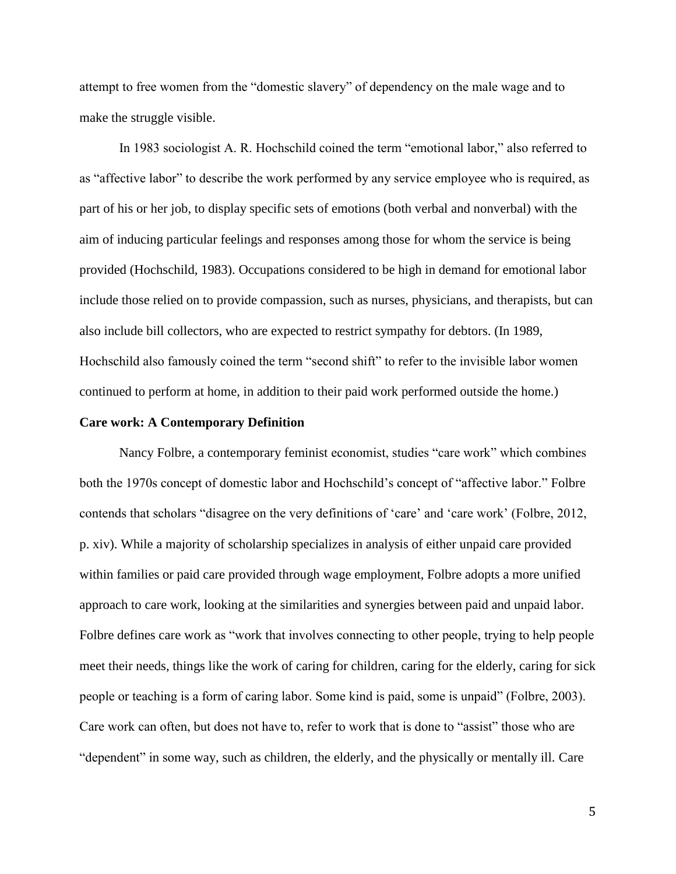attempt to free women from the "domestic slavery" of dependency on the male wage and to make the struggle visible.

In 1983 sociologist A. R. Hochschild coined the term "emotional labor," also referred to as "affective labor" to describe the work performed by any service employee who is required, as part of his or her job, to display specific sets of emotions (both verbal and nonverbal) with the aim of inducing particular feelings and responses among those for whom the service is being provided (Hochschild, 1983). Occupations considered to be high in demand for emotional labor include those relied on to provide compassion, such as nurses, physicians, and therapists, but can also include bill collectors, who are expected to restrict sympathy for debtors. (In 1989, Hochschild also famously coined the term "second shift" to refer to the invisible labor women continued to perform at home, in addition to their paid work performed outside the home.)

#### **Care work: A Contemporary Definition**

Nancy Folbre, a contemporary feminist economist, studies "care work" which combines both the 1970s concept of domestic labor and Hochschild's concept of "affective labor." Folbre contends that scholars "disagree on the very definitions of 'care' and 'care work' (Folbre, 2012, p. xiv). While a majority of scholarship specializes in analysis of either unpaid care provided within families or paid care provided through wage employment, Folbre adopts a more unified approach to care work, looking at the similarities and synergies between paid and unpaid labor. Folbre defines care work as "work that involves connecting to other people, trying to help people meet their needs, things like the work of caring for children, caring for the elderly, caring for sick people or teaching is a form of caring labor. Some kind is paid, some is unpaid" (Folbre, 2003). Care work can often, but does not have to, refer to work that is done to "assist" those who are "dependent" in some way, such as children, the elderly, and the physically or mentally ill. Care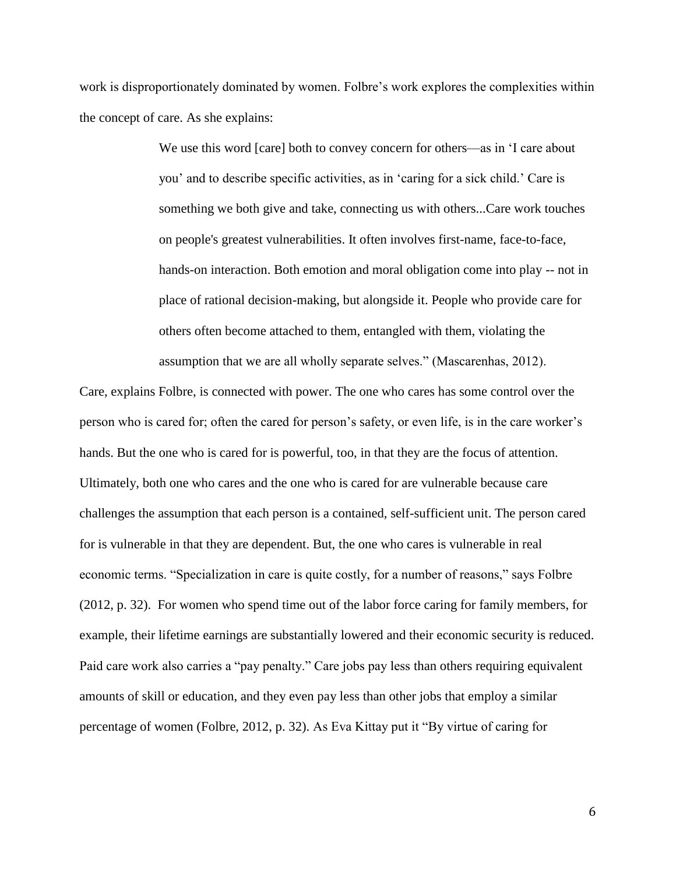work is disproportionately dominated by women. Folbre's work explores the complexities within the concept of care. As she explains:

> We use this word [care] both to convey concern for others—as in 'I care about you' and to describe specific activities, as in 'caring for a sick child.' Care is something we both give and take, connecting us with others...Care work touches on people's greatest vulnerabilities. It often involves first-name, face-to-face, hands-on interaction. Both emotion and moral obligation come into play -- not in place of rational decision-making, but alongside it. People who provide care for others often become attached to them, entangled with them, violating the assumption that we are all wholly separate selves." (Mascarenhas, 2012).

Care, explains Folbre, is connected with power. The one who cares has some control over the person who is cared for; often the cared for person's safety, or even life, is in the care worker's hands. But the one who is cared for is powerful, too, in that they are the focus of attention. Ultimately, both one who cares and the one who is cared for are vulnerable because care challenges the assumption that each person is a contained, self-sufficient unit. The person cared for is vulnerable in that they are dependent. But, the one who cares is vulnerable in real economic terms. "Specialization in care is quite costly, for a number of reasons," says Folbre (2012, p. 32). For women who spend time out of the labor force caring for family members, for example, their lifetime earnings are substantially lowered and their economic security is reduced. Paid care work also carries a "pay penalty." Care jobs pay less than others requiring equivalent amounts of skill or education, and they even pay less than other jobs that employ a similar percentage of women (Folbre, 2012, p. 32). As Eva Kittay put it "By virtue of caring for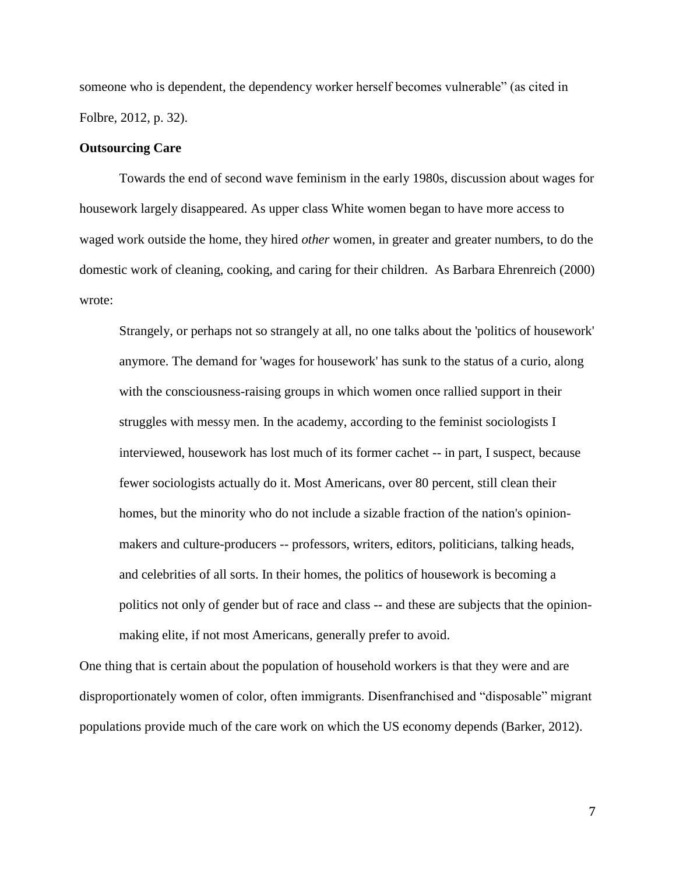someone who is dependent, the dependency worker herself becomes vulnerable" (as cited in Folbre, 2012, p. 32).

#### **Outsourcing Care**

Towards the end of second wave feminism in the early 1980s, discussion about wages for housework largely disappeared. As upper class White women began to have more access to waged work outside the home, they hired *other* women, in greater and greater numbers, to do the domestic work of cleaning, cooking, and caring for their children. As Barbara Ehrenreich (2000) wrote:

Strangely, or perhaps not so strangely at all, no one talks about the 'politics of housework' anymore. The demand for 'wages for housework' has sunk to the status of a curio, along with the consciousness-raising groups in which women once rallied support in their struggles with messy men. In the academy, according to the feminist sociologists I interviewed, housework has lost much of its former cachet -- in part, I suspect, because fewer sociologists actually do it. Most Americans, over 80 percent, still clean their homes, but the minority who do not include a sizable fraction of the nation's opinionmakers and culture-producers -- professors, writers, editors, politicians, talking heads, and celebrities of all sorts. In their homes, the politics of housework is becoming a politics not only of gender but of race and class -- and these are subjects that the opinionmaking elite, if not most Americans, generally prefer to avoid.

One thing that is certain about the population of household workers is that they were and are disproportionately women of color, often immigrants. Disenfranchised and "disposable" migrant populations provide much of the care work on which the US economy depends (Barker, 2012).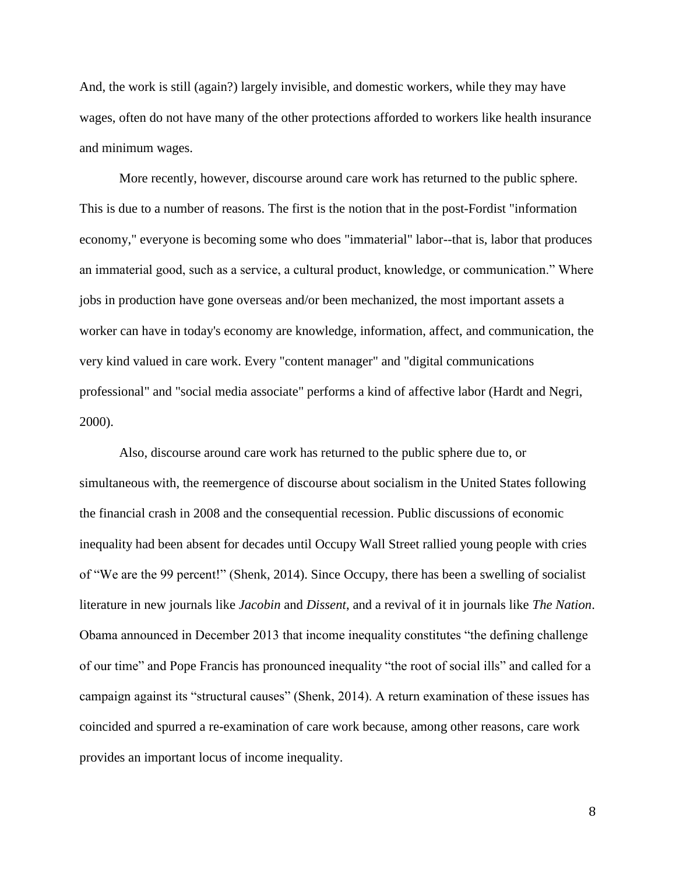And, the work is still (again?) largely invisible, and domestic workers, while they may have wages, often do not have many of the other protections afforded to workers like health insurance and minimum wages.

More recently, however, discourse around care work has returned to the public sphere. This is due to a number of reasons. The first is the notion that in the post-Fordist "information economy," everyone is becoming some who does "immaterial" labor--that is, labor that produces an immaterial good, such as a service, a cultural product, knowledge, or communication." Where jobs in production have gone overseas and/or been mechanized, the most important assets a worker can have in today's economy are knowledge, information, affect, and communication, the very kind valued in care work. Every "content manager" and "digital communications professional" and "social media associate" performs a kind of affective labor (Hardt and Negri, 2000).

Also, discourse around care work has returned to the public sphere due to, or simultaneous with, the reemergence of discourse about socialism in the United States following the financial crash in 2008 and the consequential recession. Public discussions of economic inequality had been absent for decades until Occupy Wall Street rallied young people with cries of "We are the 99 percent!" (Shenk, 2014). Since Occupy, there has been a swelling of socialist literature in new journals like *Jacobin* and *Dissent*, and a revival of it in journals like *The Nation*. Obama announced in December 2013 that income inequality constitutes "the defining challenge of our time" and Pope Francis has pronounced inequality "the root of social ills" and called for a campaign against its "structural causes" (Shenk, 2014). A return examination of these issues has coincided and spurred a re-examination of care work because, among other reasons, care work provides an important locus of income inequality.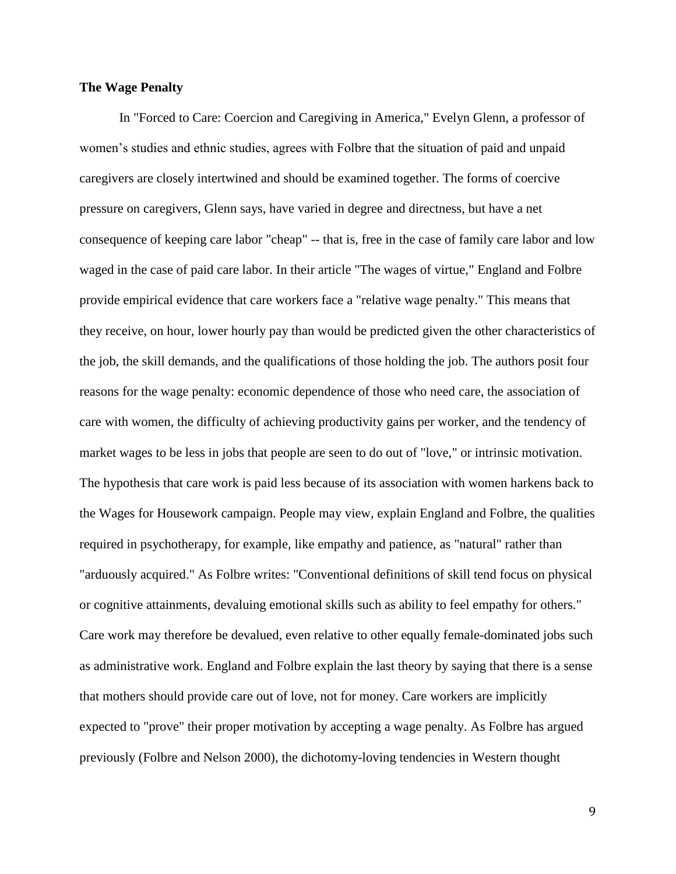#### **The Wage Penalty**

In "Forced to Care: Coercion and Caregiving in America," Evelyn Glenn, a professor of women's studies and ethnic studies, agrees with Folbre that the situation of paid and unpaid caregivers are closely intertwined and should be examined together. The forms of coercive pressure on caregivers, Glenn says, have varied in degree and directness, but have a net consequence of keeping care labor "cheap" -- that is, free in the case of family care labor and low waged in the case of paid care labor. In their article "The wages of virtue," England and Folbre provide empirical evidence that care workers face a "relative wage penalty." This means that they receive, on hour, lower hourly pay than would be predicted given the other characteristics of the job, the skill demands, and the qualifications of those holding the job. The authors posit four reasons for the wage penalty: economic dependence of those who need care, the association of care with women, the difficulty of achieving productivity gains per worker, and the tendency of market wages to be less in jobs that people are seen to do out of "love," or intrinsic motivation. The hypothesis that care work is paid less because of its association with women harkens back to the Wages for Housework campaign. People may view, explain England and Folbre, the qualities required in psychotherapy, for example, like empathy and patience, as "natural" rather than "arduously acquired." As Folbre writes: "Conventional definitions of skill tend focus on physical or cognitive attainments, devaluing emotional skills such as ability to feel empathy for others." Care work may therefore be devalued, even relative to other equally female-dominated jobs such as administrative work. England and Folbre explain the last theory by saying that there is a sense that mothers should provide care out of love, not for money. Care workers are implicitly expected to "prove" their proper motivation by accepting a wage penalty. As Folbre has argued previously (Folbre and Nelson 2000), the dichotomy-loving tendencies in Western thought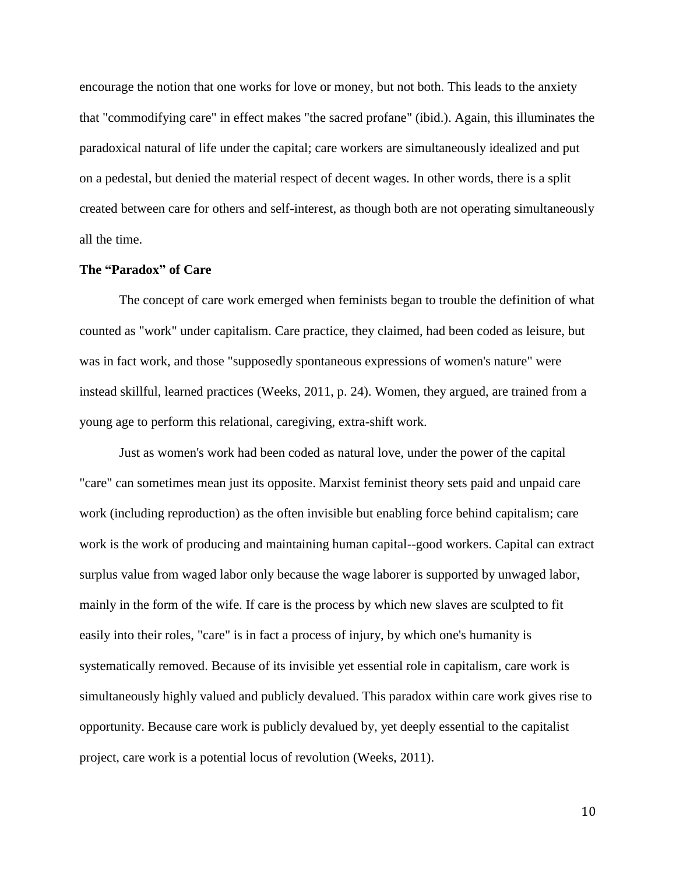encourage the notion that one works for love or money, but not both. This leads to the anxiety that "commodifying care" in effect makes "the sacred profane" (ibid.). Again, this illuminates the paradoxical natural of life under the capital; care workers are simultaneously idealized and put on a pedestal, but denied the material respect of decent wages. In other words, there is a split created between care for others and self-interest, as though both are not operating simultaneously all the time.

#### **The "Paradox" of Care**

The concept of care work emerged when feminists began to trouble the definition of what counted as "work" under capitalism. Care practice, they claimed, had been coded as leisure, but was in fact work, and those "supposedly spontaneous expressions of women's nature" were instead skillful, learned practices (Weeks, 2011, p. 24). Women, they argued, are trained from a young age to perform this relational, caregiving, extra-shift work.

Just as women's work had been coded as natural love, under the power of the capital "care" can sometimes mean just its opposite. Marxist feminist theory sets paid and unpaid care work (including reproduction) as the often invisible but enabling force behind capitalism; care work is the work of producing and maintaining human capital--good workers. Capital can extract surplus value from waged labor only because the wage laborer is supported by unwaged labor, mainly in the form of the wife. If care is the process by which new slaves are sculpted to fit easily into their roles, "care" is in fact a process of injury, by which one's humanity is systematically removed. Because of its invisible yet essential role in capitalism, care work is simultaneously highly valued and publicly devalued. This paradox within care work gives rise to opportunity. Because care work is publicly devalued by, yet deeply essential to the capitalist project, care work is a potential locus of revolution (Weeks, 2011).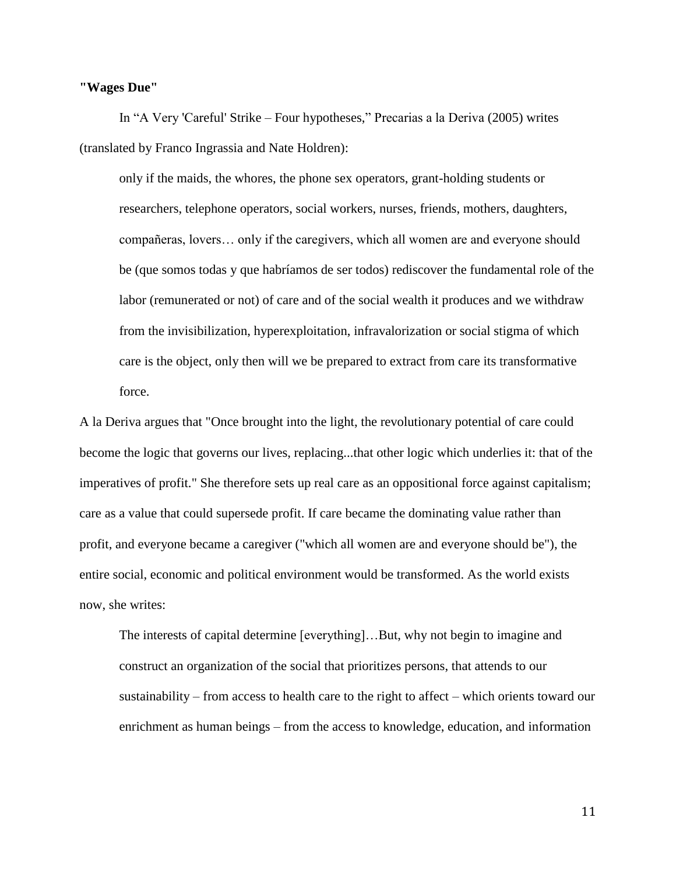#### **"Wages Due"**

In "A Very 'Careful' Strike – Four hypotheses," Precarias a la Deriva (2005) writes (translated by Franco Ingrassia and Nate Holdren):

only if the maids, the whores, the phone sex operators, grant-holding students or researchers, telephone operators, social workers, nurses, friends, mothers, daughters, compañeras, lovers… only if the caregivers, which all women are and everyone should be (que somos todas y que habríamos de ser todos) rediscover the fundamental role of the labor (remunerated or not) of care and of the social wealth it produces and we withdraw from the invisibilization, hyperexploitation, infravalorization or social stigma of which care is the object, only then will we be prepared to extract from care its transformative force.

A la Deriva argues that "Once brought into the light, the revolutionary potential of care could become the logic that governs our lives, replacing...that other logic which underlies it: that of the imperatives of profit." She therefore sets up real care as an oppositional force against capitalism; care as a value that could supersede profit. If care became the dominating value rather than profit, and everyone became a caregiver ("which all women are and everyone should be"), the entire social, economic and political environment would be transformed. As the world exists now, she writes:

The interests of capital determine [everything]…But, why not begin to imagine and construct an organization of the social that prioritizes persons, that attends to our sustainability – from access to health care to the right to affect – which orients toward our enrichment as human beings – from the access to knowledge, education, and information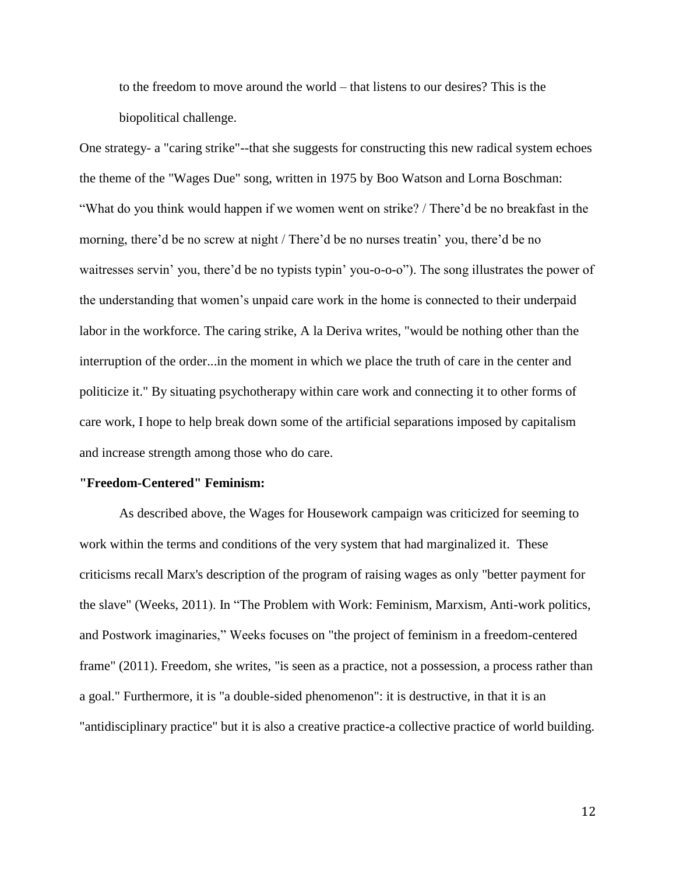to the freedom to move around the world – that listens to our desires? This is the biopolitical challenge.

One strategy- a "caring strike"--that she suggests for constructing this new radical system echoes the theme of the "Wages Due" song, written in 1975 by Boo Watson and Lorna Boschman: "What do you think would happen if we women went on strike? / There'd be no breakfast in the morning, there'd be no screw at night / There'd be no nurses treatin' you, there'd be no waitresses servin' you, there'd be no typists typin' you-o-o-o"). The song illustrates the power of the understanding that women's unpaid care work in the home is connected to their underpaid labor in the workforce. The caring strike, A la Deriva writes, "would be nothing other than the interruption of the order...in the moment in which we place the truth of care in the center and politicize it." By situating psychotherapy within care work and connecting it to other forms of care work, I hope to help break down some of the artificial separations imposed by capitalism and increase strength among those who do care.

#### **"Freedom-Centered" Feminism:**

As described above, the Wages for Housework campaign was criticized for seeming to work within the terms and conditions of the very system that had marginalized it. These criticisms recall Marx's description of the program of raising wages as only "better payment for the slave" (Weeks, 2011). In "The Problem with Work: Feminism, Marxism, Anti-work politics, and Postwork imaginaries," Weeks focuses on "the project of feminism in a freedom-centered frame" (2011). Freedom, she writes, "is seen as a practice, not a possession, a process rather than a goal." Furthermore, it is "a double-sided phenomenon": it is destructive, in that it is an "antidisciplinary practice" but it is also a creative practice-a collective practice of world building.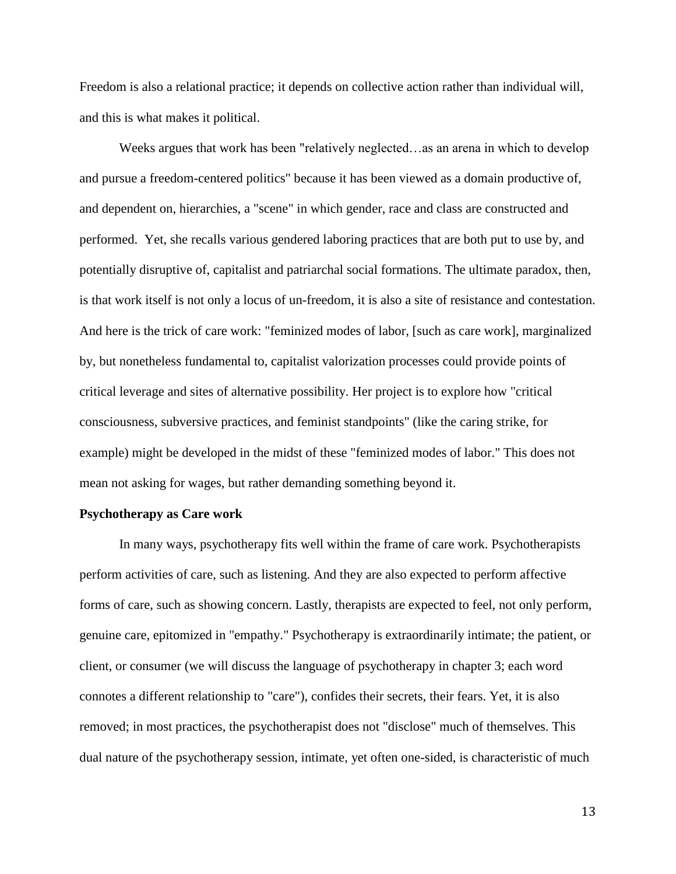Freedom is also a relational practice; it depends on collective action rather than individual will, and this is what makes it political.

Weeks argues that work has been "relatively neglected…as an arena in which to develop and pursue a freedom-centered politics" because it has been viewed as a domain productive of, and dependent on, hierarchies, a "scene" in which gender, race and class are constructed and performed. Yet, she recalls various gendered laboring practices that are both put to use by, and potentially disruptive of, capitalist and patriarchal social formations. The ultimate paradox, then, is that work itself is not only a locus of un-freedom, it is also a site of resistance and contestation. And here is the trick of care work: "feminized modes of labor, [such as care work], marginalized by, but nonetheless fundamental to, capitalist valorization processes could provide points of critical leverage and sites of alternative possibility. Her project is to explore how "critical consciousness, subversive practices, and feminist standpoints" (like the caring strike, for example) might be developed in the midst of these "feminized modes of labor." This does not mean not asking for wages, but rather demanding something beyond it.

#### **Psychotherapy as Care work**

In many ways, psychotherapy fits well within the frame of care work. Psychotherapists perform activities of care, such as listening. And they are also expected to perform affective forms of care, such as showing concern. Lastly, therapists are expected to feel, not only perform, genuine care, epitomized in "empathy." Psychotherapy is extraordinarily intimate; the patient, or client, or consumer (we will discuss the language of psychotherapy in chapter 3; each word connotes a different relationship to "care"), confides their secrets, their fears. Yet, it is also removed; in most practices, the psychotherapist does not "disclose" much of themselves. This dual nature of the psychotherapy session, intimate, yet often one-sided, is characteristic of much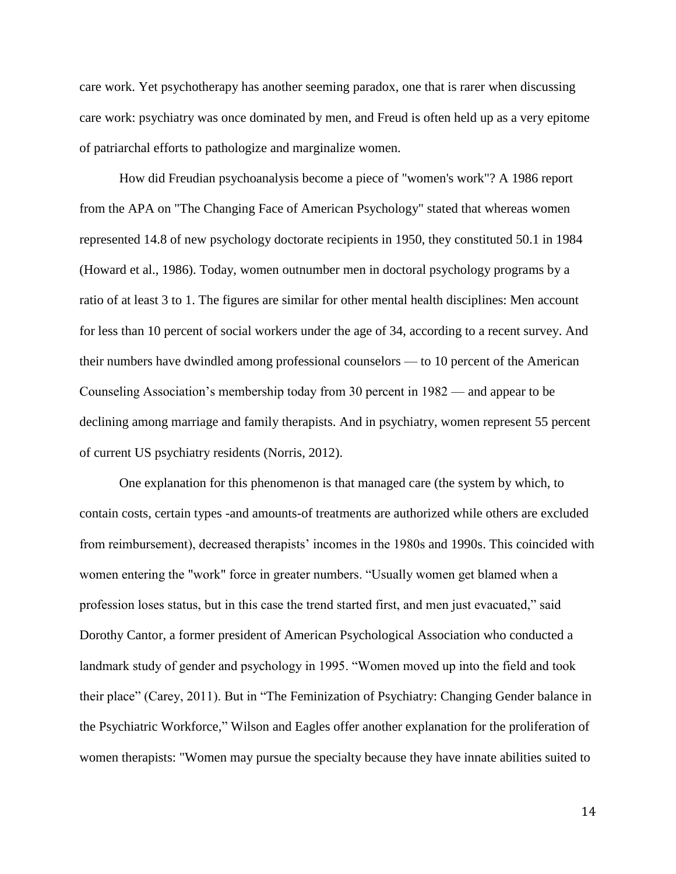care work. Yet psychotherapy has another seeming paradox, one that is rarer when discussing care work: psychiatry was once dominated by men, and Freud is often held up as a very epitome of patriarchal efforts to pathologize and marginalize women.

How did Freudian psychoanalysis become a piece of "women's work"? A 1986 report from the APA on "The Changing Face of American Psychology" stated that whereas women represented 14.8 of new psychology doctorate recipients in 1950, they constituted 50.1 in 1984 (Howard et al., 1986). Today, women outnumber men in doctoral psychology programs by a ratio of at least 3 to 1. The figures are similar for other mental health disciplines: Men account for less than 10 percent of social workers under the age of 34, according to a recent survey. And their numbers have dwindled among professional counselors — to 10 percent of the American Counseling Association's membership today from 30 percent in 1982 — and appear to be declining among marriage and family therapists. And in psychiatry, women represent 55 percent of current US psychiatry residents (Norris, 2012).

One explanation for this phenomenon is that managed care (the system by which, to contain costs, certain types -and amounts-of treatments are authorized while others are excluded from reimbursement), decreased therapists' incomes in the 1980s and 1990s. This coincided with women entering the "work" force in greater numbers. "Usually women get blamed when a profession loses status, but in this case the trend started first, and men just evacuated," said Dorothy Cantor, a former president of American Psychological Association who conducted a landmark study of gender and psychology in 1995. "Women moved up into the field and took their place" (Carey, 2011). But in "The Feminization of Psychiatry: Changing Gender balance in the Psychiatric Workforce," Wilson and Eagles offer another explanation for the proliferation of women therapists: "Women may pursue the specialty because they have innate abilities suited to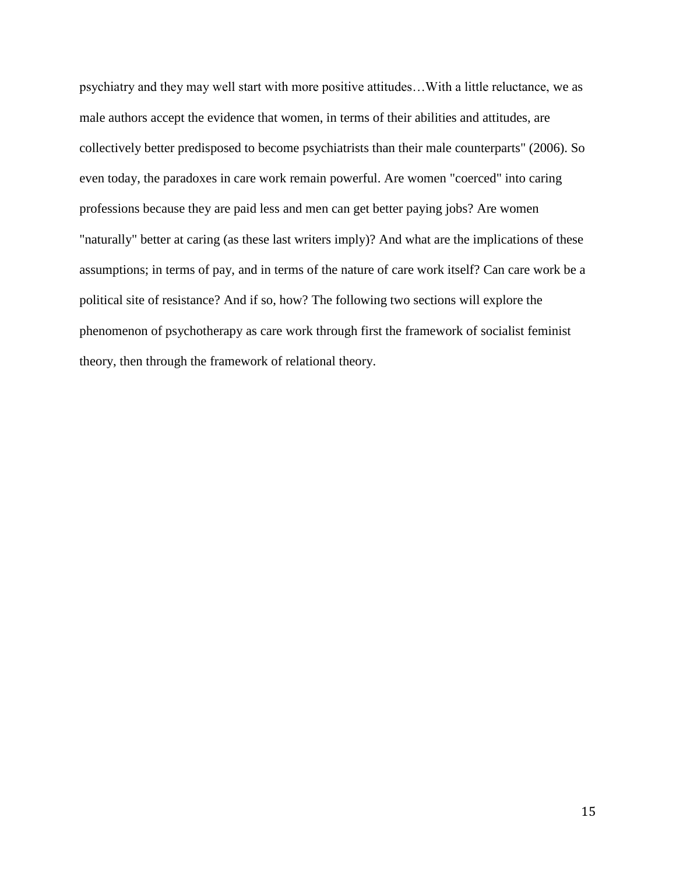psychiatry and they may well start with more positive attitudes…With a little reluctance, we as male authors accept the evidence that women, in terms of their abilities and attitudes, are collectively better predisposed to become psychiatrists than their male counterparts" (2006). So even today, the paradoxes in care work remain powerful. Are women "coerced" into caring professions because they are paid less and men can get better paying jobs? Are women "naturally" better at caring (as these last writers imply)? And what are the implications of these assumptions; in terms of pay, and in terms of the nature of care work itself? Can care work be a political site of resistance? And if so, how? The following two sections will explore the phenomenon of psychotherapy as care work through first the framework of socialist feminist theory, then through the framework of relational theory.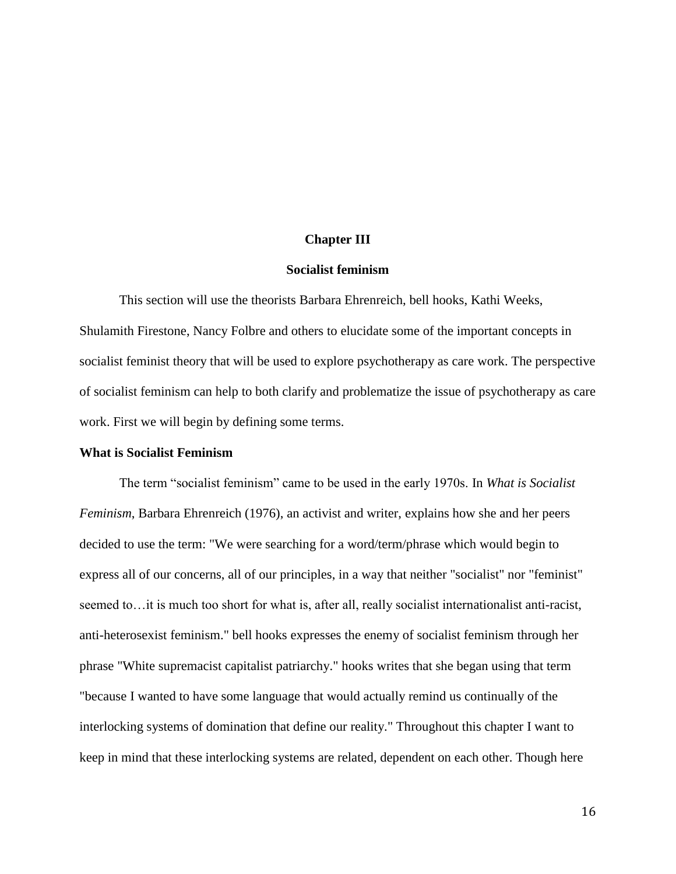#### **Chapter III**

#### **Socialist feminism**

This section will use the theorists Barbara Ehrenreich, bell hooks, Kathi Weeks, Shulamith Firestone, Nancy Folbre and others to elucidate some of the important concepts in socialist feminist theory that will be used to explore psychotherapy as care work. The perspective of socialist feminism can help to both clarify and problematize the issue of psychotherapy as care work. First we will begin by defining some terms.

#### **What is Socialist Feminism**

The term "socialist feminism" came to be used in the early 1970s. In *What is Socialist Feminism*, Barbara Ehrenreich (1976), an activist and writer, explains how she and her peers decided to use the term: "We were searching for a word/term/phrase which would begin to express all of our concerns, all of our principles, in a way that neither "socialist" nor "feminist" seemed to...it is much too short for what is, after all, really socialist internationalist anti-racist, anti-heterosexist feminism." bell hooks expresses the enemy of socialist feminism through her phrase "White supremacist capitalist patriarchy." hooks writes that she began using that term "because I wanted to have some language that would actually remind us continually of the interlocking systems of domination that define our reality." Throughout this chapter I want to keep in mind that these interlocking systems are related, dependent on each other. Though here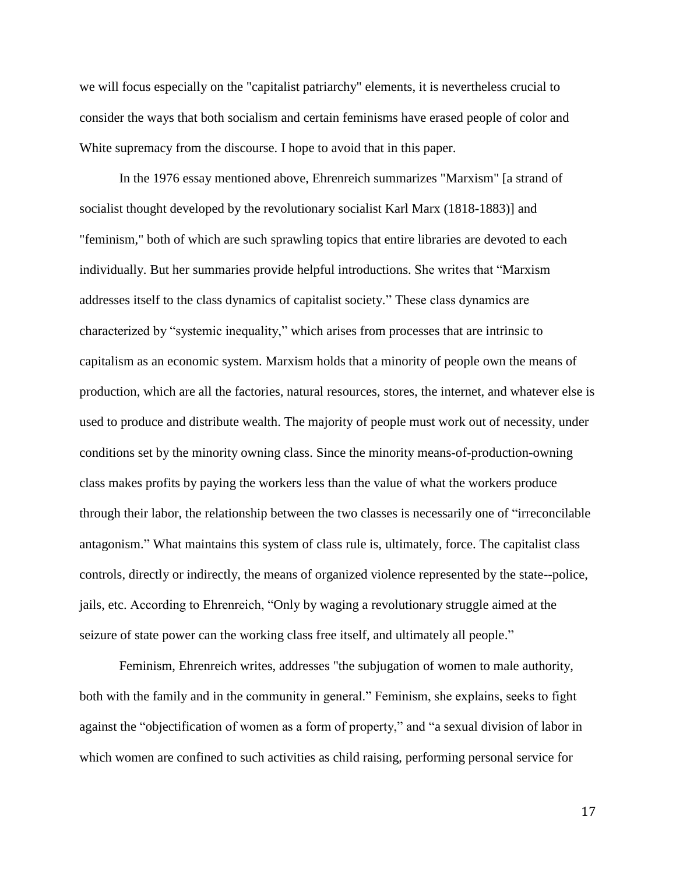we will focus especially on the "capitalist patriarchy" elements, it is nevertheless crucial to consider the ways that both socialism and certain feminisms have erased people of color and White supremacy from the discourse. I hope to avoid that in this paper.

In the 1976 essay mentioned above, Ehrenreich summarizes "Marxism" [a strand of socialist thought developed by the revolutionary socialist Karl Marx (1818-1883)] and "feminism," both of which are such sprawling topics that entire libraries are devoted to each individually. But her summaries provide helpful introductions. She writes that "Marxism addresses itself to the class dynamics of capitalist society." These class dynamics are characterized by "systemic inequality," which arises from processes that are intrinsic to capitalism as an economic system. Marxism holds that a minority of people own the means of production, which are all the factories, natural resources, stores, the internet, and whatever else is used to produce and distribute wealth. The majority of people must work out of necessity, under conditions set by the minority owning class. Since the minority means-of-production-owning class makes profits by paying the workers less than the value of what the workers produce through their labor, the relationship between the two classes is necessarily one of "irreconcilable antagonism." What maintains this system of class rule is, ultimately, force. The capitalist class controls, directly or indirectly, the means of organized violence represented by the state--police, jails, etc. According to Ehrenreich, "Only by waging a revolutionary struggle aimed at the seizure of state power can the working class free itself, and ultimately all people."

Feminism, Ehrenreich writes, addresses "the subjugation of women to male authority, both with the family and in the community in general." Feminism, she explains, seeks to fight against the "objectification of women as a form of property," and "a sexual division of labor in which women are confined to such activities as child raising, performing personal service for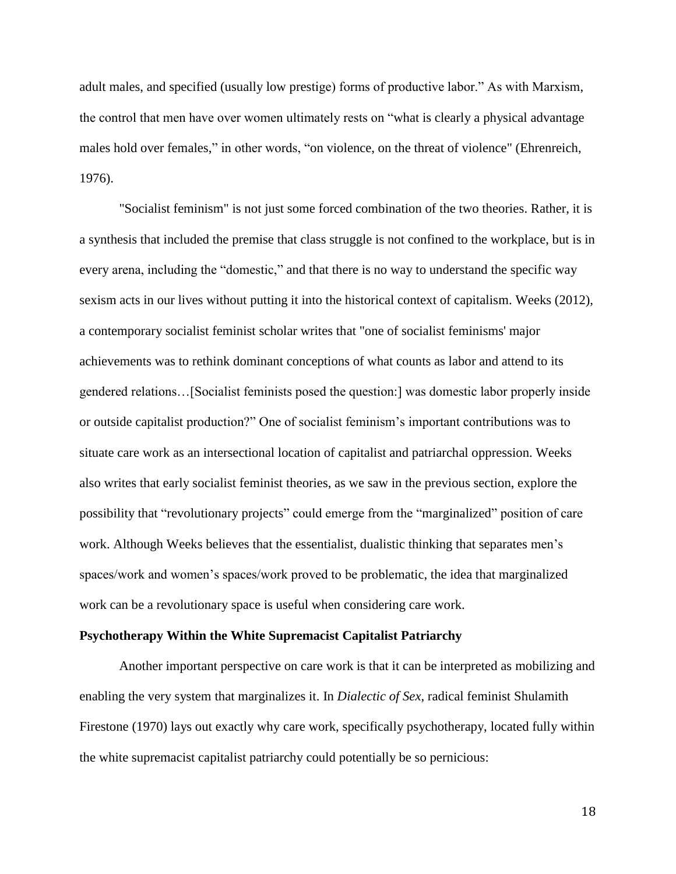adult males, and specified (usually low prestige) forms of productive labor." As with Marxism, the control that men have over women ultimately rests on "what is clearly a physical advantage males hold over females," in other words, "on violence, on the threat of violence" (Ehrenreich, 1976).

"Socialist feminism" is not just some forced combination of the two theories. Rather, it is a synthesis that included the premise that class struggle is not confined to the workplace, but is in every arena, including the "domestic," and that there is no way to understand the specific way sexism acts in our lives without putting it into the historical context of capitalism. Weeks (2012), a contemporary socialist feminist scholar writes that "one of socialist feminisms' major achievements was to rethink dominant conceptions of what counts as labor and attend to its gendered relations…[Socialist feminists posed the question:] was domestic labor properly inside or outside capitalist production?" One of socialist feminism's important contributions was to situate care work as an intersectional location of capitalist and patriarchal oppression. Weeks also writes that early socialist feminist theories, as we saw in the previous section, explore the possibility that "revolutionary projects" could emerge from the "marginalized" position of care work. Although Weeks believes that the essentialist, dualistic thinking that separates men's spaces/work and women's spaces/work proved to be problematic, the idea that marginalized work can be a revolutionary space is useful when considering care work.

#### **Psychotherapy Within the White Supremacist Capitalist Patriarchy**

Another important perspective on care work is that it can be interpreted as mobilizing and enabling the very system that marginalizes it. In *Dialectic of Sex*, radical feminist Shulamith Firestone (1970) lays out exactly why care work, specifically psychotherapy, located fully within the white supremacist capitalist patriarchy could potentially be so pernicious: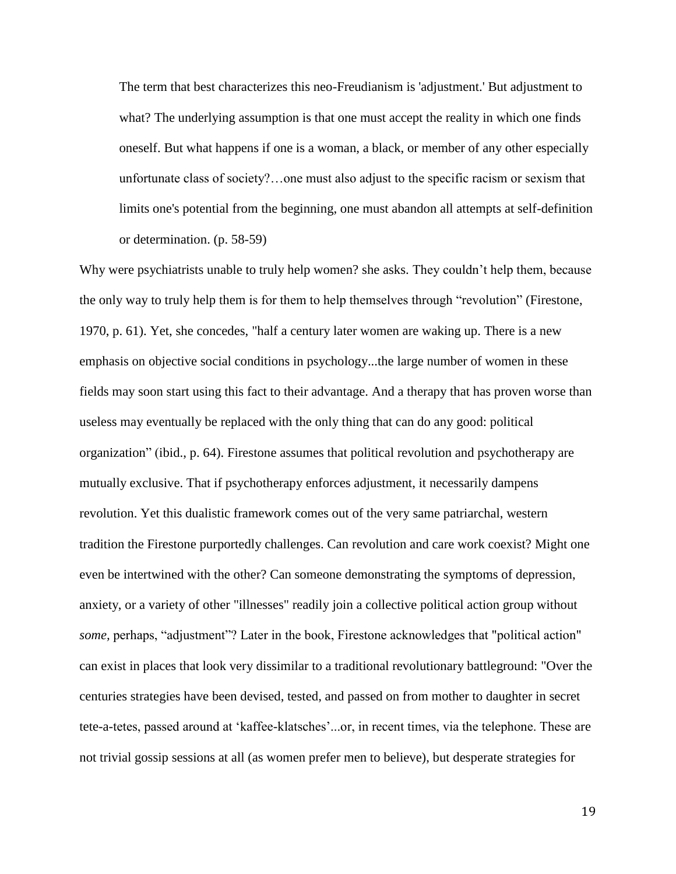The term that best characterizes this neo-Freudianism is 'adjustment.' But adjustment to what? The underlying assumption is that one must accept the reality in which one finds oneself. But what happens if one is a woman, a black, or member of any other especially unfortunate class of society?…one must also adjust to the specific racism or sexism that limits one's potential from the beginning, one must abandon all attempts at self-definition or determination. (p. 58-59)

Why were psychiatrists unable to truly help women? she asks. They couldn't help them, because the only way to truly help them is for them to help themselves through "revolution" (Firestone, 1970, p. 61). Yet, she concedes, "half a century later women are waking up. There is a new emphasis on objective social conditions in psychology...the large number of women in these fields may soon start using this fact to their advantage. And a therapy that has proven worse than useless may eventually be replaced with the only thing that can do any good: political organization" (ibid., p. 64). Firestone assumes that political revolution and psychotherapy are mutually exclusive. That if psychotherapy enforces adjustment, it necessarily dampens revolution. Yet this dualistic framework comes out of the very same patriarchal, western tradition the Firestone purportedly challenges. Can revolution and care work coexist? Might one even be intertwined with the other? Can someone demonstrating the symptoms of depression, anxiety, or a variety of other "illnesses" readily join a collective political action group without *some,* perhaps, "adjustment"? Later in the book, Firestone acknowledges that "political action" can exist in places that look very dissimilar to a traditional revolutionary battleground: "Over the centuries strategies have been devised, tested, and passed on from mother to daughter in secret tete-a-tetes, passed around at 'kaffee-klatsches'...or, in recent times, via the telephone. These are not trivial gossip sessions at all (as women prefer men to believe), but desperate strategies for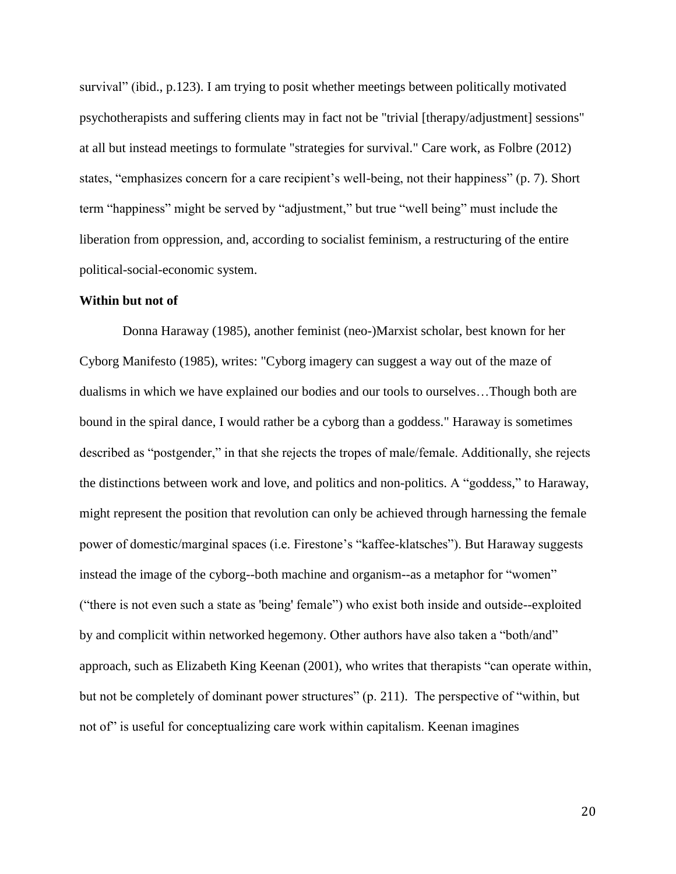survival" (ibid., p.123). I am trying to posit whether meetings between politically motivated psychotherapists and suffering clients may in fact not be "trivial [therapy/adjustment] sessions" at all but instead meetings to formulate "strategies for survival." Care work, as Folbre (2012) states, "emphasizes concern for a care recipient's well-being, not their happiness" (p. 7). Short term "happiness" might be served by "adjustment," but true "well being" must include the liberation from oppression, and, according to socialist feminism, a restructuring of the entire political-social-economic system.

#### **Within but not of**

Donna Haraway (1985), another feminist (neo-)Marxist scholar, best known for her Cyborg Manifesto (1985), writes: "Cyborg imagery can suggest a way out of the maze of dualisms in which we have explained our bodies and our tools to ourselves…Though both are bound in the spiral dance, I would rather be a cyborg than a goddess." Haraway is sometimes described as "postgender," in that she rejects the tropes of male/female. Additionally, she rejects the distinctions between work and love, and politics and non-politics. A "goddess," to Haraway, might represent the position that revolution can only be achieved through harnessing the female power of domestic/marginal spaces (i.e. Firestone's "kaffee-klatsches"). But Haraway suggests instead the image of the cyborg--both machine and organism--as a metaphor for "women" ("there is not even such a state as 'being' female") who exist both inside and outside--exploited by and complicit within networked hegemony. Other authors have also taken a "both/and" approach, such as Elizabeth King Keenan (2001), who writes that therapists "can operate within, but not be completely of dominant power structures" (p. 211). The perspective of "within, but not of" is useful for conceptualizing care work within capitalism. Keenan imagines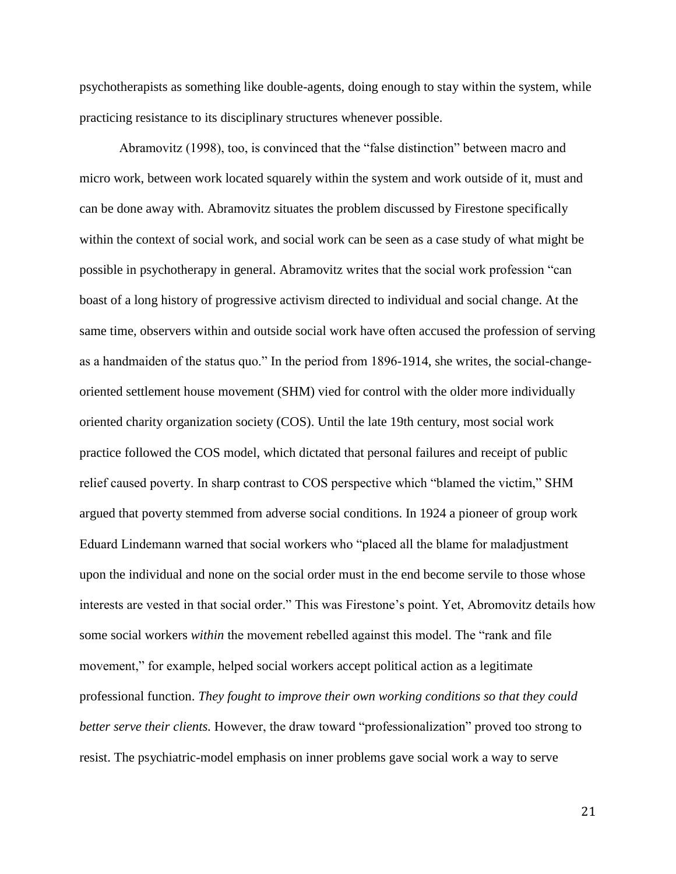psychotherapists as something like double-agents, doing enough to stay within the system, while practicing resistance to its disciplinary structures whenever possible.

Abramovitz (1998), too, is convinced that the "false distinction" between macro and micro work, between work located squarely within the system and work outside of it, must and can be done away with. Abramovitz situates the problem discussed by Firestone specifically within the context of social work, and social work can be seen as a case study of what might be possible in psychotherapy in general. Abramovitz writes that the social work profession "can boast of a long history of progressive activism directed to individual and social change. At the same time, observers within and outside social work have often accused the profession of serving as a handmaiden of the status quo." In the period from 1896-1914, she writes, the social-changeoriented settlement house movement (SHM) vied for control with the older more individually oriented charity organization society (COS). Until the late 19th century, most social work practice followed the COS model, which dictated that personal failures and receipt of public relief caused poverty. In sharp contrast to COS perspective which "blamed the victim," SHM argued that poverty stemmed from adverse social conditions. In 1924 a pioneer of group work Eduard Lindemann warned that social workers who "placed all the blame for maladjustment upon the individual and none on the social order must in the end become servile to those whose interests are vested in that social order." This was Firestone's point. Yet, Abromovitz details how some social workers *within* the movement rebelled against this model. The "rank and file movement," for example, helped social workers accept political action as a legitimate professional function. *They fought to improve their own working conditions so that they could better serve their clients.* However, the draw toward "professionalization" proved too strong to resist. The psychiatric-model emphasis on inner problems gave social work a way to serve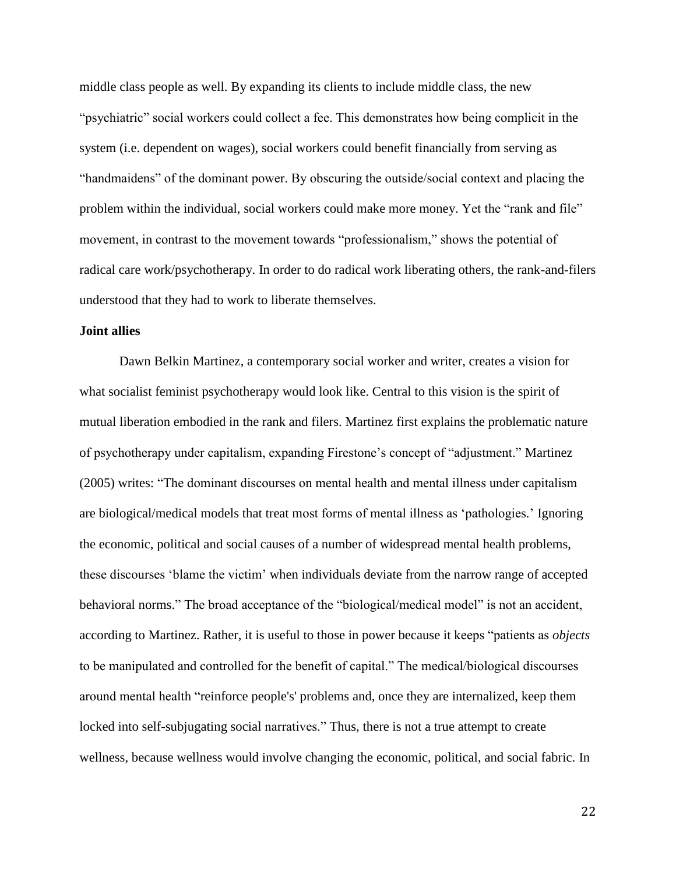middle class people as well. By expanding its clients to include middle class, the new "psychiatric" social workers could collect a fee. This demonstrates how being complicit in the system (i.e. dependent on wages), social workers could benefit financially from serving as "handmaidens" of the dominant power. By obscuring the outside/social context and placing the problem within the individual, social workers could make more money. Yet the "rank and file" movement, in contrast to the movement towards "professionalism," shows the potential of radical care work/psychotherapy. In order to do radical work liberating others, the rank-and-filers understood that they had to work to liberate themselves.

#### **Joint allies**

Dawn Belkin Martinez, a contemporary social worker and writer, creates a vision for what socialist feminist psychotherapy would look like. Central to this vision is the spirit of mutual liberation embodied in the rank and filers. Martinez first explains the problematic nature of psychotherapy under capitalism, expanding Firestone's concept of "adjustment." Martinez (2005) writes: "The dominant discourses on mental health and mental illness under capitalism are biological/medical models that treat most forms of mental illness as 'pathologies.' Ignoring the economic, political and social causes of a number of widespread mental health problems, these discourses 'blame the victim' when individuals deviate from the narrow range of accepted behavioral norms." The broad acceptance of the "biological/medical model" is not an accident, according to Martinez. Rather, it is useful to those in power because it keeps "patients as *objects* to be manipulated and controlled for the benefit of capital." The medical/biological discourses around mental health "reinforce people's' problems and, once they are internalized, keep them locked into self-subjugating social narratives." Thus, there is not a true attempt to create wellness, because wellness would involve changing the economic, political, and social fabric. In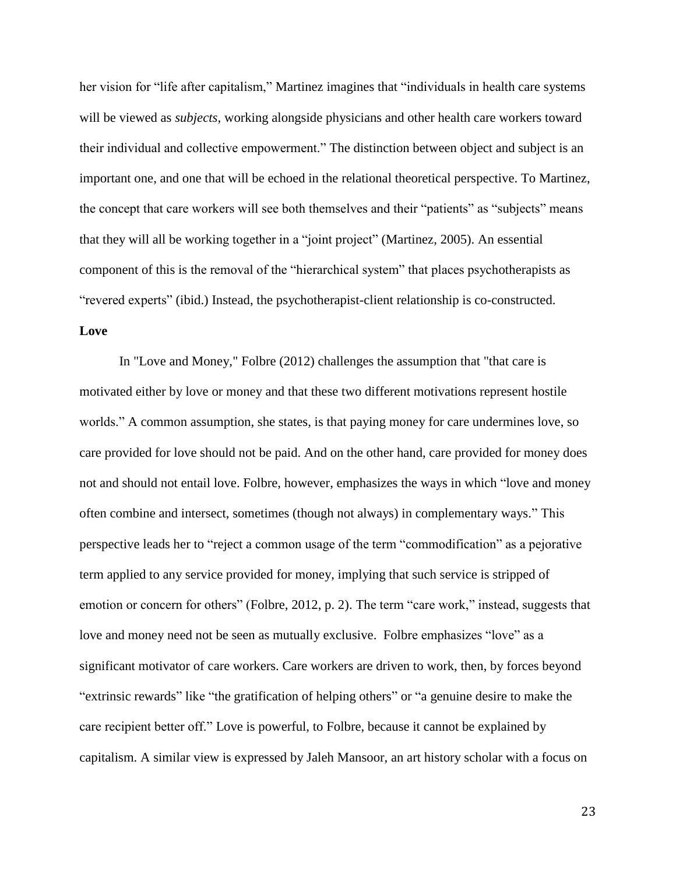her vision for "life after capitalism," Martinez imagines that "individuals in health care systems will be viewed as *subjects*, working alongside physicians and other health care workers toward their individual and collective empowerment." The distinction between object and subject is an important one, and one that will be echoed in the relational theoretical perspective. To Martinez, the concept that care workers will see both themselves and their "patients" as "subjects" means that they will all be working together in a "joint project" (Martinez, 2005). An essential component of this is the removal of the "hierarchical system" that places psychotherapists as "revered experts" (ibid.) Instead, the psychotherapist-client relationship is co-constructed.

### **Love**

In "Love and Money," Folbre (2012) challenges the assumption that "that care is motivated either by love or money and that these two different motivations represent hostile worlds." A common assumption, she states, is that paying money for care undermines love, so care provided for love should not be paid. And on the other hand, care provided for money does not and should not entail love. Folbre, however, emphasizes the ways in which "love and money often combine and intersect, sometimes (though not always) in complementary ways." This perspective leads her to "reject a common usage of the term "commodification" as a pejorative term applied to any service provided for money, implying that such service is stripped of emotion or concern for others" (Folbre, 2012, p. 2). The term "care work," instead, suggests that love and money need not be seen as mutually exclusive. Folbre emphasizes "love" as a significant motivator of care workers. Care workers are driven to work, then, by forces beyond "extrinsic rewards" like "the gratification of helping others" or "a genuine desire to make the care recipient better off." Love is powerful, to Folbre, because it cannot be explained by capitalism. A similar view is expressed by Jaleh Mansoor, an art history scholar with a focus on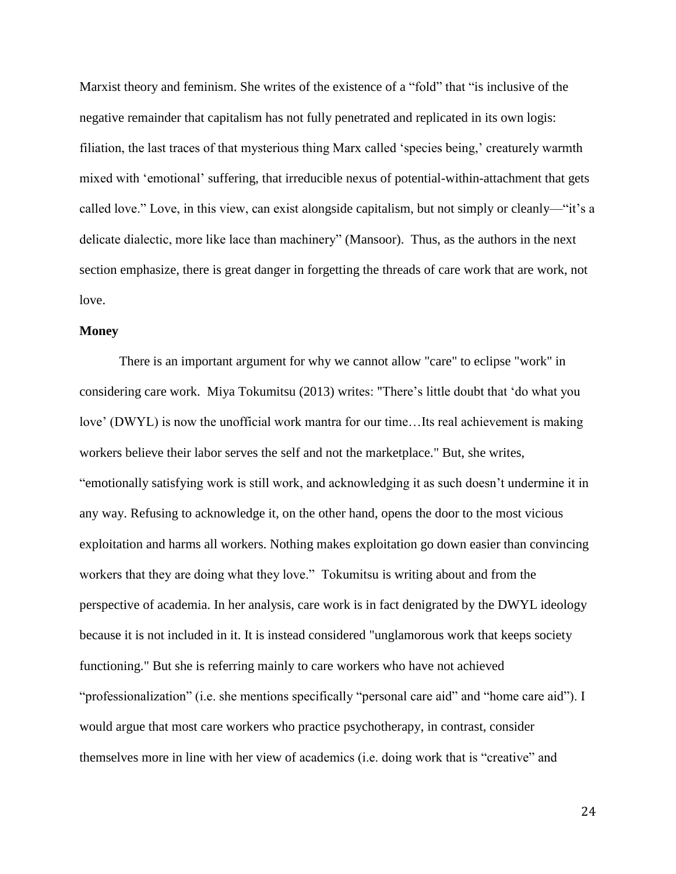Marxist theory and feminism. She writes of the existence of a "fold" that "is inclusive of the negative remainder that capitalism has not fully penetrated and replicated in its own logis: filiation, the last traces of that mysterious thing Marx called 'species being,' creaturely warmth mixed with 'emotional' suffering, that irreducible nexus of potential-within-attachment that gets called love." Love, in this view, can exist alongside capitalism, but not simply or cleanly—"it's a delicate dialectic, more like lace than machinery" (Mansoor). Thus, as the authors in the next section emphasize, there is great danger in forgetting the threads of care work that are work, not love.

#### **Money**

There is an important argument for why we cannot allow "care" to eclipse "work" in considering care work. Miya Tokumitsu (2013) writes: "There's little doubt that 'do what you love' (DWYL) is now the unofficial work mantra for our time…Its real achievement is making workers believe their labor serves the self and not the marketplace." But, she writes, "emotionally satisfying work is still work, and acknowledging it as such doesn't undermine it in any way. Refusing to acknowledge it, on the other hand, opens the door to the most vicious exploitation and harms all workers. Nothing makes exploitation go down easier than convincing workers that they are doing what they love." Tokumitsu is writing about and from the perspective of academia. In her analysis, care work is in fact denigrated by the DWYL ideology because it is not included in it. It is instead considered "unglamorous work that keeps society functioning." But she is referring mainly to care workers who have not achieved "professionalization" (i.e. she mentions specifically "personal care aid" and "home care aid"). I would argue that most care workers who practice psychotherapy, in contrast, consider themselves more in line with her view of academics (i.e. doing work that is "creative" and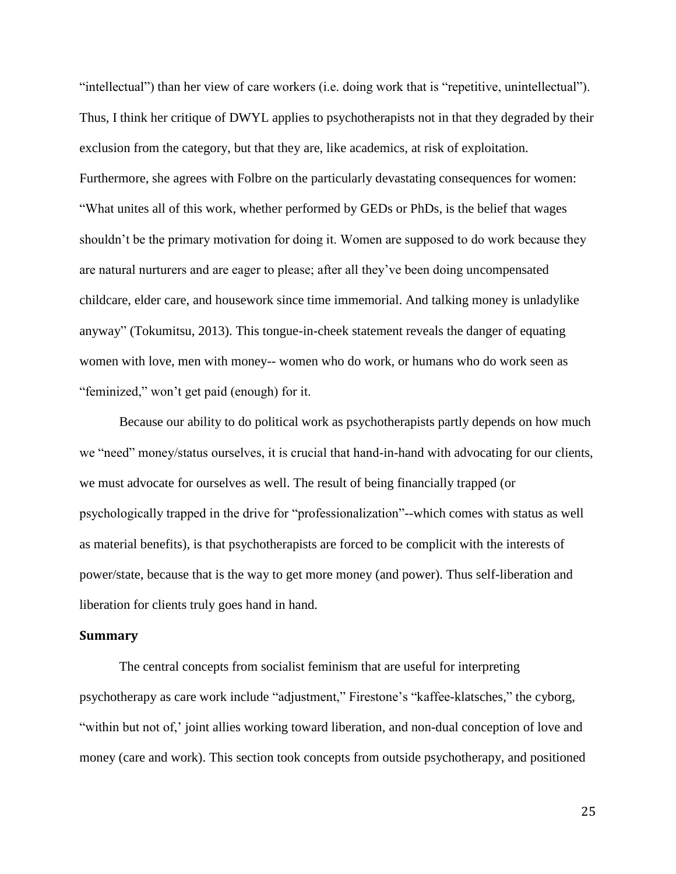"intellectual") than her view of care workers (i.e. doing work that is "repetitive, unintellectual"). Thus, I think her critique of DWYL applies to psychotherapists not in that they degraded by their exclusion from the category, but that they are, like academics, at risk of exploitation. Furthermore, she agrees with Folbre on the particularly devastating consequences for women: "What unites all of this work, whether performed by GEDs or PhDs, is the belief that wages shouldn't be the primary motivation for doing it. Women are supposed to do work because they are natural nurturers and are eager to please; after all they've been doing uncompensated childcare, elder care, and housework since time immemorial. And talking money is unladylike anyway" (Tokumitsu, 2013). This tongue-in-cheek statement reveals the danger of equating women with love, men with money-- women who do work, or humans who do work seen as "feminized," won't get paid (enough) for it.

Because our ability to do political work as psychotherapists partly depends on how much we "need" money/status ourselves, it is crucial that hand-in-hand with advocating for our clients, we must advocate for ourselves as well. The result of being financially trapped (or psychologically trapped in the drive for "professionalization"--which comes with status as well as material benefits), is that psychotherapists are forced to be complicit with the interests of power/state, because that is the way to get more money (and power). Thus self-liberation and liberation for clients truly goes hand in hand.

#### **Summary**

The central concepts from socialist feminism that are useful for interpreting psychotherapy as care work include "adjustment," Firestone's "kaffee-klatsches," the cyborg, "within but not of,' joint allies working toward liberation, and non-dual conception of love and money (care and work). This section took concepts from outside psychotherapy, and positioned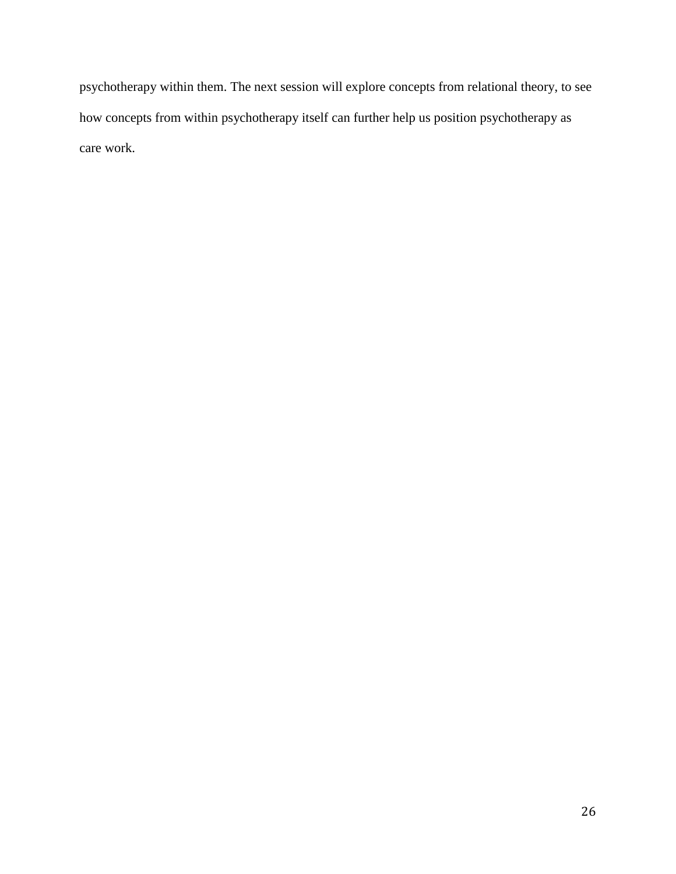psychotherapy within them. The next session will explore concepts from relational theory, to see how concepts from within psychotherapy itself can further help us position psychotherapy as care work.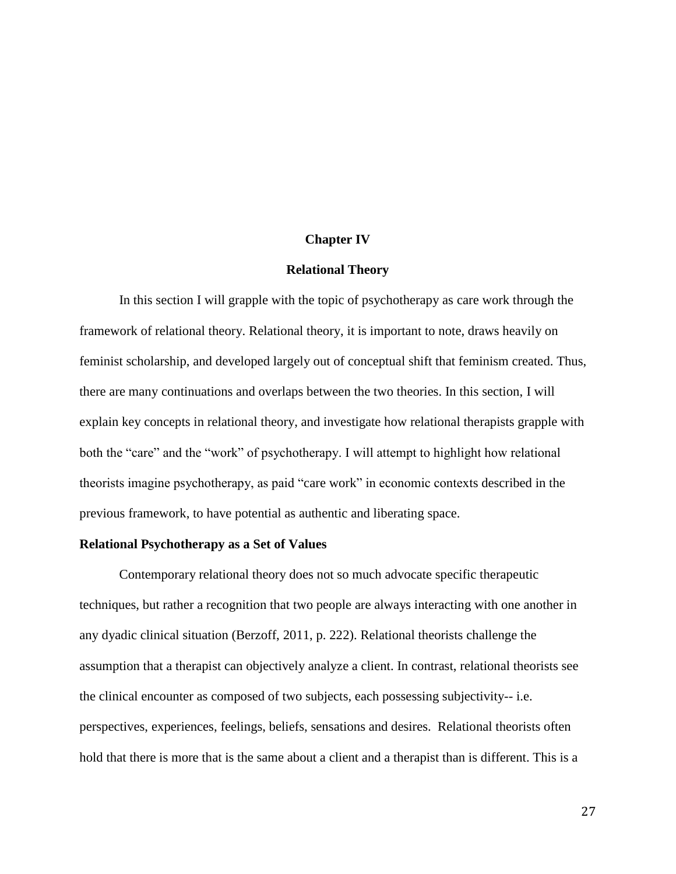#### **Chapter IV**

#### **Relational Theory**

In this section I will grapple with the topic of psychotherapy as care work through the framework of relational theory. Relational theory, it is important to note, draws heavily on feminist scholarship, and developed largely out of conceptual shift that feminism created. Thus, there are many continuations and overlaps between the two theories. In this section, I will explain key concepts in relational theory, and investigate how relational therapists grapple with both the "care" and the "work" of psychotherapy. I will attempt to highlight how relational theorists imagine psychotherapy, as paid "care work" in economic contexts described in the previous framework, to have potential as authentic and liberating space.

#### **Relational Psychotherapy as a Set of Values**

Contemporary relational theory does not so much advocate specific therapeutic techniques, but rather a recognition that two people are always interacting with one another in any dyadic clinical situation (Berzoff, 2011, p. 222). Relational theorists challenge the assumption that a therapist can objectively analyze a client. In contrast, relational theorists see the clinical encounter as composed of two subjects, each possessing subjectivity-- i.e. perspectives, experiences, feelings, beliefs, sensations and desires. Relational theorists often hold that there is more that is the same about a client and a therapist than is different. This is a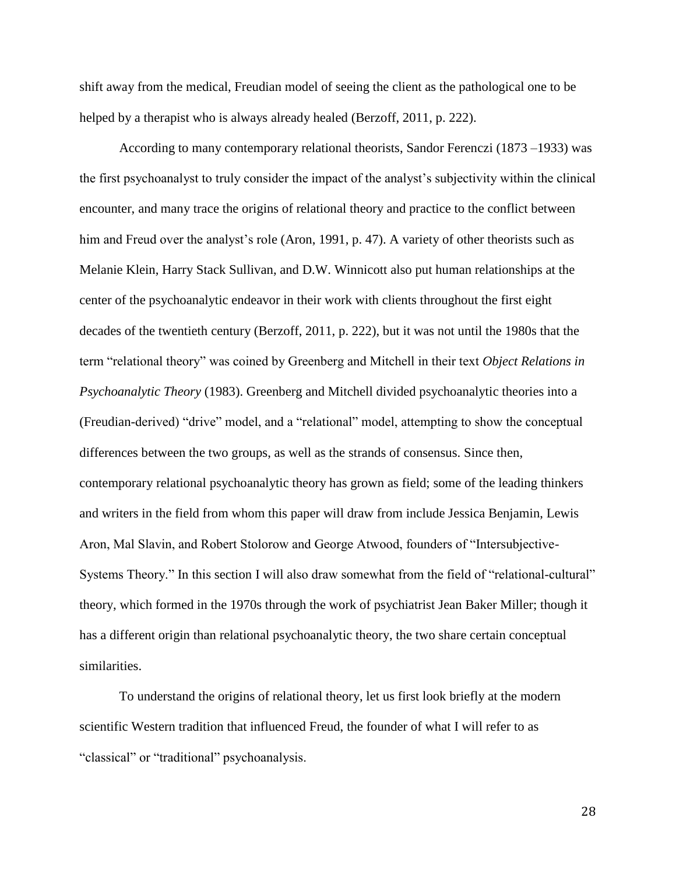shift away from the medical, Freudian model of seeing the client as the pathological one to be helped by a therapist who is always already healed (Berzoff, 2011, p. 222).

According to many contemporary relational theorists, Sandor Ferenczi (1873 –1933) was the first psychoanalyst to truly consider the impact of the analyst's subjectivity within the clinical encounter, and many trace the origins of relational theory and practice to the conflict between him and Freud over the analyst's role (Aron, 1991, p. 47). A variety of other theorists such as Melanie Klein, Harry Stack Sullivan, and D.W. Winnicott also put human relationships at the center of the psychoanalytic endeavor in their work with clients throughout the first eight decades of the twentieth century (Berzoff, 2011, p. 222), but it was not until the 1980s that the term "relational theory" was coined by Greenberg and Mitchell in their text *Object Relations in Psychoanalytic Theory* (1983). Greenberg and Mitchell divided psychoanalytic theories into a (Freudian-derived) "drive" model, and a "relational" model, attempting to show the conceptual differences between the two groups, as well as the strands of consensus. Since then, contemporary relational psychoanalytic theory has grown as field; some of the leading thinkers and writers in the field from whom this paper will draw from include Jessica Benjamin, Lewis Aron, Mal Slavin, and Robert Stolorow and George Atwood, founders of "Intersubjective-Systems Theory." In this section I will also draw somewhat from the field of "relational-cultural" theory, which formed in the 1970s through the work of psychiatrist [Jean Baker Miller;](http://en.wikipedia.org/wiki/Jean_Baker_Miller) though it has a different origin than relational psychoanalytic theory, the two share certain conceptual similarities.

To understand the origins of relational theory, let us first look briefly at the modern scientific Western tradition that influenced Freud, the founder of what I will refer to as "classical" or "traditional" psychoanalysis.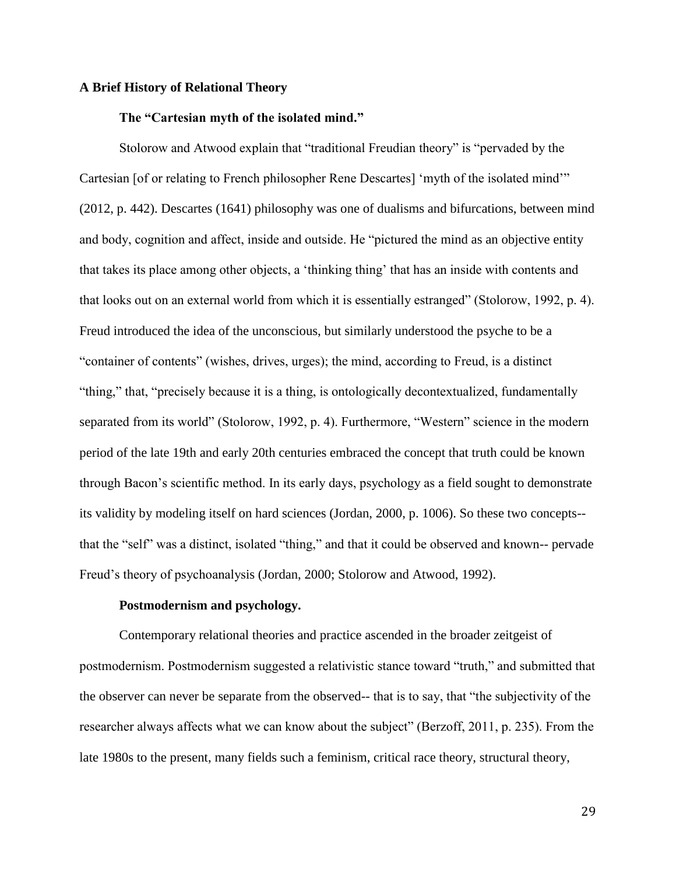#### **A Brief History of Relational Theory**

#### **The "Cartesian myth of the isolated mind."**

Stolorow and Atwood explain that "traditional Freudian theory" is "pervaded by the Cartesian [of or relating to French philosopher Rene Descartes] 'myth of the isolated mind'" (2012, p. 442). Descartes (1641) philosophy was one of dualisms and bifurcations, between mind and body, cognition and affect, inside and outside. He "pictured the mind as an objective entity that takes its place among other objects, a 'thinking thing' that has an inside with contents and that looks out on an external world from which it is essentially estranged" (Stolorow, 1992, p. 4). Freud introduced the idea of the unconscious, but similarly understood the psyche to be a "container of contents" (wishes, drives, urges); the mind, according to Freud, is a distinct "thing," that, "precisely because it is a thing, is ontologically decontextualized, fundamentally separated from its world" (Stolorow, 1992, p. 4). Furthermore, "Western" science in the modern period of the late 19th and early 20th centuries embraced the concept that truth could be known through Bacon's scientific method. In its early days, psychology as a field sought to demonstrate its validity by modeling itself on hard sciences (Jordan, 2000, p. 1006). So these two concepts- that the "self" was a distinct, isolated "thing," and that it could be observed and known-- pervade Freud's theory of psychoanalysis (Jordan, 2000; Stolorow and Atwood, 1992).

#### **Postmodernism and psychology.**

Contemporary relational theories and practice ascended in the broader zeitgeist of postmodernism. Postmodernism suggested a relativistic stance toward "truth," and submitted that the observer can never be separate from the observed-- that is to say, that "the subjectivity of the researcher always affects what we can know about the subject" (Berzoff, 2011, p. 235). From the late 1980s to the present, many fields such a feminism, critical race theory, structural theory,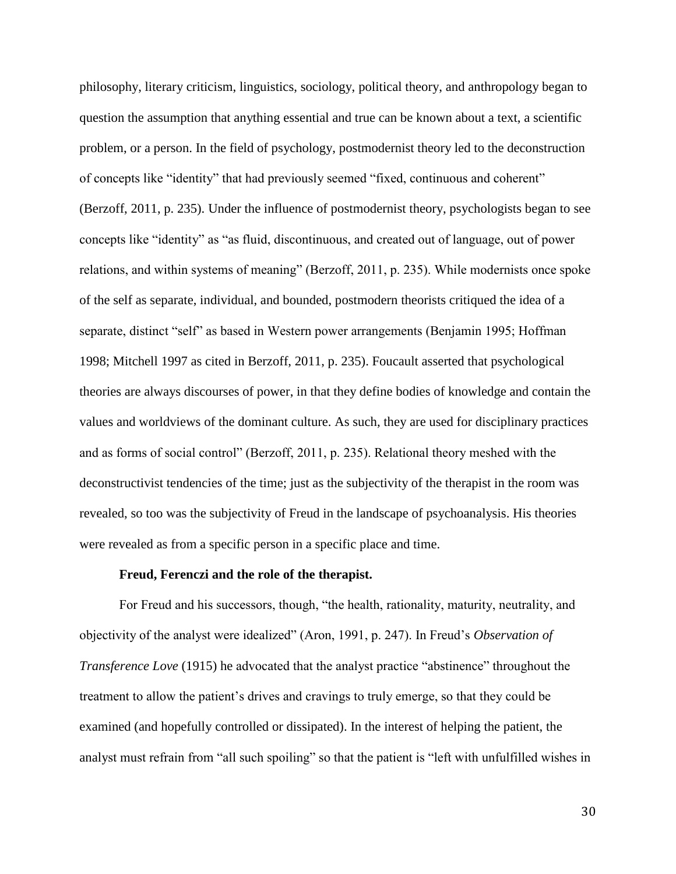philosophy, literary criticism, linguistics, sociology, political theory, and anthropology began to question the assumption that anything essential and true can be known about a text, a scientific problem, or a person. In the field of psychology, postmodernist theory led to the deconstruction of concepts like "identity" that had previously seemed "fixed, continuous and coherent" (Berzoff, 2011, p. 235). Under the influence of postmodernist theory, psychologists began to see concepts like "identity" as "as fluid, discontinuous, and created out of language, out of power relations, and within systems of meaning" (Berzoff, 2011, p. 235). While modernists once spoke of the self as separate, individual, and bounded, postmodern theorists critiqued the idea of a separate, distinct "self" as based in Western power arrangements (Benjamin 1995; Hoffman 1998; Mitchell 1997 as cited in Berzoff, 2011, p. 235). Foucault asserted that psychological theories are always discourses of power, in that they define bodies of knowledge and contain the values and worldviews of the dominant culture. As such, they are used for disciplinary practices and as forms of social control" (Berzoff, 2011, p. 235). Relational theory meshed with the deconstructivist tendencies of the time; just as the subjectivity of the therapist in the room was revealed, so too was the subjectivity of Freud in the landscape of psychoanalysis. His theories were revealed as from a specific person in a specific place and time.

#### **Freud, Ferenczi and the role of the therapist.**

For Freud and his successors, though, "the health, rationality, maturity, neutrality, and objectivity of the analyst were idealized" (Aron, 1991, p. 247). In Freud's *Observation of Transference Love* (1915) he advocated that the analyst practice "abstinence" throughout the treatment to allow the patient's drives and cravings to truly emerge, so that they could be examined (and hopefully controlled or dissipated). In the interest of helping the patient, the analyst must refrain from "all such spoiling" so that the patient is "left with unfulfilled wishes in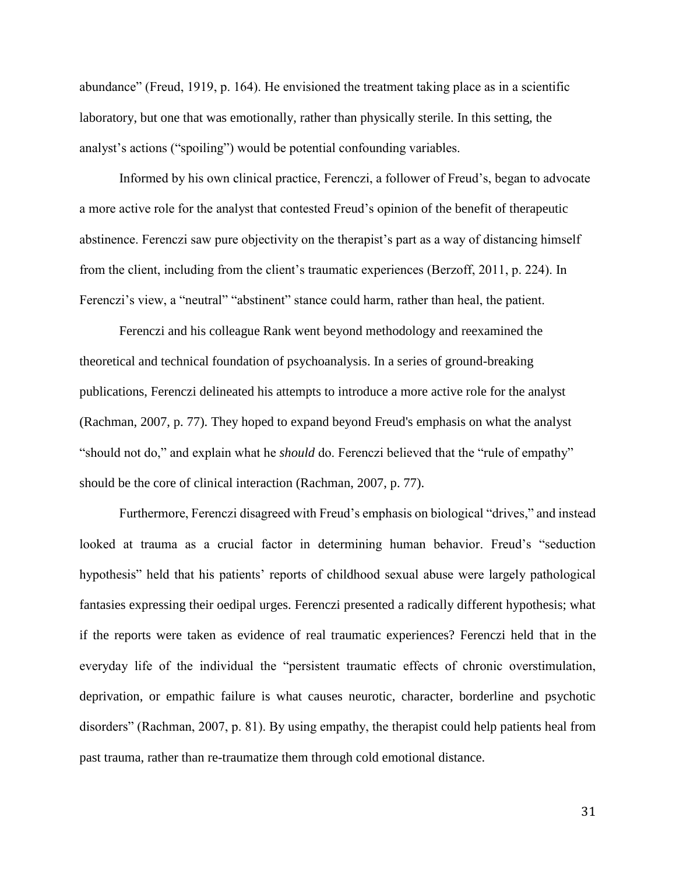abundance" (Freud, 1919, p. 164). He envisioned the treatment taking place as in a scientific laboratory, but one that was emotionally, rather than physically sterile. In this setting, the analyst's actions ("spoiling") would be potential confounding variables.

Informed by his own clinical practice, Ferenczi, a follower of Freud's, began to advocate a more active role for the analyst that contested Freud's opinion of the benefit of therapeutic abstinence. Ferenczi saw pure objectivity on the therapist's part as a way of distancing himself from the client, including from the client's traumatic experiences (Berzoff, 2011, p. 224). In Ferenczi's view, a "neutral" "abstinent" stance could harm, rather than heal, the patient.

Ferenczi and his colleague Rank went beyond methodology and reexamined the theoretical and technical foundation of psychoanalysis. In a series of ground-breaking publications, Ferenczi delineated his attempts to introduce a more active role for the analyst (Rachman, 2007, p. 77). They hoped to expand beyond Freud's emphasis on what the analyst "should not do," and explain what he *should* do. Ferenczi believed that the "rule of empathy" should be the core of clinical interaction (Rachman, 2007, p. 77).

Furthermore, Ferenczi disagreed with Freud's emphasis on biological "drives," and instead looked at trauma as a crucial factor in determining human behavior. Freud's "seduction hypothesis" held that his patients' reports of childhood sexual abuse were largely pathological fantasies expressing their oedipal urges. Ferenczi presented a radically different hypothesis; what if the reports were taken as evidence of real traumatic experiences? Ferenczi held that in the everyday life of the individual the "persistent traumatic effects of chronic overstimulation, deprivation, or empathic failure is what causes neurotic, character, borderline and psychotic disorders" (Rachman, 2007, p. 81). By using empathy, the therapist could help patients heal from past trauma, rather than re-traumatize them through cold emotional distance.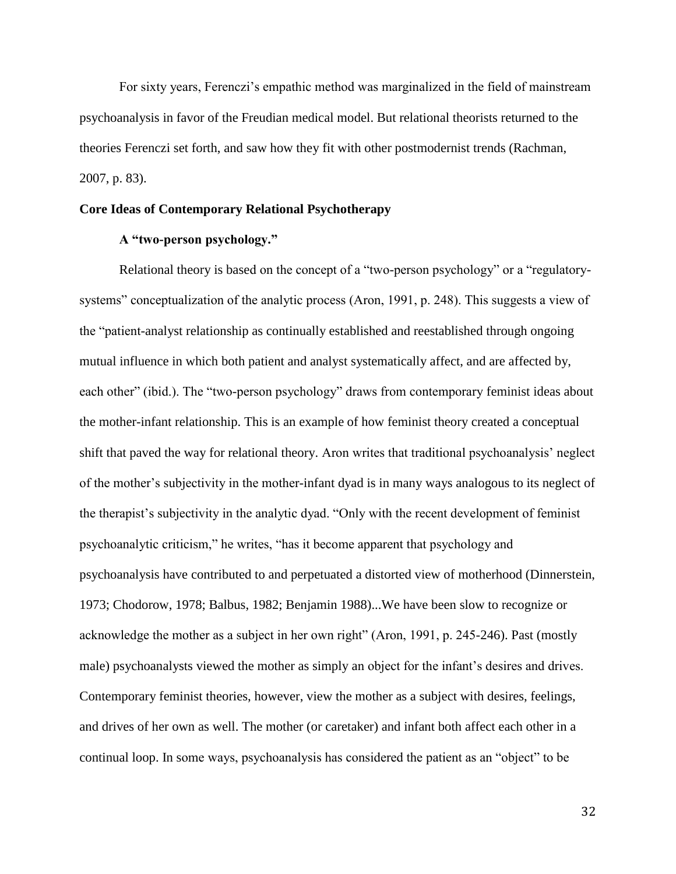For sixty years, Ferenczi's empathic method was marginalized in the field of mainstream psychoanalysis in favor of the Freudian medical model. But relational theorists returned to the theories Ferenczi set forth, and saw how they fit with other postmodernist trends (Rachman, 2007, p. 83).

# **Core Ideas of Contemporary Relational Psychotherapy**

# **A "two-person psychology."**

Relational theory is based on the concept of a "two-person psychology" or a "regulatorysystems" conceptualization of the analytic process (Aron, 1991, p. 248). This suggests a view of the "patient-analyst relationship as continually established and reestablished through ongoing mutual influence in which both patient and analyst systematically affect, and are affected by, each other" (ibid.). The "two-person psychology" draws from contemporary feminist ideas about the mother-infant relationship. This is an example of how feminist theory created a conceptual shift that paved the way for relational theory. Aron writes that traditional psychoanalysis' neglect of the mother's subjectivity in the mother-infant dyad is in many ways analogous to its neglect of the therapist's subjectivity in the analytic dyad. "Only with the recent development of feminist psychoanalytic criticism," he writes, "has it become apparent that psychology and psychoanalysis have contributed to and perpetuated a distorted view of motherhood (Dinnerstein, 1973; Chodorow, 1978; Balbus, 1982; Benjamin 1988)...We have been slow to recognize or acknowledge the mother as a subject in her own right" (Aron, 1991, p. 245-246). Past (mostly male) psychoanalysts viewed the mother as simply an object for the infant's desires and drives. Contemporary feminist theories, however, view the mother as a subject with desires, feelings, and drives of her own as well. The mother (or caretaker) and infant both affect each other in a continual loop. In some ways, psychoanalysis has considered the patient as an "object" to be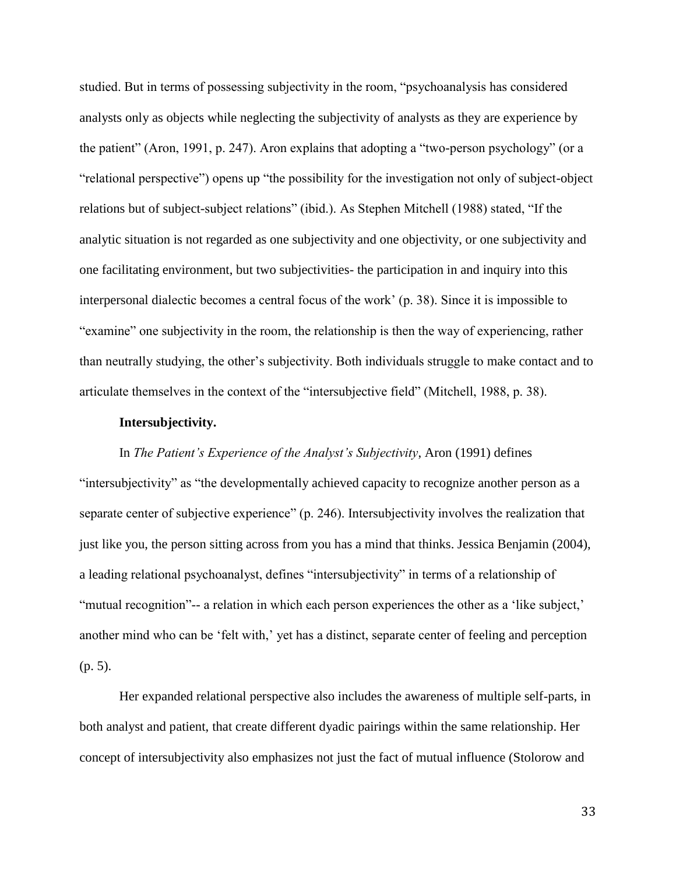studied. But in terms of possessing subjectivity in the room, "psychoanalysis has considered analysts only as objects while neglecting the subjectivity of analysts as they are experience by the patient" (Aron, 1991, p. 247). Aron explains that adopting a "two-person psychology" (or a "relational perspective") opens up "the possibility for the investigation not only of subject-object relations but of subject-subject relations" (ibid.). As Stephen Mitchell (1988) stated, "If the analytic situation is not regarded as one subjectivity and one objectivity, or one subjectivity and one facilitating environment, but two subjectivities- the participation in and inquiry into this interpersonal dialectic becomes a central focus of the work' (p. 38). Since it is impossible to "examine" one subjectivity in the room, the relationship is then the way of experiencing, rather than neutrally studying, the other's subjectivity. Both individuals struggle to make contact and to articulate themselves in the context of the "intersubjective field" (Mitchell, 1988, p. 38).

#### **Intersubjectivity.**

# In *The Patient's Experience of the Analyst's Subjectivity*, Aron (1991) defines

"intersubjectivity" as "the developmentally achieved capacity to recognize another person as a separate center of subjective experience" (p. 246). Intersubjectivity involves the realization that just like you, the person sitting across from you has a mind that thinks. Jessica Benjamin (2004), a leading relational psychoanalyst, defines "intersubjectivity" in terms of a relationship of "mutual recognition"-- a relation in which each person experiences the other as a 'like subject,' another mind who can be 'felt with,' yet has a distinct, separate center of feeling and perception (p. 5).

Her expanded relational perspective also includes the awareness of multiple self-parts, in both analyst and patient, that create different dyadic pairings within the same relationship. Her concept of intersubjectivity also emphasizes not just the fact of mutual influence (Stolorow and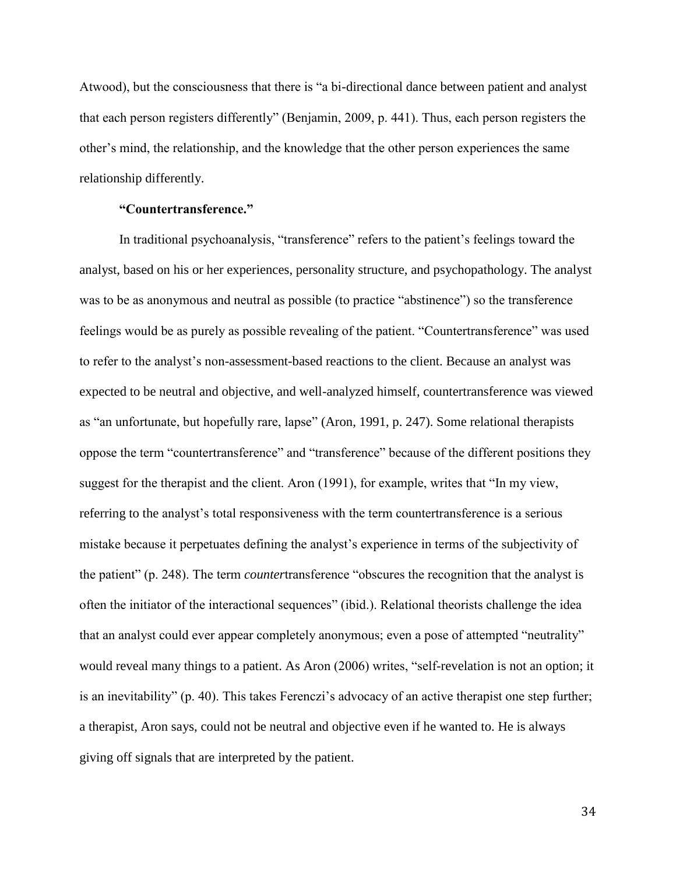Atwood), but the consciousness that there is "a bi-directional dance between patient and analyst that each person registers differently" (Benjamin, 2009, p. 441). Thus, each person registers the other's mind, the relationship, and the knowledge that the other person experiences the same relationship differently.

# **"Countertransference."**

In traditional psychoanalysis, "transference" refers to the patient's feelings toward the analyst, based on his or her experiences, personality structure, and psychopathology. The analyst was to be as anonymous and neutral as possible (to practice "abstinence") so the transference feelings would be as purely as possible revealing of the patient. "Countertransference" was used to refer to the analyst's non-assessment-based reactions to the client. Because an analyst was expected to be neutral and objective, and well-analyzed himself, countertransference was viewed as "an unfortunate, but hopefully rare, lapse" (Aron, 1991, p. 247). Some relational therapists oppose the term "countertransference" and "transference" because of the different positions they suggest for the therapist and the client. Aron (1991), for example, writes that "In my view, referring to the analyst's total responsiveness with the term countertransference is a serious mistake because it perpetuates defining the analyst's experience in terms of the subjectivity of the patient" (p. 248). The term *counter*transference "obscures the recognition that the analyst is often the initiator of the interactional sequences" (ibid.). Relational theorists challenge the idea that an analyst could ever appear completely anonymous; even a pose of attempted "neutrality" would reveal many things to a patient. As Aron (2006) writes, "self-revelation is not an option; it is an inevitability" (p. 40). This takes Ferenczi's advocacy of an active therapist one step further; a therapist, Aron says, could not be neutral and objective even if he wanted to. He is always giving off signals that are interpreted by the patient.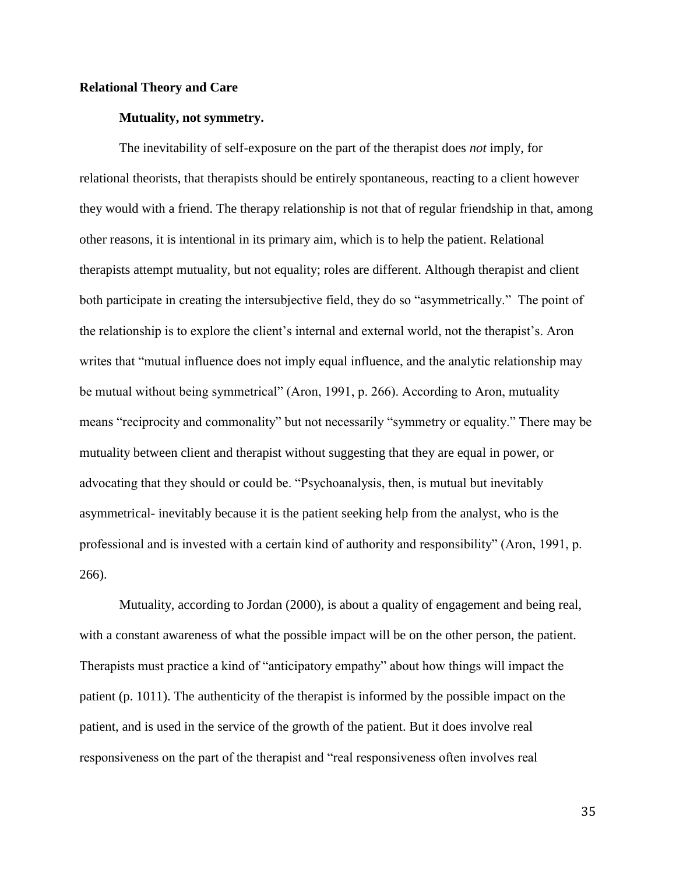#### **Relational Theory and Care**

#### **Mutuality, not symmetry.**

The inevitability of self-exposure on the part of the therapist does *not* imply, for relational theorists, that therapists should be entirely spontaneous, reacting to a client however they would with a friend. The therapy relationship is not that of regular friendship in that, among other reasons, it is intentional in its primary aim, which is to help the patient. Relational therapists attempt mutuality, but not equality; roles are different. Although therapist and client both participate in creating the intersubjective field, they do so "asymmetrically." The point of the relationship is to explore the client's internal and external world, not the therapist's. Aron writes that "mutual influence does not imply equal influence, and the analytic relationship may be mutual without being symmetrical" (Aron, 1991, p. 266). According to Aron, mutuality means "reciprocity and commonality" but not necessarily "symmetry or equality." There may be mutuality between client and therapist without suggesting that they are equal in power, or advocating that they should or could be. "Psychoanalysis, then, is mutual but inevitably asymmetrical- inevitably because it is the patient seeking help from the analyst, who is the professional and is invested with a certain kind of authority and responsibility" (Aron, 1991, p. 266).

Mutuality, according to Jordan (2000), is about a quality of engagement and being real, with a constant awareness of what the possible impact will be on the other person, the patient. Therapists must practice a kind of "anticipatory empathy" about how things will impact the patient (p. 1011). The authenticity of the therapist is informed by the possible impact on the patient, and is used in the service of the growth of the patient. But it does involve real responsiveness on the part of the therapist and "real responsiveness often involves real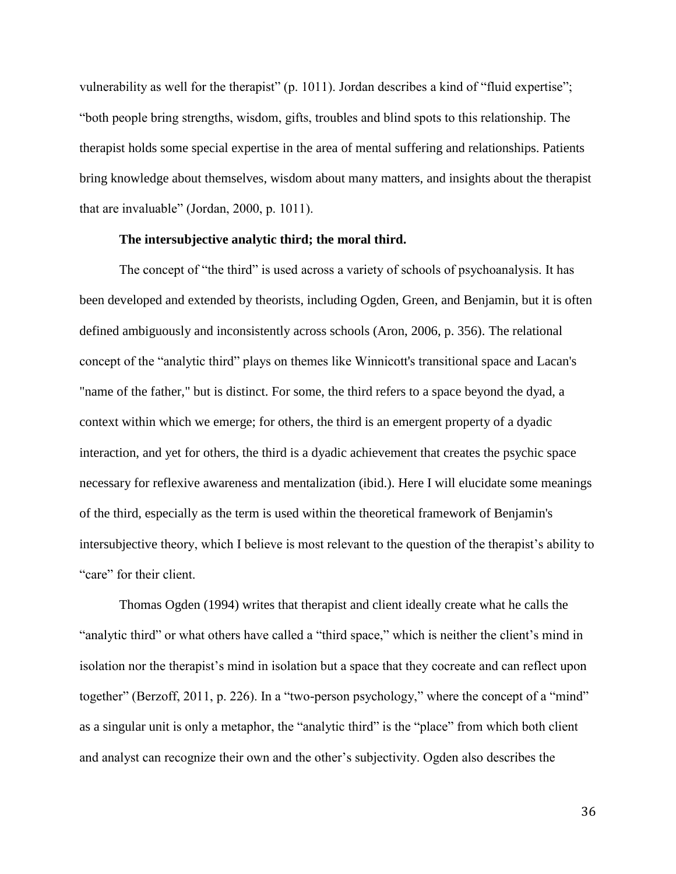vulnerability as well for the therapist" (p. 1011). Jordan describes a kind of "fluid expertise"; "both people bring strengths, wisdom, gifts, troubles and blind spots to this relationship. The therapist holds some special expertise in the area of mental suffering and relationships. Patients bring knowledge about themselves, wisdom about many matters, and insights about the therapist that are invaluable" (Jordan, 2000, p. 1011).

## **The intersubjective analytic third; the moral third.**

The concept of "the third" is used across a variety of schools of psychoanalysis. It has been developed and extended by theorists, including Ogden, Green, and Benjamin, but it is often defined ambiguously and inconsistently across schools (Aron, 2006, p. 356). The relational concept of the "analytic third" plays on themes like Winnicott's transitional space and Lacan's "name of the father," but is distinct. For some, the third refers to a space beyond the dyad, a context within which we emerge; for others, the third is an emergent property of a dyadic interaction, and yet for others, the third is a dyadic achievement that creates the psychic space necessary for reflexive awareness and mentalization (ibid.). Here I will elucidate some meanings of the third, especially as the term is used within the theoretical framework of Benjamin's intersubjective theory, which I believe is most relevant to the question of the therapist's ability to "care" for their client.

Thomas Ogden (1994) writes that therapist and client ideally create what he calls the "analytic third" or what others have called a "third space," which is neither the client's mind in isolation nor the therapist's mind in isolation but a space that they cocreate and can reflect upon together" (Berzoff, 2011, p. 226). In a "two-person psychology," where the concept of a "mind" as a singular unit is only a metaphor, the "analytic third" is the "place" from which both client and analyst can recognize their own and the other's subjectivity. Ogden also describes the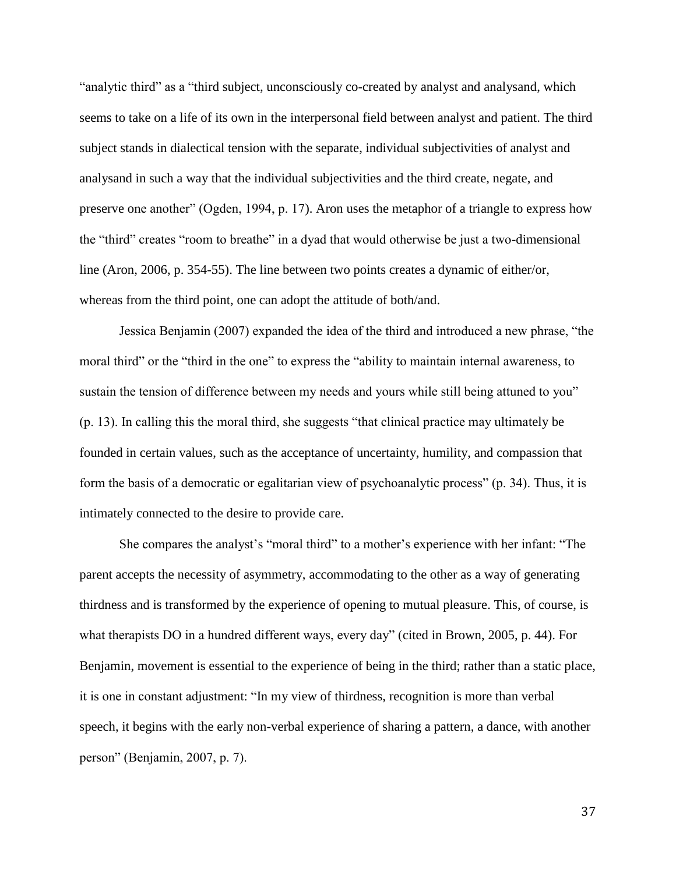"analytic third" as a "third subject, unconsciously co-created by analyst and analysand, which seems to take on a life of its own in the interpersonal field between analyst and patient. The third subject stands in dialectical tension with the separate, individual subjectivities of analyst and analysand in such a way that the individual subjectivities and the third create, negate, and preserve one another" (Ogden, 1994, p. 17). Aron uses the metaphor of a triangle to express how the "third" creates "room to breathe" in a dyad that would otherwise be just a two-dimensional line (Aron, 2006, p. 354-55). The line between two points creates a dynamic of either/or, whereas from the third point, one can adopt the attitude of both/and.

Jessica Benjamin (2007) expanded the idea of the third and introduced a new phrase, "the moral third" or the "third in the one" to express the "ability to maintain internal awareness, to sustain the tension of difference between my needs and yours while still being attuned to you" (p. 13). In calling this the moral third, she suggests "that clinical practice may ultimately be founded in certain values, such as the acceptance of uncertainty, humility, and compassion that form the basis of a democratic or egalitarian view of psychoanalytic process" (p. 34). Thus, it is intimately connected to the desire to provide care.

She compares the analyst's "moral third" to a mother's experience with her infant: "The parent accepts the necessity of asymmetry, accommodating to the other as a way of generating thirdness and is transformed by the experience of opening to mutual pleasure. This, of course, is what therapists DO in a hundred different ways, every day" (cited in Brown, 2005, p. 44). For Benjamin, movement is essential to the experience of being in the third; rather than a static place, it is one in constant adjustment: "In my view of thirdness, recognition is more than verbal speech, it begins with the early non-verbal experience of sharing a pattern, a dance, with another person" (Benjamin, 2007, p. 7).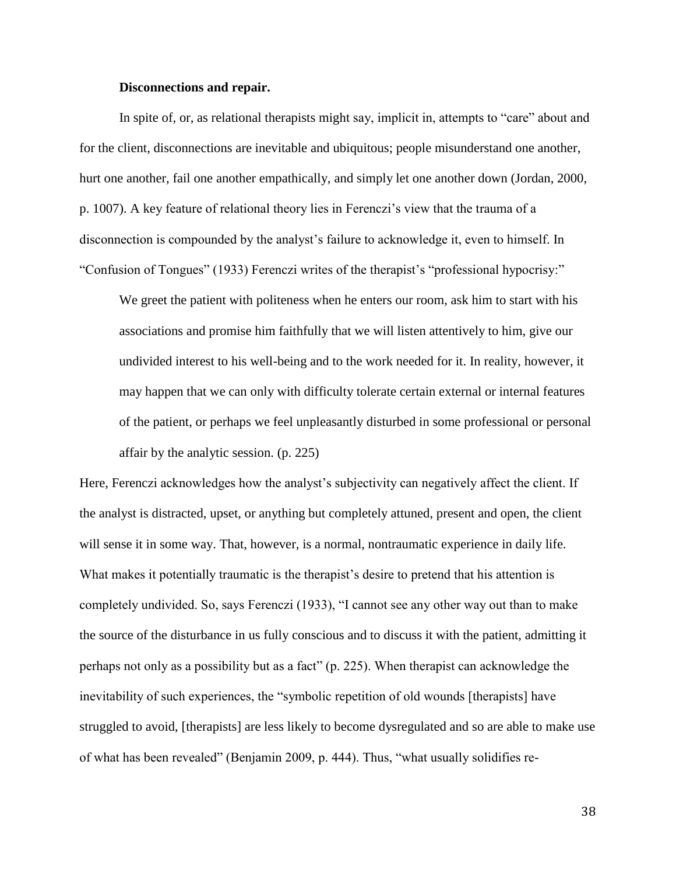#### **Disconnections and repair.**

In spite of, or, as relational therapists might say, implicit in, attempts to "care" about and for the client, disconnections are inevitable and ubiquitous; people misunderstand one another, hurt one another, fail one another empathically, and simply let one another down (Jordan, 2000, p. 1007). A key feature of relational theory lies in Ferenczi's view that the trauma of a disconnection is compounded by the analyst's failure to acknowledge it, even to himself. In "Confusion of Tongues" (1933) Ferenczi writes of the therapist's "professional hypocrisy:"

We greet the patient with politeness when he enters our room, ask him to start with his associations and promise him faithfully that we will listen attentively to him, give our undivided interest to his well-being and to the work needed for it. In reality, however, it may happen that we can only with difficulty tolerate certain external or internal features of the patient, or perhaps we feel unpleasantly disturbed in some professional or personal affair by the analytic session. (p. 225)

Here, Ferenczi acknowledges how the analyst's subjectivity can negatively affect the client. If the analyst is distracted, upset, or anything but completely attuned, present and open, the client will sense it in some way. That, however, is a normal, nontraumatic experience in daily life. What makes it potentially traumatic is the therapist's desire to pretend that his attention is completely undivided. So, says Ferenczi (1933), "I cannot see any other way out than to make the source of the disturbance in us fully conscious and to discuss it with the patient, admitting it perhaps not only as a possibility but as a fact" (p. 225). When therapist can acknowledge the inevitability of such experiences, the "symbolic repetition of old wounds [therapists] have struggled to avoid, [therapists] are less likely to become dysregulated and so are able to make use of what has been revealed" (Benjamin 2009, p. 444). Thus, "what usually solidifies re-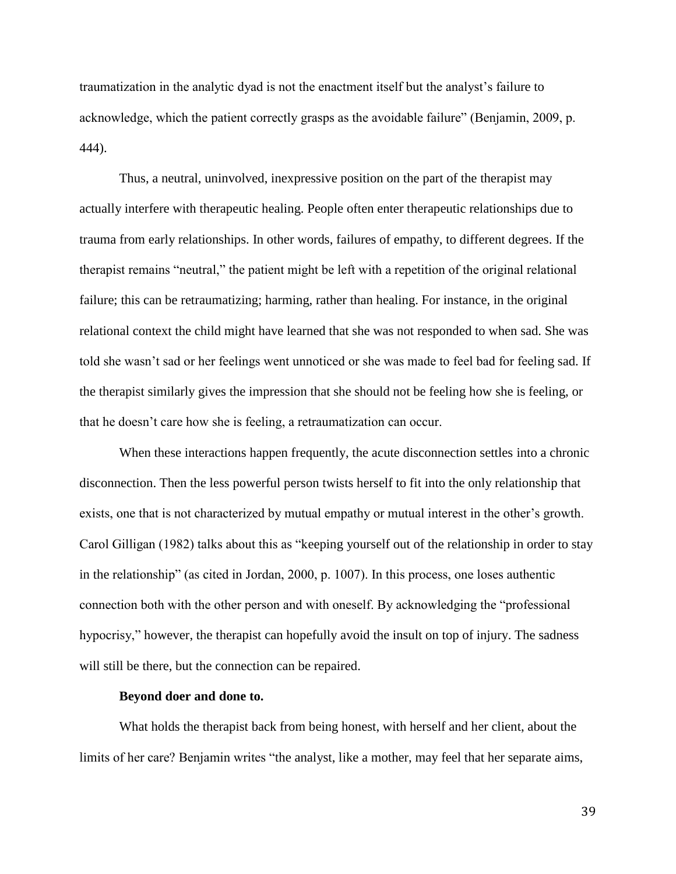traumatization in the analytic dyad is not the enactment itself but the analyst's failure to acknowledge, which the patient correctly grasps as the avoidable failure" (Benjamin, 2009, p. 444).

Thus, a neutral, uninvolved, inexpressive position on the part of the therapist may actually interfere with therapeutic healing. People often enter therapeutic relationships due to trauma from early relationships. In other words, failures of empathy, to different degrees. If the therapist remains "neutral," the patient might be left with a repetition of the original relational failure; this can be retraumatizing; harming, rather than healing. For instance, in the original relational context the child might have learned that she was not responded to when sad. She was told she wasn't sad or her feelings went unnoticed or she was made to feel bad for feeling sad. If the therapist similarly gives the impression that she should not be feeling how she is feeling, or that he doesn't care how she is feeling, a retraumatization can occur.

When these interactions happen frequently, the acute disconnection settles into a chronic disconnection. Then the less powerful person twists herself to fit into the only relationship that exists, one that is not characterized by mutual empathy or mutual interest in the other's growth. Carol Gilligan (1982) talks about this as "keeping yourself out of the relationship in order to stay in the relationship" (as cited in Jordan, 2000, p. 1007). In this process, one loses authentic connection both with the other person and with oneself. By acknowledging the "professional hypocrisy," however, the therapist can hopefully avoid the insult on top of injury. The sadness will still be there, but the connection can be repaired.

#### **Beyond doer and done to.**

What holds the therapist back from being honest, with herself and her client, about the limits of her care? Benjamin writes "the analyst, like a mother, may feel that her separate aims,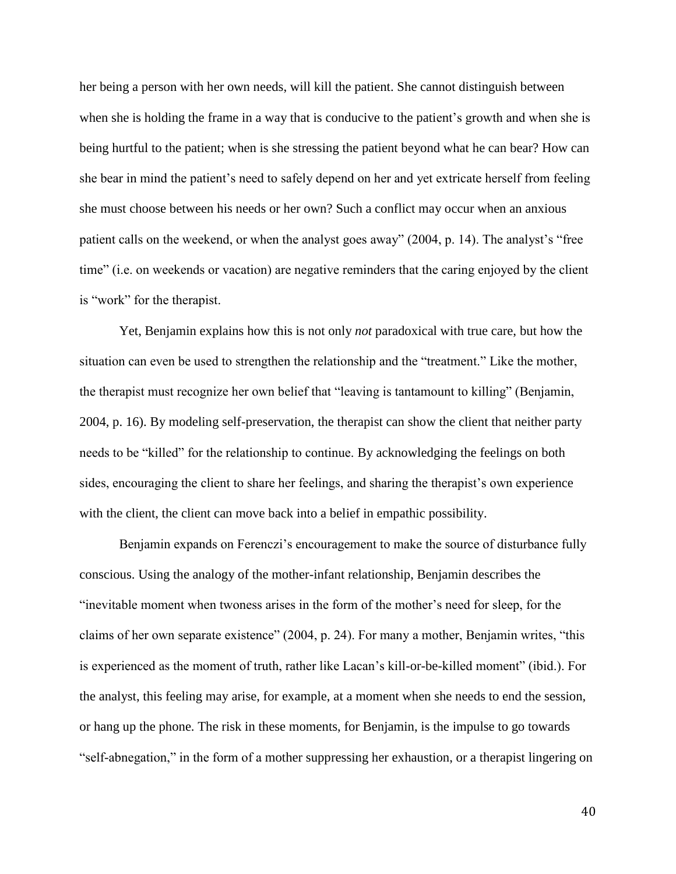her being a person with her own needs, will kill the patient. She cannot distinguish between when she is holding the frame in a way that is conducive to the patient's growth and when she is being hurtful to the patient; when is she stressing the patient beyond what he can bear? How can she bear in mind the patient's need to safely depend on her and yet extricate herself from feeling she must choose between his needs or her own? Such a conflict may occur when an anxious patient calls on the weekend, or when the analyst goes away" (2004, p. 14). The analyst's "free time" (i.e. on weekends or vacation) are negative reminders that the caring enjoyed by the client is "work" for the therapist.

Yet, Benjamin explains how this is not only *not* paradoxical with true care, but how the situation can even be used to strengthen the relationship and the "treatment." Like the mother, the therapist must recognize her own belief that "leaving is tantamount to killing" (Benjamin, 2004, p. 16). By modeling self-preservation, the therapist can show the client that neither party needs to be "killed" for the relationship to continue. By acknowledging the feelings on both sides, encouraging the client to share her feelings, and sharing the therapist's own experience with the client, the client can move back into a belief in empathic possibility.

Benjamin expands on Ferenczi's encouragement to make the source of disturbance fully conscious. Using the analogy of the mother-infant relationship, Benjamin describes the "inevitable moment when twoness arises in the form of the mother's need for sleep, for the claims of her own separate existence" (2004, p. 24). For many a mother, Benjamin writes, "this is experienced as the moment of truth, rather like Lacan's kill-or-be-killed moment" (ibid.). For the analyst, this feeling may arise, for example, at a moment when she needs to end the session, or hang up the phone. The risk in these moments, for Benjamin, is the impulse to go towards "self-abnegation," in the form of a mother suppressing her exhaustion, or a therapist lingering on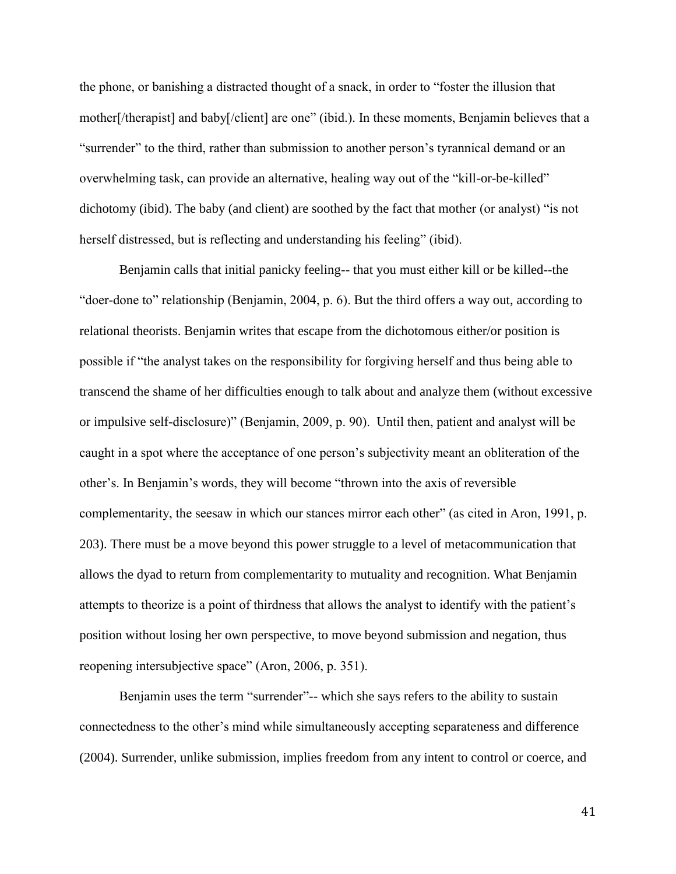the phone, or banishing a distracted thought of a snack, in order to "foster the illusion that mother[/therapist] and baby[/client] are one" (ibid.). In these moments, Benjamin believes that a "surrender" to the third, rather than submission to another person's tyrannical demand or an overwhelming task, can provide an alternative, healing way out of the "kill-or-be-killed" dichotomy (ibid). The baby (and client) are soothed by the fact that mother (or analyst) "is not herself distressed, but is reflecting and understanding his feeling" (ibid).

Benjamin calls that initial panicky feeling-- that you must either kill or be killed--the "doer-done to" relationship (Benjamin, 2004, p. 6). But the third offers a way out, according to relational theorists. Benjamin writes that escape from the dichotomous either/or position is possible if "the analyst takes on the responsibility for forgiving herself and thus being able to transcend the shame of her difficulties enough to talk about and analyze them (without excessive or impulsive self-disclosure)" (Benjamin, 2009, p. 90). Until then, patient and analyst will be caught in a spot where the acceptance of one person's subjectivity meant an obliteration of the other's. In Benjamin's words, they will become "thrown into the axis of reversible complementarity, the seesaw in which our stances mirror each other" (as cited in Aron, 1991, p. 203). There must be a move beyond this power struggle to a level of metacommunication that allows the dyad to return from complementarity to mutuality and recognition. What Benjamin attempts to theorize is a point of thirdness that allows the analyst to identify with the patient's position without losing her own perspective, to move beyond submission and negation, thus reopening intersubjective space" (Aron, 2006, p. 351).

Benjamin uses the term "surrender"-- which she says refers to the ability to sustain connectedness to the other's mind while simultaneously accepting separateness and difference (2004). Surrender, unlike submission, implies freedom from any intent to control or coerce, and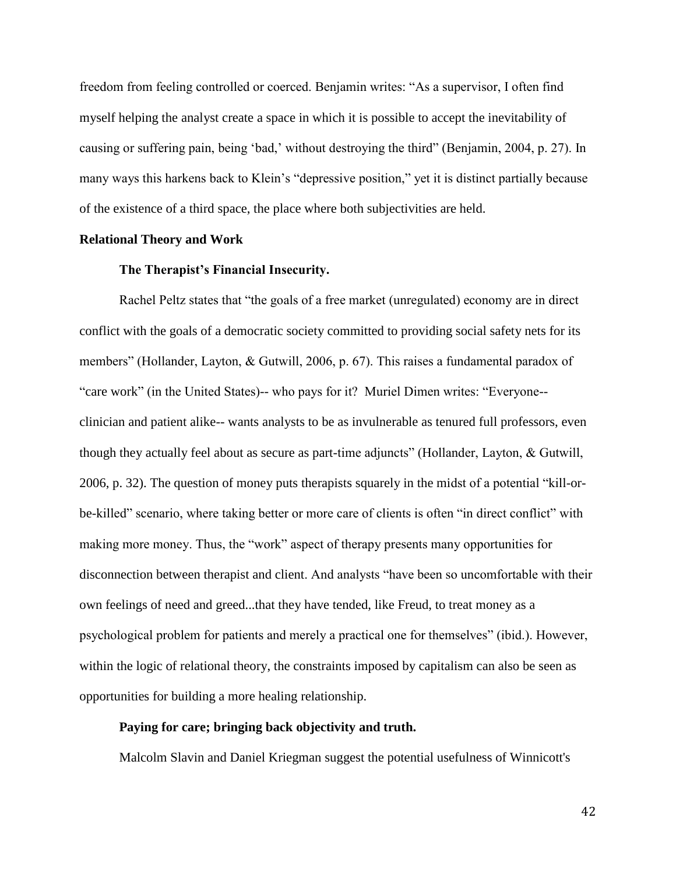freedom from feeling controlled or coerced. Benjamin writes: "As a supervisor, I often find myself helping the analyst create a space in which it is possible to accept the inevitability of causing or suffering pain, being 'bad,' without destroying the third" (Benjamin, 2004, p. 27). In many ways this harkens back to Klein's "depressive position," yet it is distinct partially because of the existence of a third space, the place where both subjectivities are held.

#### **Relational Theory and Work**

## **The Therapist's Financial Insecurity.**

Rachel Peltz states that "the goals of a free market (unregulated) economy are in direct conflict with the goals of a democratic society committed to providing social safety nets for its members" (Hollander, Layton, & Gutwill, 2006, p. 67). This raises a fundamental paradox of "care work" (in the United States)-- who pays for it? Muriel Dimen writes: "Everyone- clinician and patient alike-- wants analysts to be as invulnerable as tenured full professors, even though they actually feel about as secure as part-time adjuncts" (Hollander, Layton, & Gutwill, 2006, p. 32). The question of money puts therapists squarely in the midst of a potential "kill-orbe-killed" scenario, where taking better or more care of clients is often "in direct conflict" with making more money. Thus, the "work" aspect of therapy presents many opportunities for disconnection between therapist and client. And analysts "have been so uncomfortable with their own feelings of need and greed...that they have tended, like Freud, to treat money as a psychological problem for patients and merely a practical one for themselves" (ibid.). However, within the logic of relational theory, the constraints imposed by capitalism can also be seen as opportunities for building a more healing relationship.

## **Paying for care; bringing back objectivity and truth.**

Malcolm Slavin and Daniel Kriegman suggest the potential usefulness of Winnicott's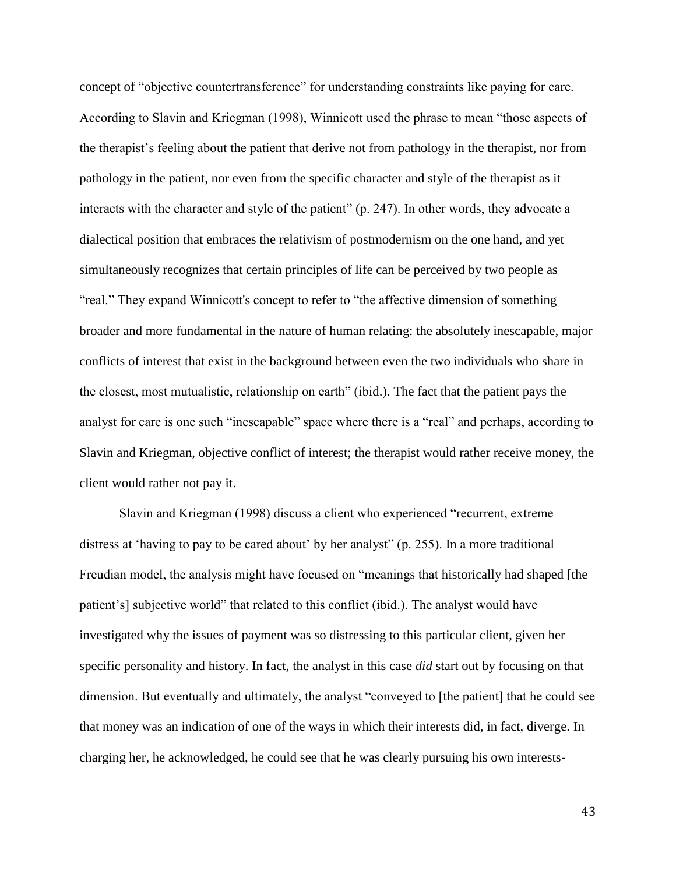concept of "objective countertransference" for understanding constraints like paying for care. According to Slavin and Kriegman (1998), Winnicott used the phrase to mean "those aspects of the therapist's feeling about the patient that derive not from pathology in the therapist, nor from pathology in the patient, nor even from the specific character and style of the therapist as it interacts with the character and style of the patient" (p. 247). In other words, they advocate a dialectical position that embraces the relativism of postmodernism on the one hand, and yet simultaneously recognizes that certain principles of life can be perceived by two people as "real." They expand Winnicott's concept to refer to "the affective dimension of something broader and more fundamental in the nature of human relating: the absolutely inescapable, major conflicts of interest that exist in the background between even the two individuals who share in the closest, most mutualistic, relationship on earth" (ibid.). The fact that the patient pays the analyst for care is one such "inescapable" space where there is a "real" and perhaps, according to Slavin and Kriegman, objective conflict of interest; the therapist would rather receive money, the client would rather not pay it.

Slavin and Kriegman (1998) discuss a client who experienced "recurrent, extreme distress at 'having to pay to be cared about' by her analyst" (p. 255). In a more traditional Freudian model, the analysis might have focused on "meanings that historically had shaped [the patient's] subjective world" that related to this conflict (ibid.). The analyst would have investigated why the issues of payment was so distressing to this particular client, given her specific personality and history. In fact, the analyst in this case *did* start out by focusing on that dimension. But eventually and ultimately, the analyst "conveyed to [the patient] that he could see that money was an indication of one of the ways in which their interests did, in fact, diverge. In charging her, he acknowledged, he could see that he was clearly pursuing his own interests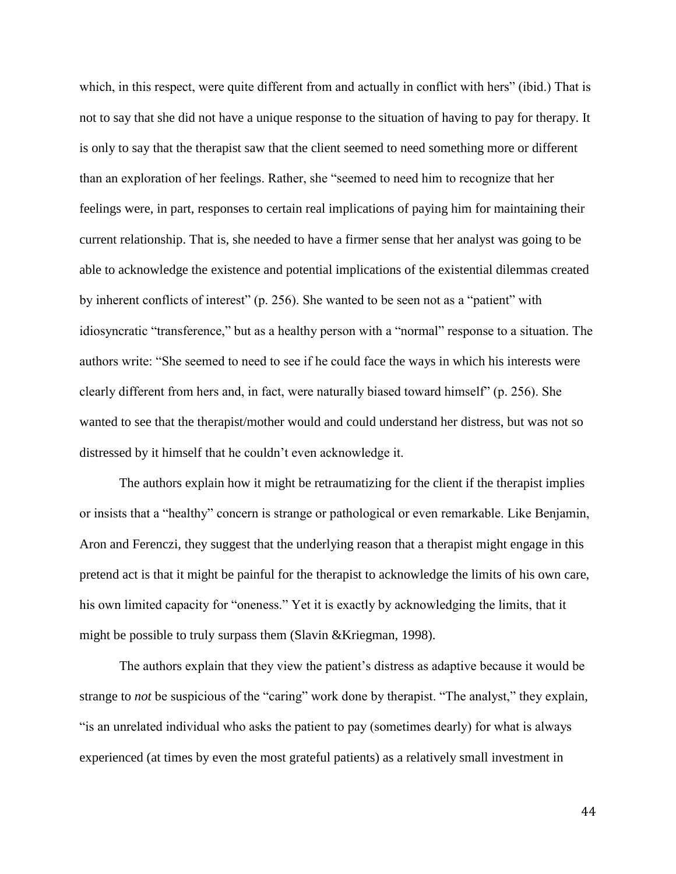which, in this respect, were quite different from and actually in conflict with hers" (ibid.) That is not to say that she did not have a unique response to the situation of having to pay for therapy. It is only to say that the therapist saw that the client seemed to need something more or different than an exploration of her feelings. Rather, she "seemed to need him to recognize that her feelings were, in part, responses to certain real implications of paying him for maintaining their current relationship. That is, she needed to have a firmer sense that her analyst was going to be able to acknowledge the existence and potential implications of the existential dilemmas created by inherent conflicts of interest" (p. 256). She wanted to be seen not as a "patient" with idiosyncratic "transference," but as a healthy person with a "normal" response to a situation. The authors write: "She seemed to need to see if he could face the ways in which his interests were clearly different from hers and, in fact, were naturally biased toward himself" (p. 256). She wanted to see that the therapist/mother would and could understand her distress, but was not so distressed by it himself that he couldn't even acknowledge it.

The authors explain how it might be retraumatizing for the client if the therapist implies or insists that a "healthy" concern is strange or pathological or even remarkable. Like Benjamin, Aron and Ferenczi, they suggest that the underlying reason that a therapist might engage in this pretend act is that it might be painful for the therapist to acknowledge the limits of his own care, his own limited capacity for "oneness." Yet it is exactly by acknowledging the limits, that it might be possible to truly surpass them (Slavin &Kriegman, 1998).

The authors explain that they view the patient's distress as adaptive because it would be strange to *not* be suspicious of the "caring" work done by therapist. "The analyst," they explain, "is an unrelated individual who asks the patient to pay (sometimes dearly) for what is always experienced (at times by even the most grateful patients) as a relatively small investment in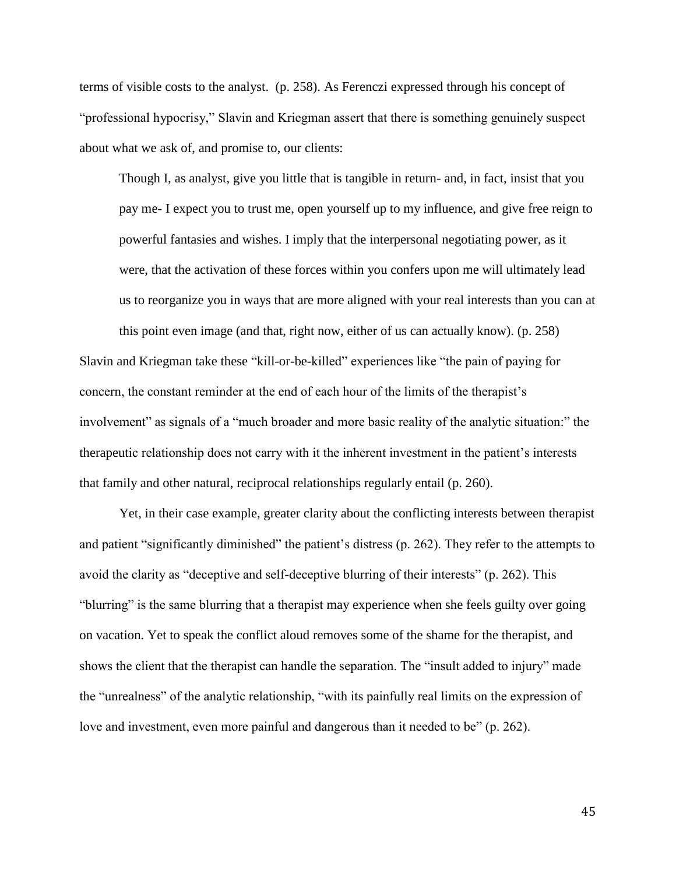terms of visible costs to the analyst. (p. 258). As Ferenczi expressed through his concept of "professional hypocrisy," Slavin and Kriegman assert that there is something genuinely suspect about what we ask of, and promise to, our clients:

Though I, as analyst, give you little that is tangible in return- and, in fact, insist that you pay me- I expect you to trust me, open yourself up to my influence, and give free reign to powerful fantasies and wishes. I imply that the interpersonal negotiating power, as it were, that the activation of these forces within you confers upon me will ultimately lead us to reorganize you in ways that are more aligned with your real interests than you can at

this point even image (and that, right now, either of us can actually know). (p. 258) Slavin and Kriegman take these "kill-or-be-killed" experiences like "the pain of paying for concern, the constant reminder at the end of each hour of the limits of the therapist's involvement" as signals of a "much broader and more basic reality of the analytic situation:" the therapeutic relationship does not carry with it the inherent investment in the patient's interests that family and other natural, reciprocal relationships regularly entail (p. 260).

Yet, in their case example, greater clarity about the conflicting interests between therapist and patient "significantly diminished" the patient's distress (p. 262). They refer to the attempts to avoid the clarity as "deceptive and self-deceptive blurring of their interests" (p. 262). This "blurring" is the same blurring that a therapist may experience when she feels guilty over going on vacation. Yet to speak the conflict aloud removes some of the shame for the therapist, and shows the client that the therapist can handle the separation. The "insult added to injury" made the "unrealness" of the analytic relationship, "with its painfully real limits on the expression of love and investment, even more painful and dangerous than it needed to be" (p. 262).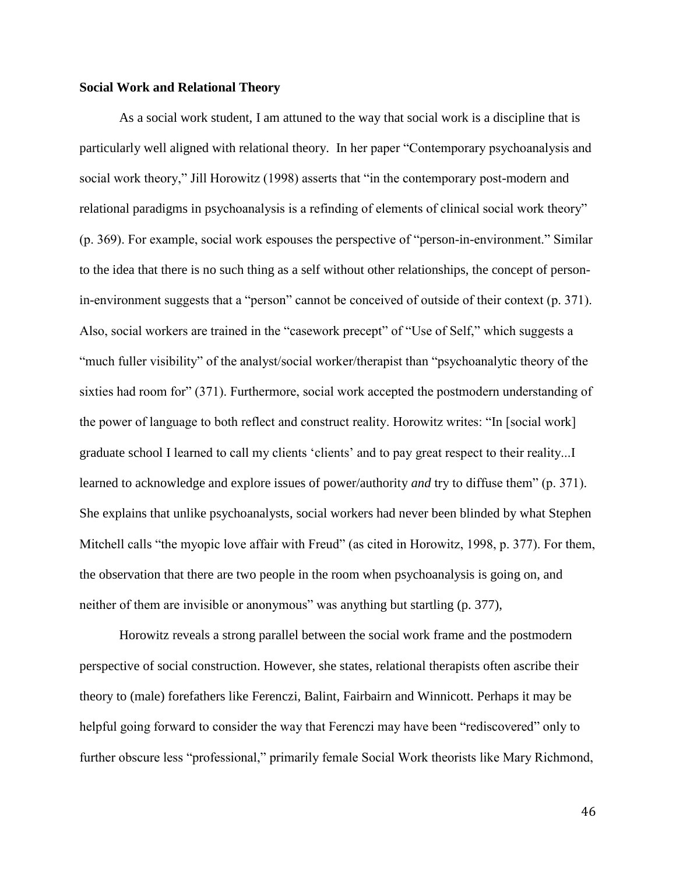#### **Social Work and Relational Theory**

As a social work student, I am attuned to the way that social work is a discipline that is particularly well aligned with relational theory. In her paper "Contemporary psychoanalysis and social work theory," Jill Horowitz (1998) asserts that "in the contemporary post-modern and relational paradigms in psychoanalysis is a refinding of elements of clinical social work theory" (p. 369). For example, social work espouses the perspective of "person-in-environment." Similar to the idea that there is no such thing as a self without other relationships, the concept of personin-environment suggests that a "person" cannot be conceived of outside of their context (p. 371). Also, social workers are trained in the "casework precept" of "Use of Self," which suggests a "much fuller visibility" of the analyst/social worker/therapist than "psychoanalytic theory of the sixties had room for" (371). Furthermore, social work accepted the postmodern understanding of the power of language to both reflect and construct reality. Horowitz writes: "In [social work] graduate school I learned to call my clients 'clients' and to pay great respect to their reality...I learned to acknowledge and explore issues of power/authority *and* try to diffuse them" (p. 371). She explains that unlike psychoanalysts, social workers had never been blinded by what Stephen Mitchell calls "the myopic love affair with Freud" (as cited in Horowitz, 1998, p. 377). For them, the observation that there are two people in the room when psychoanalysis is going on, and neither of them are invisible or anonymous" was anything but startling (p. 377),

Horowitz reveals a strong parallel between the social work frame and the postmodern perspective of social construction. However, she states, relational therapists often ascribe their theory to (male) forefathers like Ferenczi, Balint, Fairbairn and Winnicott. Perhaps it may be helpful going forward to consider the way that Ferenczi may have been "rediscovered" only to further obscure less "professional," primarily female Social Work theorists like Mary Richmond,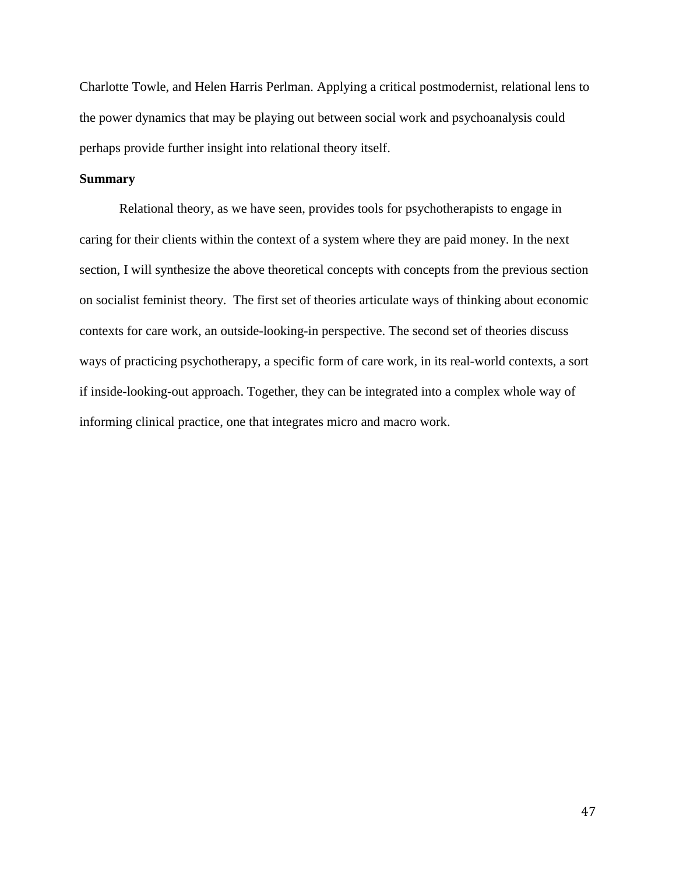Charlotte Towle, and Helen Harris Perlman. Applying a critical postmodernist, relational lens to the power dynamics that may be playing out between social work and psychoanalysis could perhaps provide further insight into relational theory itself.

# **Summary**

Relational theory, as we have seen, provides tools for psychotherapists to engage in caring for their clients within the context of a system where they are paid money. In the next section, I will synthesize the above theoretical concepts with concepts from the previous section on socialist feminist theory. The first set of theories articulate ways of thinking about economic contexts for care work, an outside-looking-in perspective. The second set of theories discuss ways of practicing psychotherapy, a specific form of care work, in its real-world contexts, a sort if inside-looking-out approach. Together, they can be integrated into a complex whole way of informing clinical practice, one that integrates micro and macro work.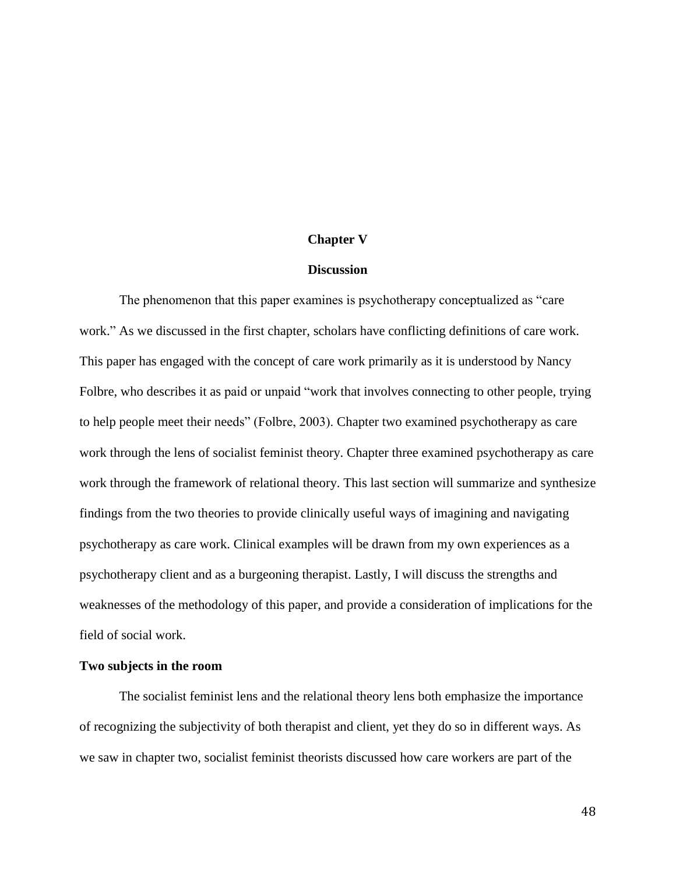#### **Chapter V**

#### **Discussion**

The phenomenon that this paper examines is psychotherapy conceptualized as "care work." As we discussed in the first chapter, scholars have conflicting definitions of care work. This paper has engaged with the concept of care work primarily as it is understood by Nancy Folbre, who describes it as paid or unpaid "work that involves connecting to other people, trying to help people meet their needs" (Folbre, 2003). Chapter two examined psychotherapy as care work through the lens of socialist feminist theory. Chapter three examined psychotherapy as care work through the framework of relational theory. This last section will summarize and synthesize findings from the two theories to provide clinically useful ways of imagining and navigating psychotherapy as care work. Clinical examples will be drawn from my own experiences as a psychotherapy client and as a burgeoning therapist. Lastly, I will discuss the strengths and weaknesses of the methodology of this paper, and provide a consideration of implications for the field of social work.

# **Two subjects in the room**

The socialist feminist lens and the relational theory lens both emphasize the importance of recognizing the subjectivity of both therapist and client, yet they do so in different ways. As we saw in chapter two, socialist feminist theorists discussed how care workers are part of the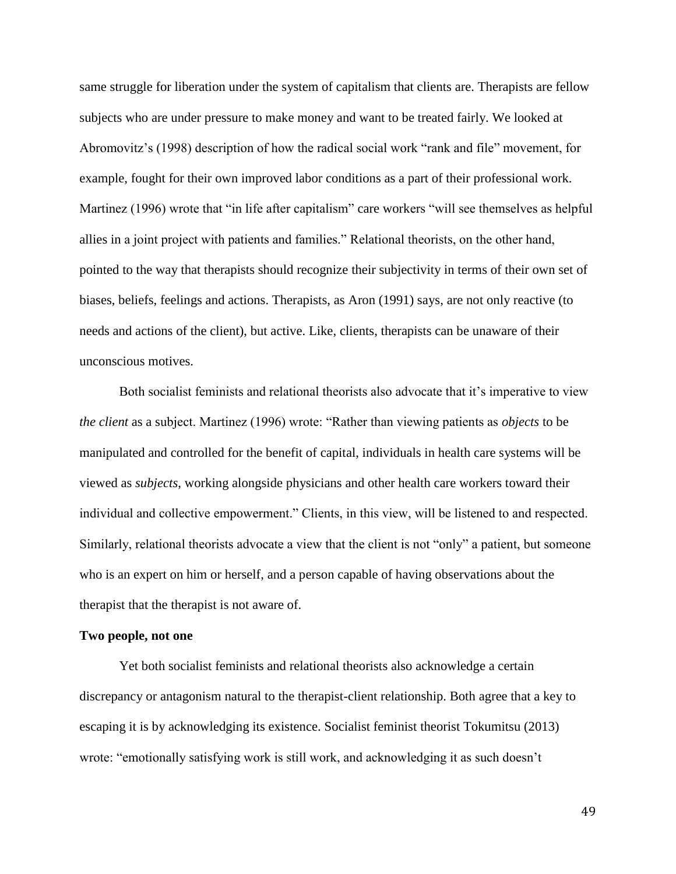same struggle for liberation under the system of capitalism that clients are. Therapists are fellow subjects who are under pressure to make money and want to be treated fairly. We looked at Abromovitz's (1998) description of how the radical social work "rank and file" movement, for example, fought for their own improved labor conditions as a part of their professional work. Martinez (1996) wrote that "in life after capitalism" care workers "will see themselves as helpful allies in a joint project with patients and families." Relational theorists, on the other hand, pointed to the way that therapists should recognize their subjectivity in terms of their own set of biases, beliefs, feelings and actions. Therapists, as Aron (1991) says, are not only reactive (to needs and actions of the client), but active. Like, clients, therapists can be unaware of their unconscious motives.

Both socialist feminists and relational theorists also advocate that it's imperative to view *the client* as a subject. Martinez (1996) wrote: "Rather than viewing patients as *objects* to be manipulated and controlled for the benefit of capital, individuals in health care systems will be viewed as *subjects*, working alongside physicians and other health care workers toward their individual and collective empowerment." Clients, in this view, will be listened to and respected. Similarly, relational theorists advocate a view that the client is not "only" a patient, but someone who is an expert on him or herself, and a person capable of having observations about the therapist that the therapist is not aware of.

# **Two people, not one**

Yet both socialist feminists and relational theorists also acknowledge a certain discrepancy or antagonism natural to the therapist-client relationship. Both agree that a key to escaping it is by acknowledging its existence. Socialist feminist theorist Tokumitsu (2013) wrote: "emotionally satisfying work is still work, and acknowledging it as such doesn't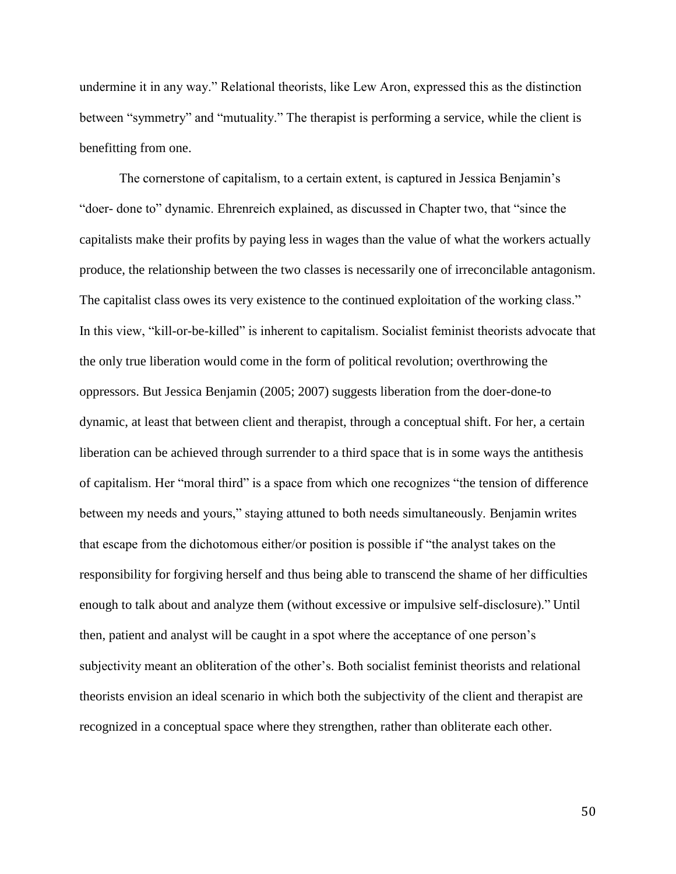undermine it in any way." Relational theorists, like Lew Aron, expressed this as the distinction between "symmetry" and "mutuality." The therapist is performing a service, while the client is benefitting from one.

The cornerstone of capitalism, to a certain extent, is captured in Jessica Benjamin's "doer- done to" dynamic. Ehrenreich explained, as discussed in Chapter two, that "since the capitalists make their profits by paying less in wages than the value of what the workers actually produce, the relationship between the two classes is necessarily one of irreconcilable antagonism. The capitalist class owes its very existence to the continued exploitation of the working class." In this view, "kill-or-be-killed" is inherent to capitalism. Socialist feminist theorists advocate that the only true liberation would come in the form of political revolution; overthrowing the oppressors. But Jessica Benjamin (2005; 2007) suggests liberation from the doer-done-to dynamic, at least that between client and therapist, through a conceptual shift. For her, a certain liberation can be achieved through surrender to a third space that is in some ways the antithesis of capitalism. Her "moral third" is a space from which one recognizes "the tension of difference between my needs and yours," staying attuned to both needs simultaneously. Benjamin writes that escape from the dichotomous either/or position is possible if "the analyst takes on the responsibility for forgiving herself and thus being able to transcend the shame of her difficulties enough to talk about and analyze them (without excessive or impulsive self-disclosure)." Until then, patient and analyst will be caught in a spot where the acceptance of one person's subjectivity meant an obliteration of the other's. Both socialist feminist theorists and relational theorists envision an ideal scenario in which both the subjectivity of the client and therapist are recognized in a conceptual space where they strengthen, rather than obliterate each other.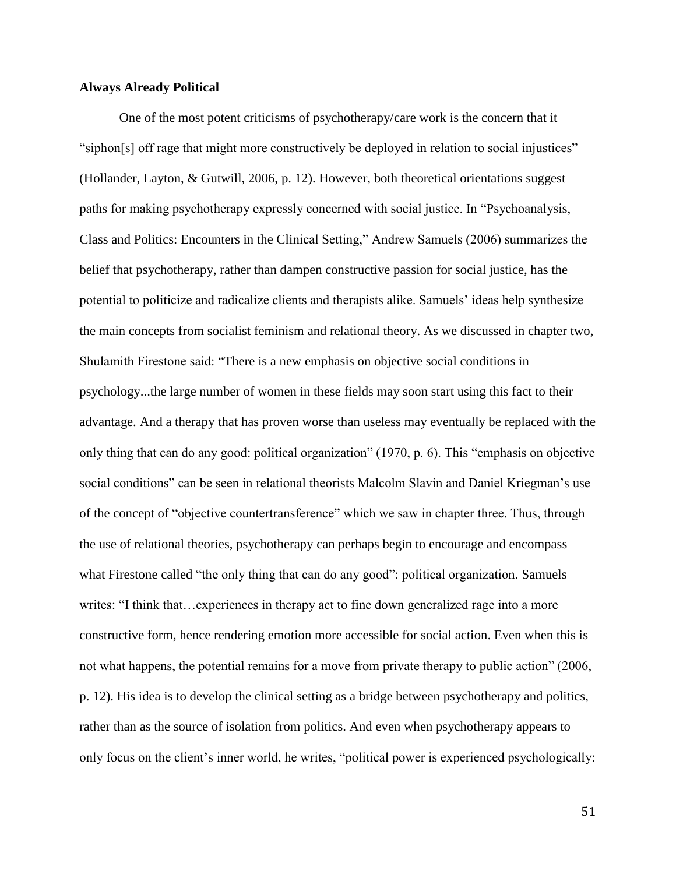## **Always Already Political**

One of the most potent criticisms of psychotherapy/care work is the concern that it "siphon[s] off rage that might more constructively be deployed in relation to social injustices" (Hollander, Layton, & Gutwill, 2006, p. 12). However, both theoretical orientations suggest paths for making psychotherapy expressly concerned with social justice. In "Psychoanalysis, Class and Politics: Encounters in the Clinical Setting," Andrew Samuels (2006) summarizes the belief that psychotherapy, rather than dampen constructive passion for social justice, has the potential to politicize and radicalize clients and therapists alike. Samuels' ideas help synthesize the main concepts from socialist feminism and relational theory. As we discussed in chapter two, Shulamith Firestone said: "There is a new emphasis on objective social conditions in psychology...the large number of women in these fields may soon start using this fact to their advantage. And a therapy that has proven worse than useless may eventually be replaced with the only thing that can do any good: political organization" (1970, p. 6). This "emphasis on objective social conditions" can be seen in relational theorists Malcolm Slavin and Daniel Kriegman's use of the concept of "objective countertransference" which we saw in chapter three. Thus, through the use of relational theories, psychotherapy can perhaps begin to encourage and encompass what Firestone called "the only thing that can do any good": political organization. Samuels writes: "I think that…experiences in therapy act to fine down generalized rage into a more constructive form, hence rendering emotion more accessible for social action. Even when this is not what happens, the potential remains for a move from private therapy to public action" (2006, p. 12). His idea is to develop the clinical setting as a bridge between psychotherapy and politics, rather than as the source of isolation from politics. And even when psychotherapy appears to only focus on the client's inner world, he writes, "political power is experienced psychologically: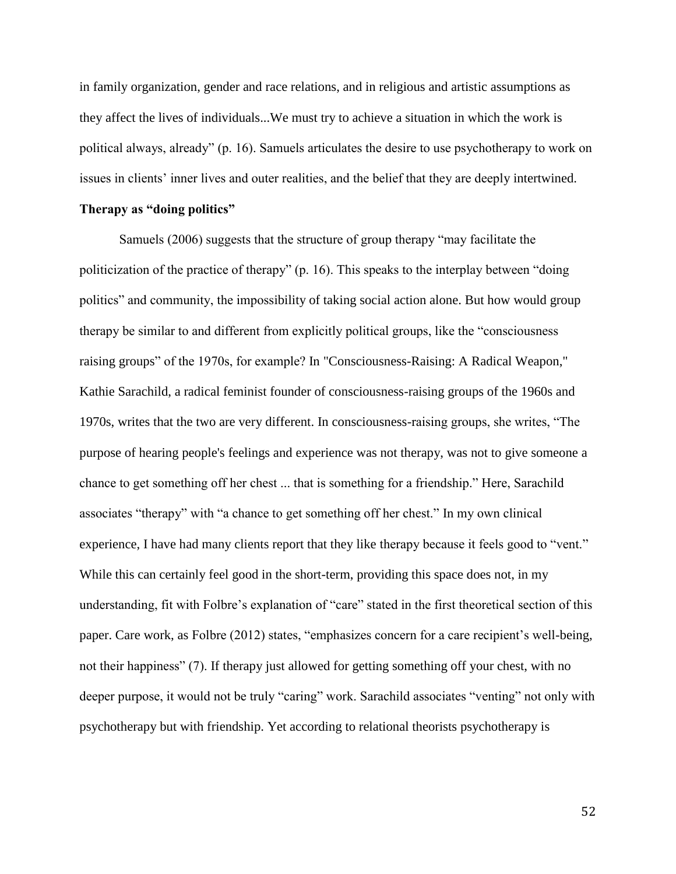in family organization, gender and race relations, and in religious and artistic assumptions as they affect the lives of individuals...We must try to achieve a situation in which the work is political always, already" (p. 16). Samuels articulates the desire to use psychotherapy to work on issues in clients' inner lives and outer realities, and the belief that they are deeply intertwined.

#### **Therapy as "doing politics"**

Samuels (2006) suggests that the structure of group therapy "may facilitate the politicization of the practice of therapy" (p. 16). This speaks to the interplay between "doing politics" and community, the impossibility of taking social action alone. But how would group therapy be similar to and different from explicitly political groups, like the "consciousness raising groups" of the 1970s, for example? In "Consciousness-Raising: A Radical Weapon," Kathie Sarachild, a radical feminist founder of consciousness-raising groups of the 1960s and 1970s, writes that the two are very different. In consciousness-raising groups, she writes, "The purpose of hearing people's feelings and experience was not therapy, was not to give someone a chance to get something off her chest ... that is something for a friendship." Here, Sarachild associates "therapy" with "a chance to get something off her chest." In my own clinical experience, I have had many clients report that they like therapy because it feels good to "vent." While this can certainly feel good in the short-term, providing this space does not, in my understanding, fit with Folbre's explanation of "care" stated in the first theoretical section of this paper. Care work, as Folbre (2012) states, "emphasizes concern for a care recipient's well-being, not their happiness" (7). If therapy just allowed for getting something off your chest, with no deeper purpose, it would not be truly "caring" work. Sarachild associates "venting" not only with psychotherapy but with friendship. Yet according to relational theorists psychotherapy is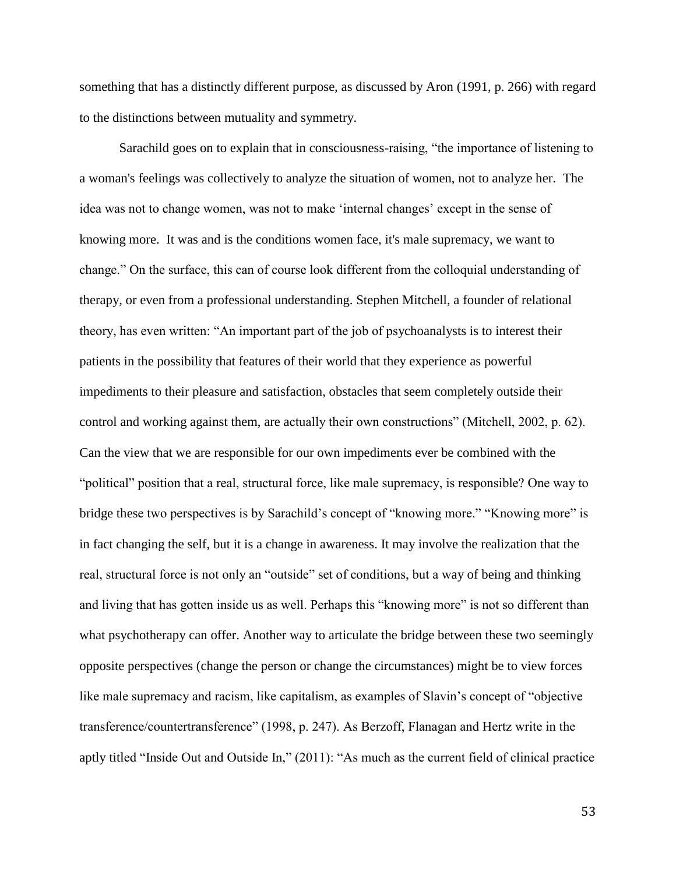something that has a distinctly different purpose, as discussed by Aron (1991, p. 266) with regard to the distinctions between mutuality and symmetry.

Sarachild goes on to explain that in consciousness-raising, "the importance of listening to a woman's feelings was collectively to analyze the situation of women, not to analyze her. The idea was not to change women, was not to make 'internal changes' except in the sense of knowing more. It was and is the conditions women face, it's male supremacy, we want to change." On the surface, this can of course look different from the colloquial understanding of therapy, or even from a professional understanding. Stephen Mitchell, a founder of relational theory, has even written: "An important part of the job of psychoanalysts is to interest their patients in the possibility that features of their world that they experience as powerful impediments to their pleasure and satisfaction, obstacles that seem completely outside their control and working against them, are actually their own constructions" (Mitchell, 2002, p. 62). Can the view that we are responsible for our own impediments ever be combined with the "political" position that a real, structural force, like male supremacy, is responsible? One way to bridge these two perspectives is by Sarachild's concept of "knowing more." "Knowing more" is in fact changing the self, but it is a change in awareness. It may involve the realization that the real, structural force is not only an "outside" set of conditions, but a way of being and thinking and living that has gotten inside us as well. Perhaps this "knowing more" is not so different than what psychotherapy can offer. Another way to articulate the bridge between these two seemingly opposite perspectives (change the person or change the circumstances) might be to view forces like male supremacy and racism, like capitalism, as examples of Slavin's concept of "objective transference/countertransference" (1998, p. 247). As Berzoff, Flanagan and Hertz write in the aptly titled "Inside Out and Outside In," (2011): "As much as the current field of clinical practice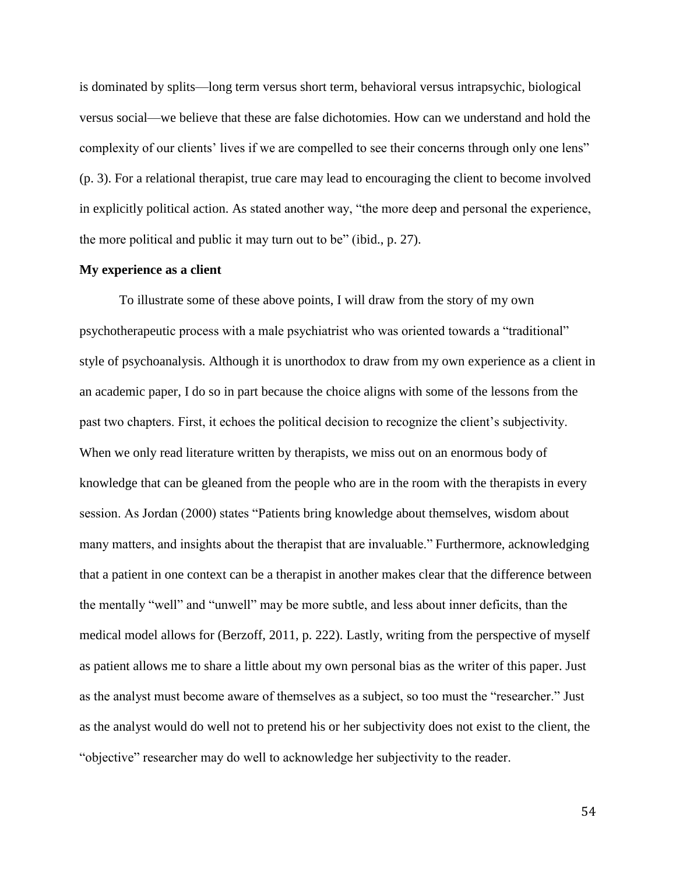is dominated by splits—long term versus short term, behavioral versus intrapsychic, biological versus social—we believe that these are false dichotomies. How can we understand and hold the complexity of our clients' lives if we are compelled to see their concerns through only one lens" (p. 3). For a relational therapist, true care may lead to encouraging the client to become involved in explicitly political action. As stated another way, "the more deep and personal the experience, the more political and public it may turn out to be" (ibid., p. 27).

#### **My experience as a client**

To illustrate some of these above points, I will draw from the story of my own psychotherapeutic process with a male psychiatrist who was oriented towards a "traditional" style of psychoanalysis. Although it is unorthodox to draw from my own experience as a client in an academic paper, I do so in part because the choice aligns with some of the lessons from the past two chapters. First, it echoes the political decision to recognize the client's subjectivity. When we only read literature written by therapists, we miss out on an enormous body of knowledge that can be gleaned from the people who are in the room with the therapists in every session. As Jordan (2000) states "Patients bring knowledge about themselves, wisdom about many matters, and insights about the therapist that are invaluable." Furthermore, acknowledging that a patient in one context can be a therapist in another makes clear that the difference between the mentally "well" and "unwell" may be more subtle, and less about inner deficits, than the medical model allows for (Berzoff, 2011, p. 222). Lastly, writing from the perspective of myself as patient allows me to share a little about my own personal bias as the writer of this paper. Just as the analyst must become aware of themselves as a subject, so too must the "researcher." Just as the analyst would do well not to pretend his or her subjectivity does not exist to the client, the "objective" researcher may do well to acknowledge her subjectivity to the reader.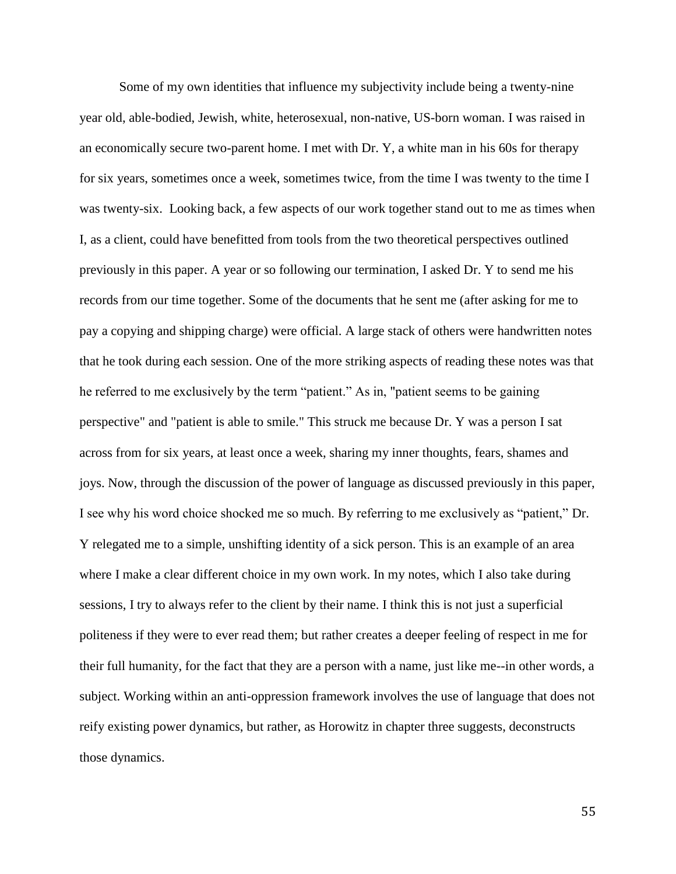Some of my own identities that influence my subjectivity include being a twenty-nine year old, able-bodied, Jewish, white, heterosexual, non-native, US-born woman. I was raised in an economically secure two-parent home. I met with Dr. Y, a white man in his 60s for therapy for six years, sometimes once a week, sometimes twice, from the time I was twenty to the time I was twenty-six. Looking back, a few aspects of our work together stand out to me as times when I, as a client, could have benefitted from tools from the two theoretical perspectives outlined previously in this paper. A year or so following our termination, I asked Dr. Y to send me his records from our time together. Some of the documents that he sent me (after asking for me to pay a copying and shipping charge) were official. A large stack of others were handwritten notes that he took during each session. One of the more striking aspects of reading these notes was that he referred to me exclusively by the term "patient." As in, "patient seems to be gaining perspective" and "patient is able to smile." This struck me because Dr. Y was a person I sat across from for six years, at least once a week, sharing my inner thoughts, fears, shames and joys. Now, through the discussion of the power of language as discussed previously in this paper, I see why his word choice shocked me so much. By referring to me exclusively as "patient," Dr. Y relegated me to a simple, unshifting identity of a sick person. This is an example of an area where I make a clear different choice in my own work. In my notes, which I also take during sessions, I try to always refer to the client by their name. I think this is not just a superficial politeness if they were to ever read them; but rather creates a deeper feeling of respect in me for their full humanity, for the fact that they are a person with a name, just like me--in other words, a subject. Working within an anti-oppression framework involves the use of language that does not reify existing power dynamics, but rather, as Horowitz in chapter three suggests, deconstructs those dynamics.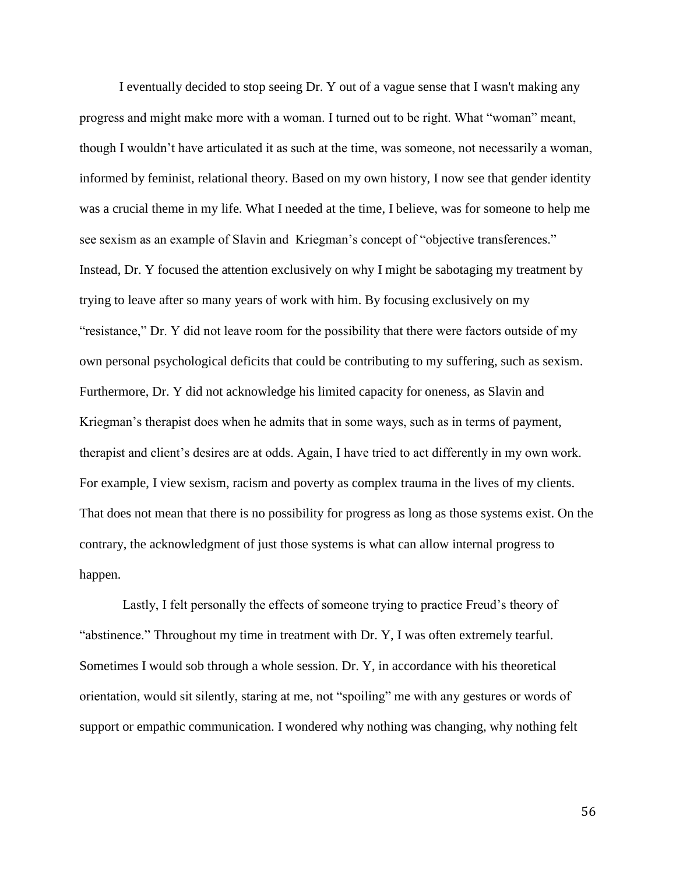I eventually decided to stop seeing Dr. Y out of a vague sense that I wasn't making any progress and might make more with a woman. I turned out to be right. What "woman" meant, though I wouldn't have articulated it as such at the time, was someone, not necessarily a woman, informed by feminist, relational theory. Based on my own history, I now see that gender identity was a crucial theme in my life. What I needed at the time, I believe, was for someone to help me see sexism as an example of Slavin and Kriegman's concept of "objective transferences." Instead, Dr. Y focused the attention exclusively on why I might be sabotaging my treatment by trying to leave after so many years of work with him. By focusing exclusively on my "resistance," Dr. Y did not leave room for the possibility that there were factors outside of my own personal psychological deficits that could be contributing to my suffering, such as sexism. Furthermore, Dr. Y did not acknowledge his limited capacity for oneness, as Slavin and Kriegman's therapist does when he admits that in some ways, such as in terms of payment, therapist and client's desires are at odds. Again, I have tried to act differently in my own work. For example, I view sexism, racism and poverty as complex trauma in the lives of my clients. That does not mean that there is no possibility for progress as long as those systems exist. On the contrary, the acknowledgment of just those systems is what can allow internal progress to happen.

Lastly, I felt personally the effects of someone trying to practice Freud's theory of "abstinence." Throughout my time in treatment with Dr. Y, I was often extremely tearful. Sometimes I would sob through a whole session. Dr. Y, in accordance with his theoretical orientation, would sit silently, staring at me, not "spoiling" me with any gestures or words of support or empathic communication. I wondered why nothing was changing, why nothing felt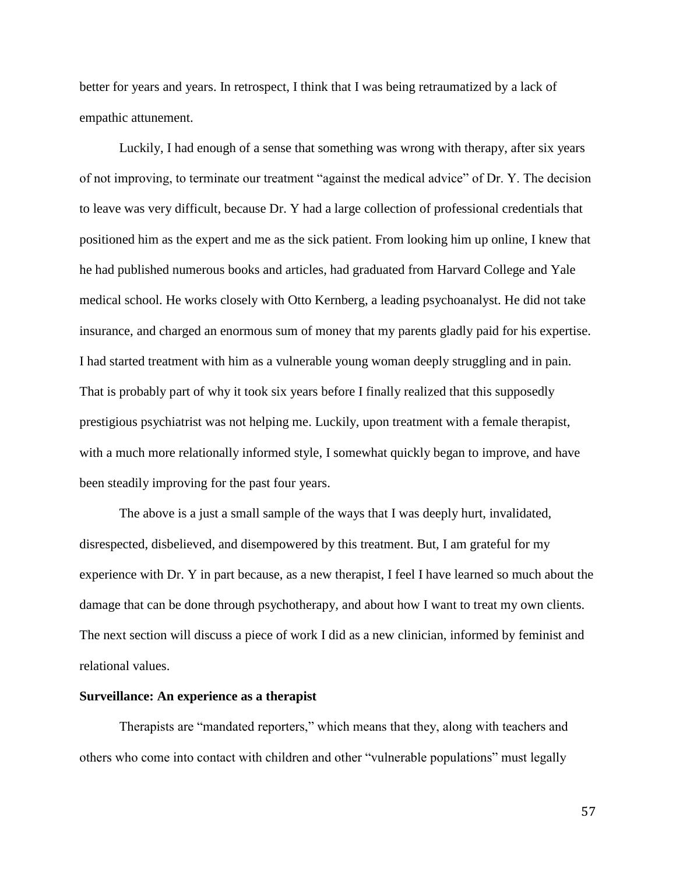better for years and years. In retrospect, I think that I was being retraumatized by a lack of empathic attunement.

Luckily, I had enough of a sense that something was wrong with therapy, after six years of not improving, to terminate our treatment "against the medical advice" of Dr. Y. The decision to leave was very difficult, because Dr. Y had a large collection of professional credentials that positioned him as the expert and me as the sick patient. From looking him up online, I knew that he had published numerous books and articles, had graduated from Harvard College and Yale medical school. He works closely with Otto Kernberg, a leading psychoanalyst. He did not take insurance, and charged an enormous sum of money that my parents gladly paid for his expertise. I had started treatment with him as a vulnerable young woman deeply struggling and in pain. That is probably part of why it took six years before I finally realized that this supposedly prestigious psychiatrist was not helping me. Luckily, upon treatment with a female therapist, with a much more relationally informed style, I somewhat quickly began to improve, and have been steadily improving for the past four years.

The above is a just a small sample of the ways that I was deeply hurt, invalidated, disrespected, disbelieved, and disempowered by this treatment. But, I am grateful for my experience with Dr. Y in part because, as a new therapist, I feel I have learned so much about the damage that can be done through psychotherapy, and about how I want to treat my own clients. The next section will discuss a piece of work I did as a new clinician, informed by feminist and relational values.

#### **Surveillance: An experience as a therapist**

Therapists are "mandated reporters," which means that they, along with teachers and others who come into contact with children and other "vulnerable populations" must legally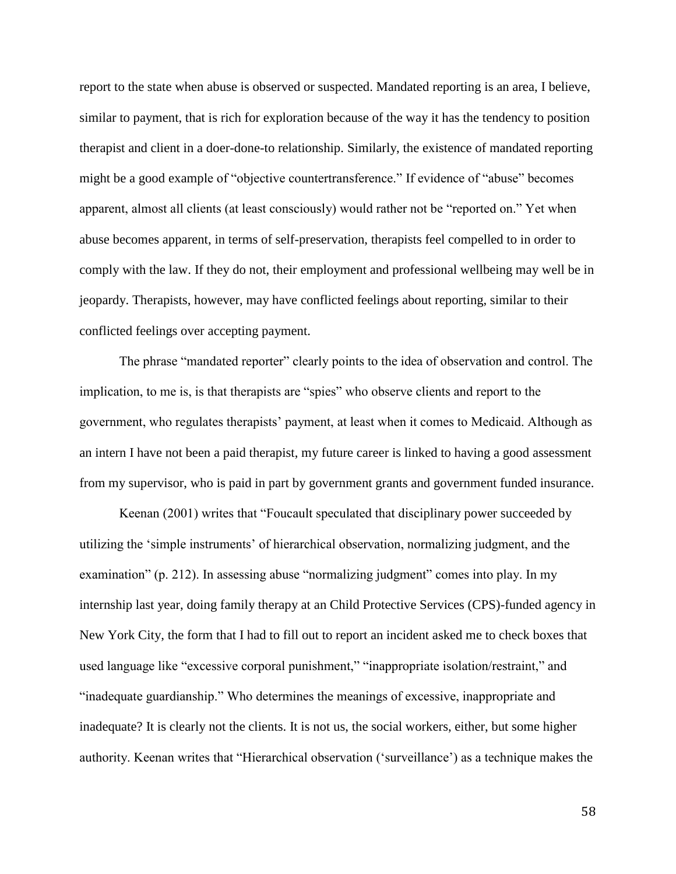report to the state when abuse is observed or suspected. Mandated reporting is an area, I believe, similar to payment, that is rich for exploration because of the way it has the tendency to position therapist and client in a doer-done-to relationship. Similarly, the existence of mandated reporting might be a good example of "objective countertransference." If evidence of "abuse" becomes apparent, almost all clients (at least consciously) would rather not be "reported on." Yet when abuse becomes apparent, in terms of self-preservation, therapists feel compelled to in order to comply with the law. If they do not, their employment and professional wellbeing may well be in jeopardy. Therapists, however, may have conflicted feelings about reporting, similar to their conflicted feelings over accepting payment.

The phrase "mandated reporter" clearly points to the idea of observation and control. The implication, to me is, is that therapists are "spies" who observe clients and report to the government, who regulates therapists' payment, at least when it comes to Medicaid. Although as an intern I have not been a paid therapist, my future career is linked to having a good assessment from my supervisor, who is paid in part by government grants and government funded insurance.

Keenan (2001) writes that "Foucault speculated that disciplinary power succeeded by utilizing the 'simple instruments' of hierarchical observation, normalizing judgment, and the examination" (p. 212). In assessing abuse "normalizing judgment" comes into play. In my internship last year, doing family therapy at an Child Protective Services (CPS)-funded agency in New York City, the form that I had to fill out to report an incident asked me to check boxes that used language like "excessive corporal punishment," "inappropriate isolation/restraint," and "inadequate guardianship." Who determines the meanings of excessive, inappropriate and inadequate? It is clearly not the clients. It is not us, the social workers, either, but some higher authority. Keenan writes that "Hierarchical observation ('surveillance') as a technique makes the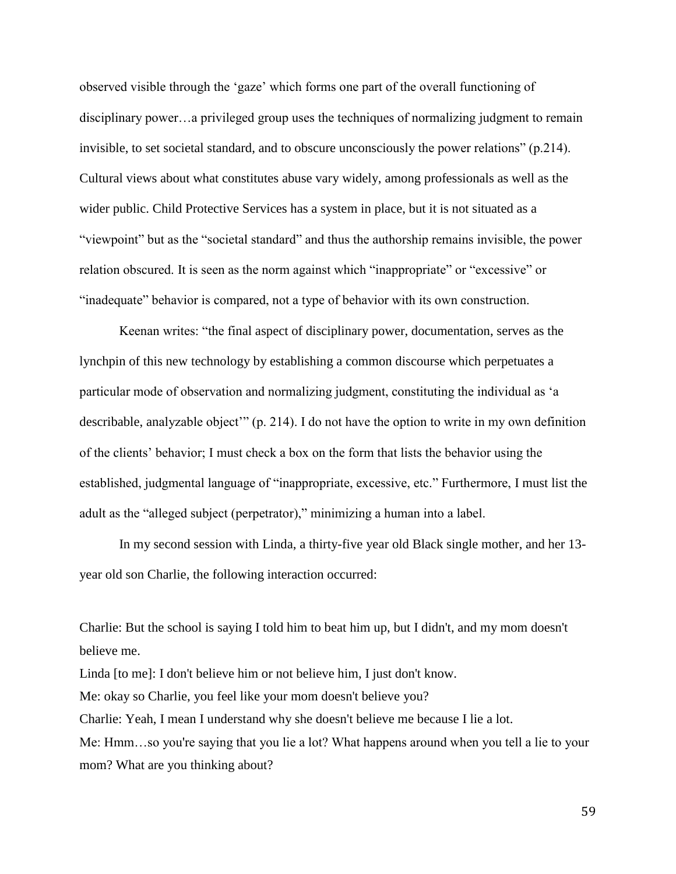observed visible through the 'gaze' which forms one part of the overall functioning of disciplinary power…a privileged group uses the techniques of normalizing judgment to remain invisible, to set societal standard, and to obscure unconsciously the power relations" (p.214). Cultural views about what constitutes abuse vary widely, among professionals as well as the wider public. Child Protective Services has a system in place, but it is not situated as a "viewpoint" but as the "societal standard" and thus the authorship remains invisible, the power relation obscured. It is seen as the norm against which "inappropriate" or "excessive" or "inadequate" behavior is compared, not a type of behavior with its own construction.

Keenan writes: "the final aspect of disciplinary power, documentation, serves as the lynchpin of this new technology by establishing a common discourse which perpetuates a particular mode of observation and normalizing judgment, constituting the individual as 'a describable, analyzable object'" (p. 214). I do not have the option to write in my own definition of the clients' behavior; I must check a box on the form that lists the behavior using the established, judgmental language of "inappropriate, excessive, etc." Furthermore, I must list the adult as the "alleged subject (perpetrator)," minimizing a human into a label.

In my second session with Linda, a thirty-five year old Black single mother, and her 13 year old son Charlie, the following interaction occurred:

Charlie: But the school is saying I told him to beat him up, but I didn't, and my mom doesn't believe me. Linda [to me]: I don't believe him or not believe him, I just don't know. Me: okay so Charlie, you feel like your mom doesn't believe you? Charlie: Yeah, I mean I understand why she doesn't believe me because I lie a lot. Me: Hmm…so you're saying that you lie a lot? What happens around when you tell a lie to your mom? What are you thinking about?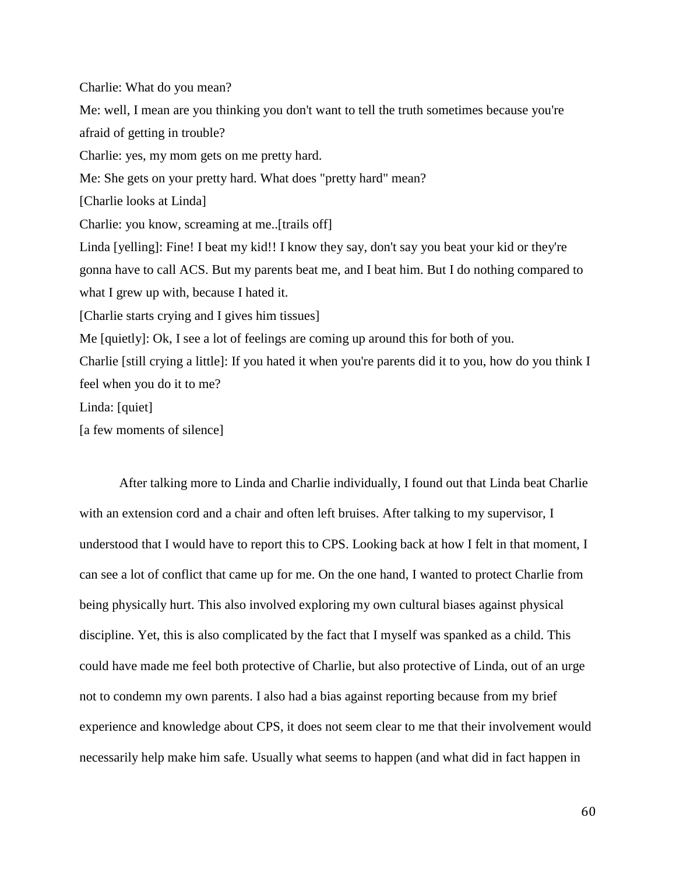Charlie: What do you mean? Me: well, I mean are you thinking you don't want to tell the truth sometimes because you're afraid of getting in trouble? Charlie: yes, my mom gets on me pretty hard. Me: She gets on your pretty hard. What does "pretty hard" mean? [Charlie looks at Linda] Charlie: you know, screaming at me..[trails off] Linda [yelling]: Fine! I beat my kid!! I know they say, don't say you beat your kid or they're gonna have to call ACS. But my parents beat me, and I beat him. But I do nothing compared to what I grew up with, because I hated it. [Charlie starts crying and I gives him tissues] Me [quietly]: Ok, I see a lot of feelings are coming up around this for both of you. Charlie [still crying a little]: If you hated it when you're parents did it to you, how do you think I feel when you do it to me? Linda: [quiet]

[a few moments of silence]

After talking more to Linda and Charlie individually, I found out that Linda beat Charlie with an extension cord and a chair and often left bruises. After talking to my supervisor, I understood that I would have to report this to CPS. Looking back at how I felt in that moment, I can see a lot of conflict that came up for me. On the one hand, I wanted to protect Charlie from being physically hurt. This also involved exploring my own cultural biases against physical discipline. Yet, this is also complicated by the fact that I myself was spanked as a child. This could have made me feel both protective of Charlie, but also protective of Linda, out of an urge not to condemn my own parents. I also had a bias against reporting because from my brief experience and knowledge about CPS, it does not seem clear to me that their involvement would necessarily help make him safe. Usually what seems to happen (and what did in fact happen in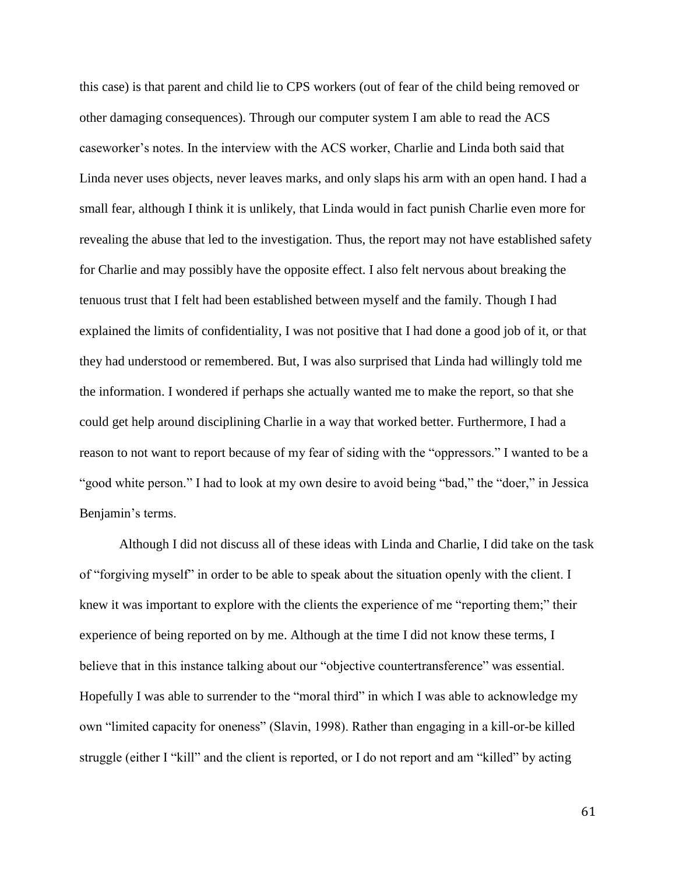this case) is that parent and child lie to CPS workers (out of fear of the child being removed or other damaging consequences). Through our computer system I am able to read the ACS caseworker's notes. In the interview with the ACS worker, Charlie and Linda both said that Linda never uses objects, never leaves marks, and only slaps his arm with an open hand. I had a small fear, although I think it is unlikely, that Linda would in fact punish Charlie even more for revealing the abuse that led to the investigation. Thus, the report may not have established safety for Charlie and may possibly have the opposite effect. I also felt nervous about breaking the tenuous trust that I felt had been established between myself and the family. Though I had explained the limits of confidentiality, I was not positive that I had done a good job of it, or that they had understood or remembered. But, I was also surprised that Linda had willingly told me the information. I wondered if perhaps she actually wanted me to make the report, so that she could get help around disciplining Charlie in a way that worked better. Furthermore, I had a reason to not want to report because of my fear of siding with the "oppressors." I wanted to be a "good white person." I had to look at my own desire to avoid being "bad," the "doer," in Jessica Benjamin's terms.

Although I did not discuss all of these ideas with Linda and Charlie, I did take on the task of "forgiving myself" in order to be able to speak about the situation openly with the client. I knew it was important to explore with the clients the experience of me "reporting them;" their experience of being reported on by me. Although at the time I did not know these terms, I believe that in this instance talking about our "objective countertransference" was essential. Hopefully I was able to surrender to the "moral third" in which I was able to acknowledge my own "limited capacity for oneness" (Slavin, 1998). Rather than engaging in a kill-or-be killed struggle (either I "kill" and the client is reported, or I do not report and am "killed" by acting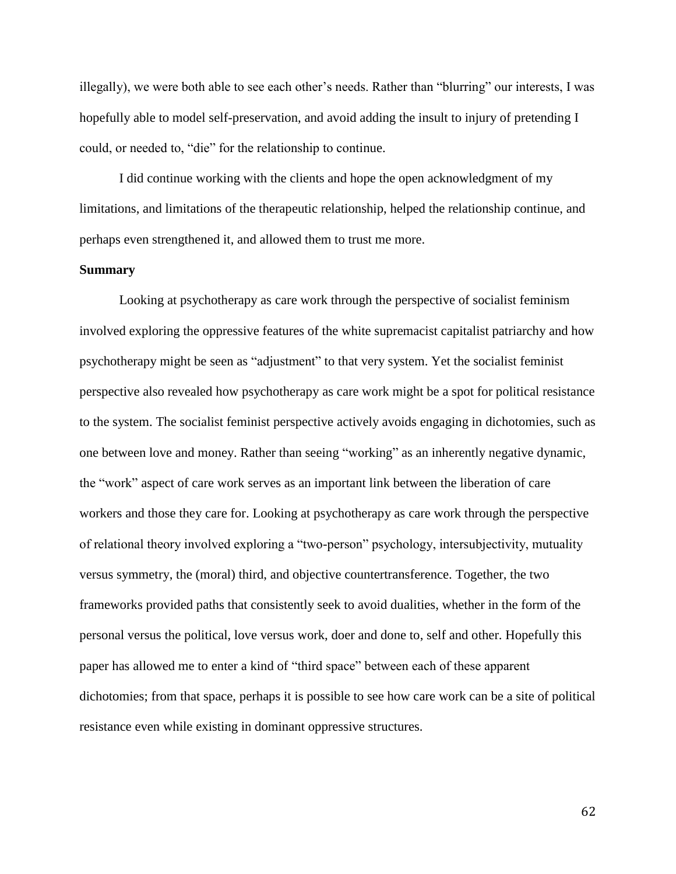illegally), we were both able to see each other's needs. Rather than "blurring" our interests, I was hopefully able to model self-preservation, and avoid adding the insult to injury of pretending I could, or needed to, "die" for the relationship to continue.

I did continue working with the clients and hope the open acknowledgment of my limitations, and limitations of the therapeutic relationship, helped the relationship continue, and perhaps even strengthened it, and allowed them to trust me more.

## **Summary**

Looking at psychotherapy as care work through the perspective of socialist feminism involved exploring the oppressive features of the white supremacist capitalist patriarchy and how psychotherapy might be seen as "adjustment" to that very system. Yet the socialist feminist perspective also revealed how psychotherapy as care work might be a spot for political resistance to the system. The socialist feminist perspective actively avoids engaging in dichotomies, such as one between love and money. Rather than seeing "working" as an inherently negative dynamic, the "work" aspect of care work serves as an important link between the liberation of care workers and those they care for. Looking at psychotherapy as care work through the perspective of relational theory involved exploring a "two-person" psychology, intersubjectivity, mutuality versus symmetry, the (moral) third, and objective countertransference. Together, the two frameworks provided paths that consistently seek to avoid dualities, whether in the form of the personal versus the political, love versus work, doer and done to, self and other. Hopefully this paper has allowed me to enter a kind of "third space" between each of these apparent dichotomies; from that space, perhaps it is possible to see how care work can be a site of political resistance even while existing in dominant oppressive structures.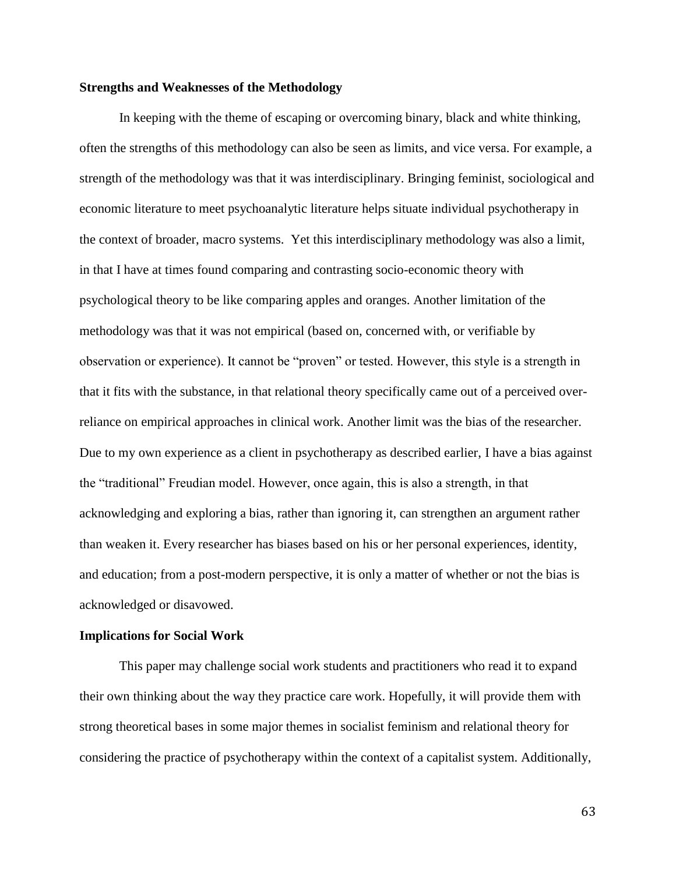## **Strengths and Weaknesses of the Methodology**

In keeping with the theme of escaping or overcoming binary, black and white thinking, often the strengths of this methodology can also be seen as limits, and vice versa. For example, a strength of the methodology was that it was interdisciplinary. Bringing feminist, sociological and economic literature to meet psychoanalytic literature helps situate individual psychotherapy in the context of broader, macro systems. Yet this interdisciplinary methodology was also a limit, in that I have at times found comparing and contrasting socio-economic theory with psychological theory to be like comparing apples and oranges. Another limitation of the methodology was that it was not empirical (based on, concerned with, or verifiable by observation or experience). It cannot be "proven" or tested. However, this style is a strength in that it fits with the substance, in that relational theory specifically came out of a perceived overreliance on empirical approaches in clinical work. Another limit was the bias of the researcher. Due to my own experience as a client in psychotherapy as described earlier, I have a bias against the "traditional" Freudian model. However, once again, this is also a strength, in that acknowledging and exploring a bias, rather than ignoring it, can strengthen an argument rather than weaken it. Every researcher has biases based on his or her personal experiences, identity, and education; from a post-modern perspective, it is only a matter of whether or not the bias is acknowledged or disavowed.

#### **Implications for Social Work**

This paper may challenge social work students and practitioners who read it to expand their own thinking about the way they practice care work. Hopefully, it will provide them with strong theoretical bases in some major themes in socialist feminism and relational theory for considering the practice of psychotherapy within the context of a capitalist system. Additionally,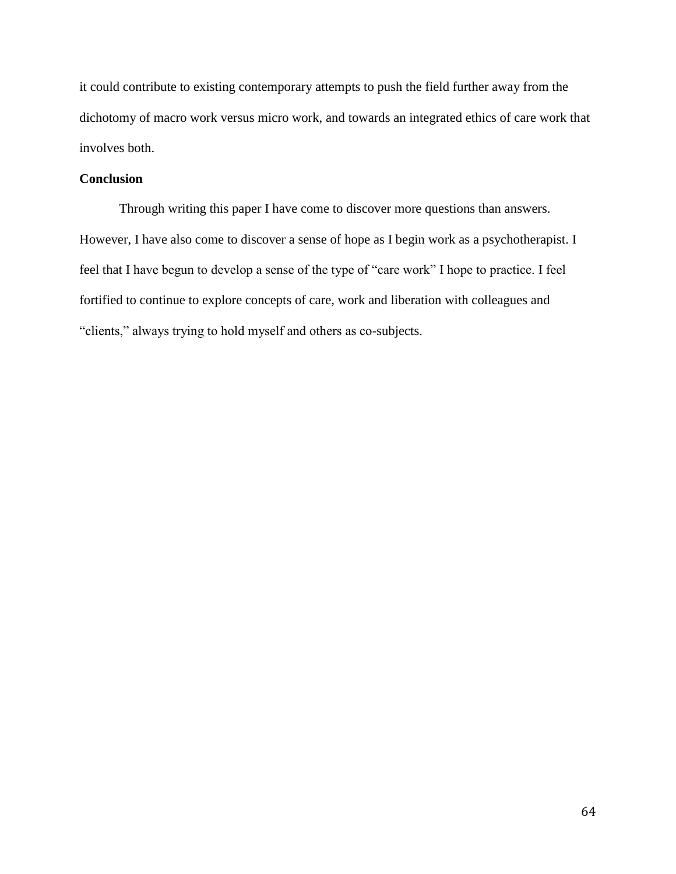it could contribute to existing contemporary attempts to push the field further away from the dichotomy of macro work versus micro work, and towards an integrated ethics of care work that involves both.

# **Conclusion**

Through writing this paper I have come to discover more questions than answers. However, I have also come to discover a sense of hope as I begin work as a psychotherapist. I feel that I have begun to develop a sense of the type of "care work" I hope to practice. I feel fortified to continue to explore concepts of care, work and liberation with colleagues and "clients," always trying to hold myself and others as co-subjects.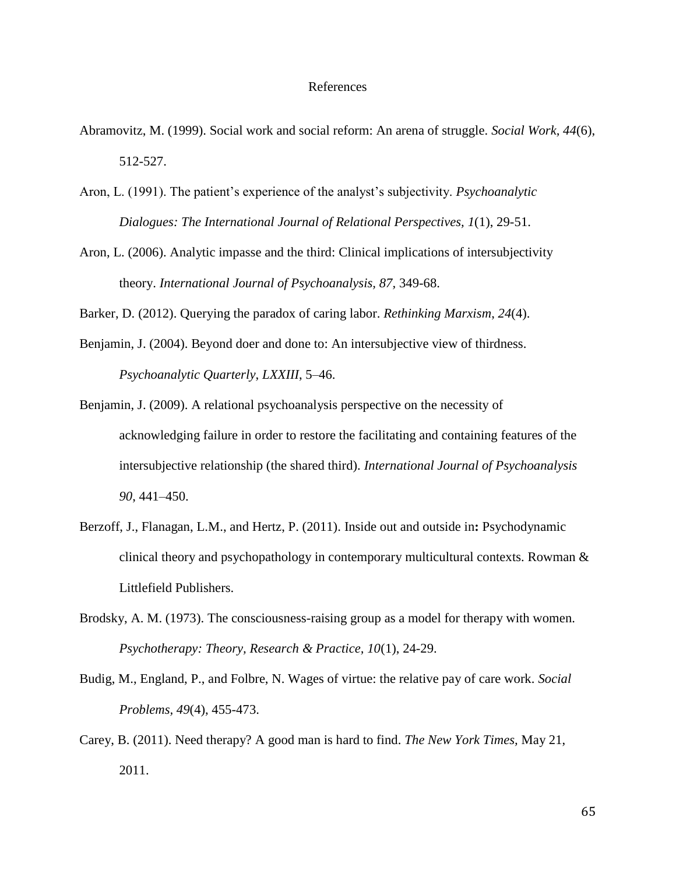#### References

- Abramovitz, M. (1999). Social work and social reform: An arena of struggle. *Social Work, 44*(6), 512-527.
- Aron, L. (1991). The patient's experience of the analyst's subjectivity. *Psychoanalytic Dialogues: The International Journal of Relational Perspectives, 1*(1), 29-51.
- Aron, L. (2006). Analytic impasse and the third: Clinical implications of intersubjectivity theory. *International Journal of Psychoanalysis, 87,* 349-68.

Barker, D. (2012). Querying the paradox of caring labor. *Rethinking Marxism*, *24*(4).

- Benjamin, J. (2004). Beyond doer and done to: An intersubjective view of thirdness. *Psychoanalytic Quarterly*, *LXXIII*, 5–46.
- Benjamin, J. (2009). A relational psychoanalysis perspective on the necessity of acknowledging failure in order to restore the facilitating and containing features of the intersubjective relationship (the shared third). *International Journal of Psychoanalysis 90*, 441–450.
- Berzoff, J., Flanagan, L.M., and Hertz, P. (2011). Inside out and outside in**:** Psychodynamic clinical theory and psychopathology in contemporary multicultural contexts. Rowman & Littlefield Publishers.
- Brodsky, A. M. (1973). The consciousness-raising group as a model for therapy with women. *Psychotherapy: Theory, Research & Practice, 10*(1), 24-29.
- Budig, M., England, P., and Folbre, N. Wages of virtue: the relative pay of care work. *Social Problems, 49*(4), 455-473.
- Carey, B. (2011). Need therapy? A good man is hard to find. *The New York Times,* May 21, 2011.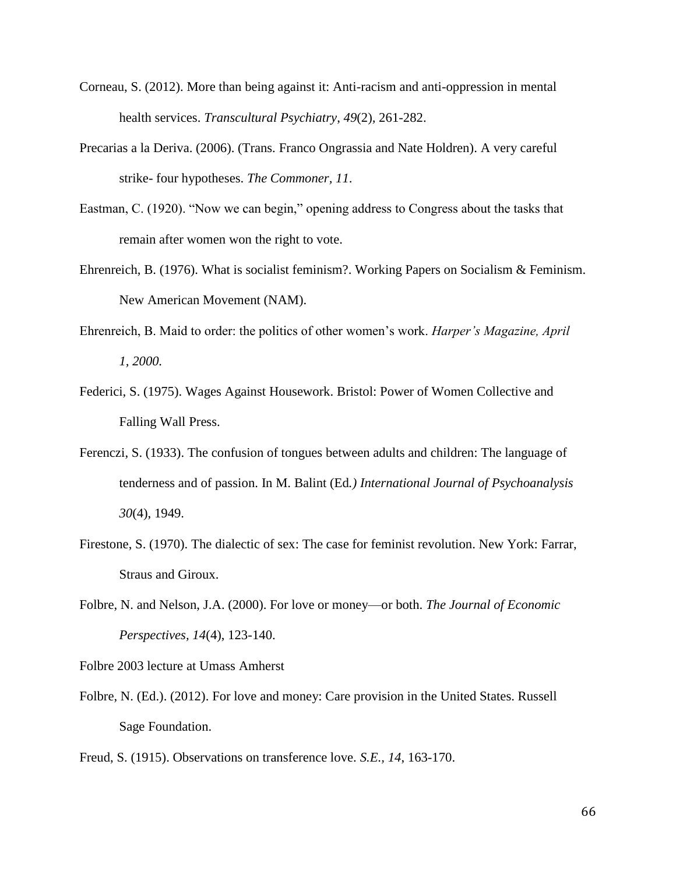- Corneau, S. (2012). More than being against it: Anti-racism and anti-oppression in mental health services. *Transcultural Psychiatry*, *49*(2)*,* 261-282.
- Precarias a la Deriva. (2006). (Trans. Franco Ongrassia and Nate Holdren). A very careful strike- four hypotheses. *The Commoner, 11*.
- Eastman, C. (1920). "Now we can begin," opening address to Congress about the tasks that remain after women won the right to vote.
- Ehrenreich, B. (1976). What is socialist feminism?. Working Papers on Socialism & Feminism. New American Movement (NAM).
- Ehrenreich, B. Maid to order: the politics of other women's work. *Harper's Magazine, April 1, 2000.*
- Federici, S. (1975). Wages Against Housework. Bristol: Power of Women Collective and Falling Wall Press.
- Ferenczi, S. (1933). The confusion of tongues between adults and children: The language of tenderness and of passion. In M. Balint (Ed*.) International Journal of Psychoanalysis 30*(4), 1949.
- Firestone, S. (1970). The dialectic of sex: The case for feminist revolution. New York: Farrar, Straus and Giroux.
- Folbre, N. and Nelson, J.A. (2000). For love or money—or both. *The Journal of Economic Perspectives, 14*(4), 123-140.
- Folbre 2003 lecture at Umass Amherst
- Folbre, N. (Ed.). (2012). For love and money: Care provision in the United States. Russell Sage Foundation.
- Freud, S. (1915). Observations on transference love. *S.E., 14*, 163-170.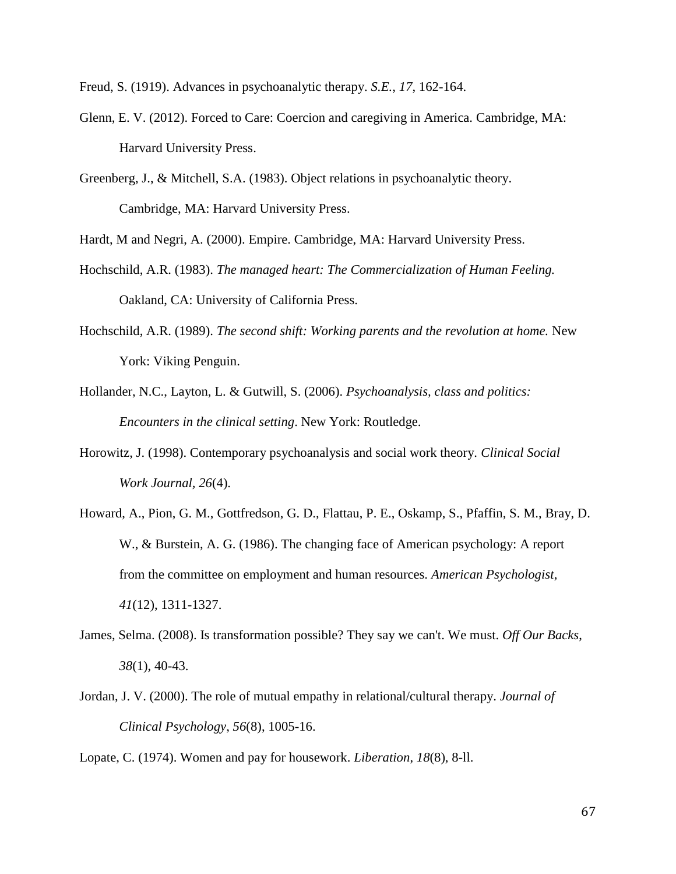Freud, S. (1919). Advances in psychoanalytic therapy. *S.E.*, *17*, 162-164.

- Glenn, E. V. (2012). Forced to Care: Coercion and caregiving in America. Cambridge, MA: Harvard University Press.
- Greenberg, J., & Mitchell, S.A. (1983). Object relations in psychoanalytic theory. Cambridge, MA: Harvard University Press.

Hardt, M and Negri, A. (2000). Empire. Cambridge, MA: Harvard University Press.

- Hochschild, A.R. (1983). *The managed heart: The Commercialization of Human Feeling.*  Oakland, CA: University of California Press.
- Hochschild, A.R. (1989). *The second shift: Working parents and the revolution at home.* New York: Viking Penguin.
- Hollander, N.C., Layton, L. & Gutwill, S. (2006). *Psychoanalysis, class and politics: Encounters in the clinical setting*. New York: Routledge.
- Horowitz, J. (1998). Contemporary psychoanalysis and social work theory. *Clinical Social Work Journal, 26*(4).
- Howard, A., Pion, G. M., Gottfredson, G. D., Flattau, P. E., Oskamp, S., Pfaffin, S. M., Bray, D. W., & Burstein, A. G. (1986). The changing face of American psychology: A report from the committee on employment and human resources. *American Psychologist*, *41*(12), 1311-1327.
- James, Selma. (2008). Is transformation possible? They say we can't. We must. *Off Our Backs*, *38*(1), 40-43.
- Jordan, J. V. (2000). The role of mutual empathy in relational/cultural therapy. *Journal of Clinical Psychology*, *56*(8), 1005-16.

Lopate, C. (1974). Women and pay for housework. *Liberation*, *18*(8), 8-ll.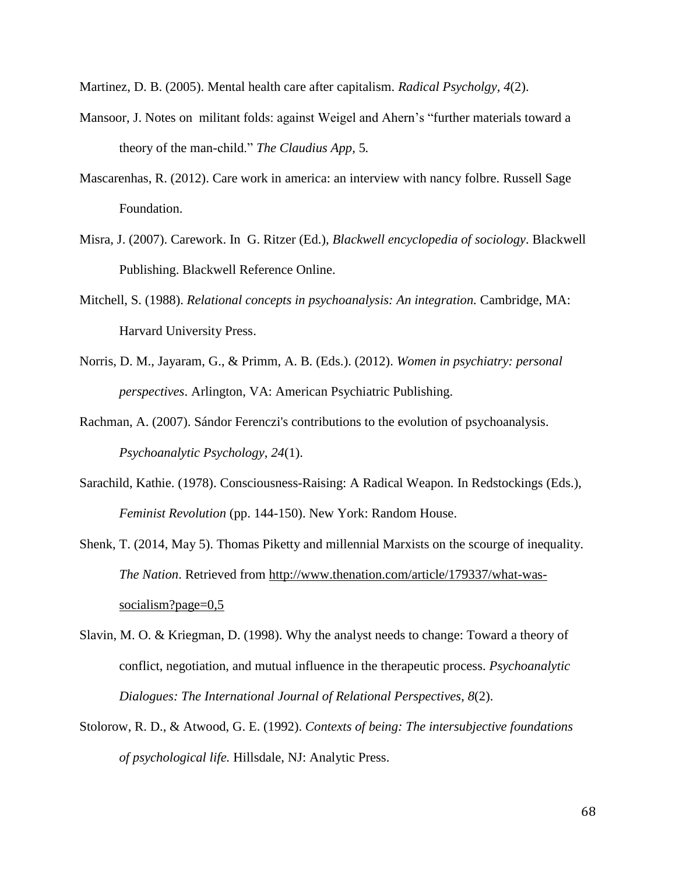Martinez, D. B. (2005). Mental health care after capitalism. *Radical Psycholgy, 4*(2).

- Mansoor, J. Notes on militant folds: against Weigel and Ahern's "further materials toward a theory of the man-child." *The Claudius App,* 5*.*
- Mascarenhas, R. (2012). Care work in america: an interview with nancy folbre. Russell Sage Foundation.
- Misra, J. (2007). Carework. In G. Ritzer (Ed.), *Blackwell encyclopedia of sociology*. Blackwell Publishing. Blackwell Reference Online.
- Mitchell, S. (1988). *Relational concepts in psychoanalysis: An integration.* Cambridge, MA: Harvard University Press.
- Norris, D. M., Jayaram, G., & Primm, A. B. (Eds.). (2012). *Women in psychiatry: personal perspectives*. Arlington, VA: American Psychiatric Publishing.
- Rachman, A. (2007). Sándor Ferenczi's contributions to the evolution of psychoanalysis. *Psychoanalytic Psychology*, *24*(1).
- Sarachild, Kathie. (1978). Consciousness-Raising: A Radical Weapon*.* In Redstockings (Eds.), *Feminist Revolution* (pp. 144-150). New York: Random House.
- Shenk, T. (2014, May 5). Thomas Piketty and millennial Marxists on the scourge of inequality. *The Nation*. Retrieved from [http://www.thenation.com/article/179337/what-was](http://www.thenation.com/article/179337/what-was-)socialism?page=0,5
- Slavin, M. O. & Kriegman, D. (1998). Why the analyst needs to change: Toward a theory of conflict, negotiation, and mutual influence in the therapeutic process. *Psychoanalytic Dialogues: The International Journal of Relational Perspectives*, *8*(2).
- Stolorow, R. D., & Atwood, G. E. (1992). *Contexts of being: The intersubjective foundations of psychological life.* Hillsdale, NJ: Analytic Press.